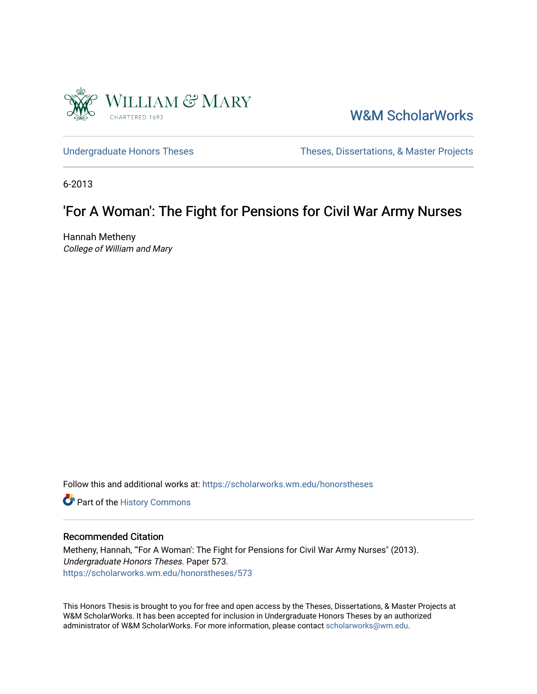

[W&M ScholarWorks](https://scholarworks.wm.edu/) 

[Undergraduate Honors Theses](https://scholarworks.wm.edu/honorstheses) Theses Theses, Dissertations, & Master Projects

6-2013

# 'For A Woman': The Fight for Pensions for Civil War Army Nurses

Hannah Metheny College of William and Mary

Follow this and additional works at: [https://scholarworks.wm.edu/honorstheses](https://scholarworks.wm.edu/honorstheses?utm_source=scholarworks.wm.edu%2Fhonorstheses%2F573&utm_medium=PDF&utm_campaign=PDFCoverPages) 

Part of the [History Commons](http://network.bepress.com/hgg/discipline/489?utm_source=scholarworks.wm.edu%2Fhonorstheses%2F573&utm_medium=PDF&utm_campaign=PDFCoverPages) 

# Recommended Citation

Metheny, Hannah, "'For A Woman': The Fight for Pensions for Civil War Army Nurses" (2013). Undergraduate Honors Theses. Paper 573. [https://scholarworks.wm.edu/honorstheses/573](https://scholarworks.wm.edu/honorstheses/573?utm_source=scholarworks.wm.edu%2Fhonorstheses%2F573&utm_medium=PDF&utm_campaign=PDFCoverPages) 

This Honors Thesis is brought to you for free and open access by the Theses, Dissertations, & Master Projects at W&M ScholarWorks. It has been accepted for inclusion in Undergraduate Honors Theses by an authorized administrator of W&M ScholarWorks. For more information, please contact [scholarworks@wm.edu.](mailto:scholarworks@wm.edu)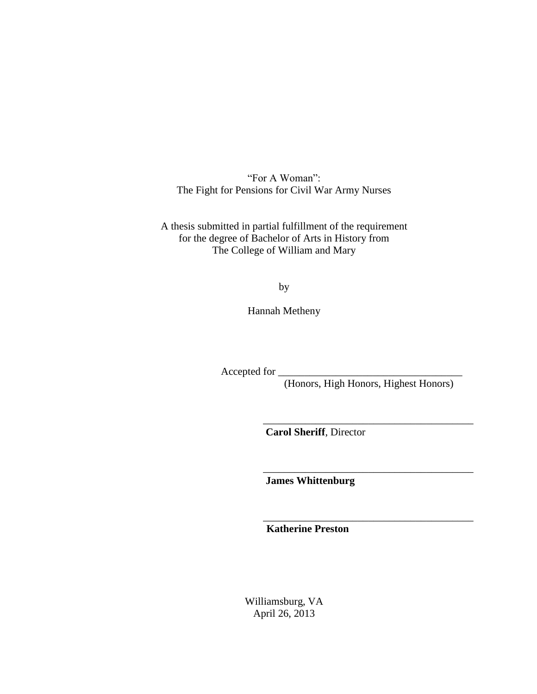"For A Woman": The Fight for Pensions for Civil War Army Nurses

A thesis submitted in partial fulfillment of the requirement for the degree of Bachelor of Arts in History from The College of William and Mary

by

Hannah Metheny

Accepted for

(Honors, High Honors, Highest Honors)

\_\_\_\_\_\_\_\_\_\_\_\_\_\_\_\_\_\_\_\_\_\_\_\_\_\_\_\_\_\_\_\_\_\_\_\_\_\_\_\_

\_\_\_\_\_\_\_\_\_\_\_\_\_\_\_\_\_\_\_\_\_\_\_\_\_\_\_\_\_\_\_\_\_\_\_\_\_\_\_\_

\_\_\_\_\_\_\_\_\_\_\_\_\_\_\_\_\_\_\_\_\_\_\_\_\_\_\_\_\_\_\_\_\_\_\_\_\_\_\_\_

**Carol Sheriff**, Director

 **James Whittenburg**

 **Katherine Preston**

Williamsburg, VA April 26, 2013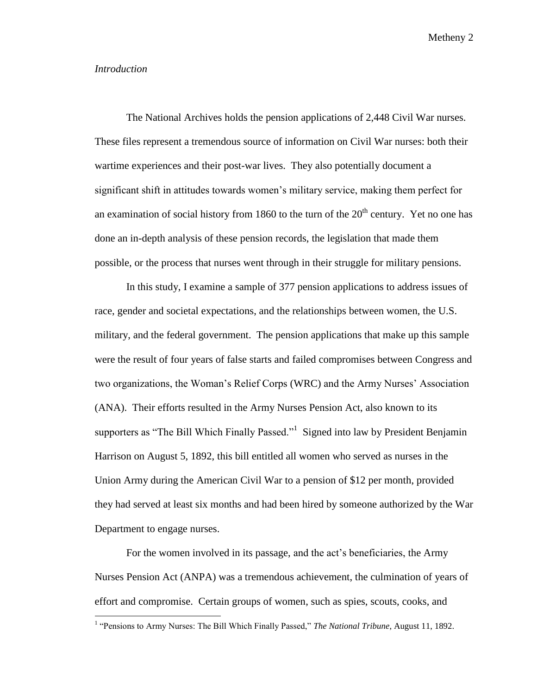#### *Introduction*

 $\overline{\phantom{a}}$ 

The National Archives holds the pension applications of 2,448 Civil War nurses. These files represent a tremendous source of information on Civil War nurses: both their wartime experiences and their post-war lives. They also potentially document a significant shift in attitudes towards women's military service, making them perfect for an examination of social history from 1860 to the turn of the  $20<sup>th</sup>$  century. Yet no one has done an in-depth analysis of these pension records, the legislation that made them possible, or the process that nurses went through in their struggle for military pensions.

In this study, I examine a sample of 377 pension applications to address issues of race, gender and societal expectations, and the relationships between women, the U.S. military, and the federal government. The pension applications that make up this sample were the result of four years of false starts and failed compromises between Congress and two organizations, the Woman's Relief Corps (WRC) and the Army Nurses' Association (ANA). Their efforts resulted in the Army Nurses Pension Act, also known to its supporters as "The Bill Which Finally Passed."<sup>1</sup> Signed into law by President Benjamin Harrison on August 5, 1892, this bill entitled all women who served as nurses in the Union Army during the American Civil War to a pension of \$12 per month, provided they had served at least six months and had been hired by someone authorized by the War Department to engage nurses.

For the women involved in its passage, and the act's beneficiaries, the Army Nurses Pension Act (ANPA) was a tremendous achievement, the culmination of years of effort and compromise. Certain groups of women, such as spies, scouts, cooks, and

<sup>&</sup>lt;sup>1</sup> "Pensions to Army Nurses: The Bill Which Finally Passed," *The National Tribune*, August 11, 1892.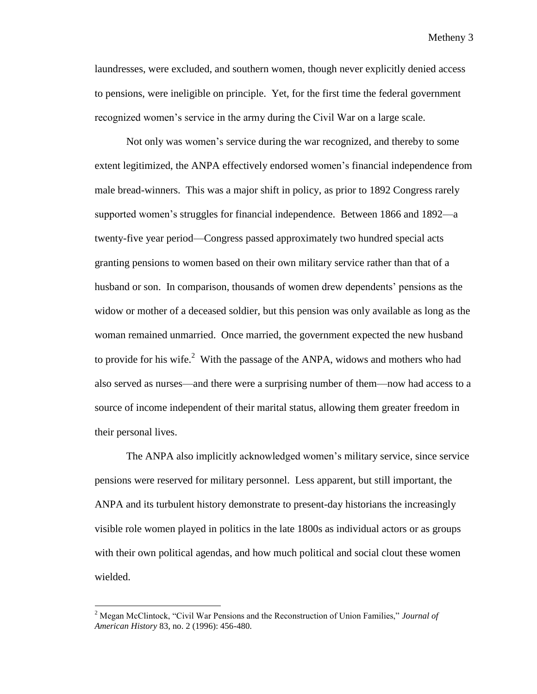laundresses, were excluded, and southern women, though never explicitly denied access to pensions, were ineligible on principle. Yet, for the first time the federal government recognized women's service in the army during the Civil War on a large scale.

Not only was women's service during the war recognized, and thereby to some extent legitimized, the ANPA effectively endorsed women's financial independence from male bread-winners. This was a major shift in policy, as prior to 1892 Congress rarely supported women's struggles for financial independence. Between 1866 and 1892—a twenty-five year period—Congress passed approximately two hundred special acts granting pensions to women based on their own military service rather than that of a husband or son. In comparison, thousands of women drew dependents' pensions as the widow or mother of a deceased soldier, but this pension was only available as long as the woman remained unmarried. Once married, the government expected the new husband to provide for his wife. $^2$  With the passage of the ANPA, widows and mothers who had also served as nurses—and there were a surprising number of them—now had access to a source of income independent of their marital status, allowing them greater freedom in their personal lives.

The ANPA also implicitly acknowledged women's military service, since service pensions were reserved for military personnel. Less apparent, but still important, the ANPA and its turbulent history demonstrate to present-day historians the increasingly visible role women played in politics in the late 1800s as individual actors or as groups with their own political agendas, and how much political and social clout these women wielded.

<sup>2</sup> Megan McClintock, "Civil War Pensions and the Reconstruction of Union Families," *Journal of American History* 83, no. 2 (1996): 456-480.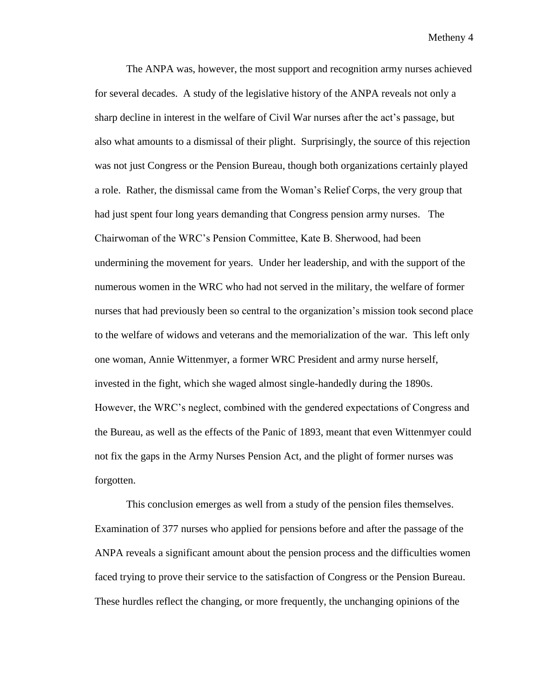The ANPA was, however, the most support and recognition army nurses achieved for several decades. A study of the legislative history of the ANPA reveals not only a sharp decline in interest in the welfare of Civil War nurses after the act's passage, but also what amounts to a dismissal of their plight. Surprisingly, the source of this rejection was not just Congress or the Pension Bureau, though both organizations certainly played a role. Rather, the dismissal came from the Woman's Relief Corps, the very group that had just spent four long years demanding that Congress pension army nurses.The Chairwoman of the WRC's Pension Committee, Kate B. Sherwood, had been undermining the movement for years. Under her leadership, and with the support of the numerous women in the WRC who had not served in the military, the welfare of former nurses that had previously been so central to the organization's mission took second place to the welfare of widows and veterans and the memorialization of the war. This left only one woman, Annie Wittenmyer, a former WRC President and army nurse herself, invested in the fight, which she waged almost single-handedly during the 1890s. However, the WRC's neglect, combined with the gendered expectations of Congress and the Bureau, as well as the effects of the Panic of 1893, meant that even Wittenmyer could not fix the gaps in the Army Nurses Pension Act, and the plight of former nurses was forgotten.

This conclusion emerges as well from a study of the pension files themselves. Examination of 377 nurses who applied for pensions before and after the passage of the ANPA reveals a significant amount about the pension process and the difficulties women faced trying to prove their service to the satisfaction of Congress or the Pension Bureau. These hurdles reflect the changing, or more frequently, the unchanging opinions of the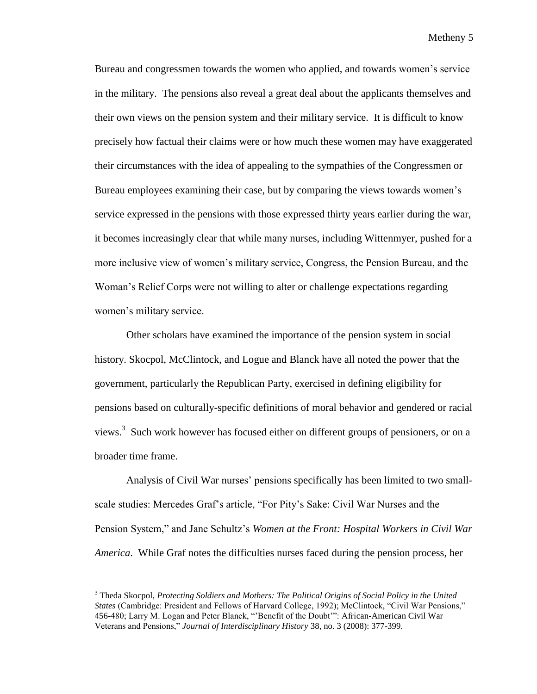Bureau and congressmen towards the women who applied, and towards women's service in the military. The pensions also reveal a great deal about the applicants themselves and their own views on the pension system and their military service. It is difficult to know precisely how factual their claims were or how much these women may have exaggerated their circumstances with the idea of appealing to the sympathies of the Congressmen or Bureau employees examining their case, but by comparing the views towards women's service expressed in the pensions with those expressed thirty years earlier during the war, it becomes increasingly clear that while many nurses, including Wittenmyer, pushed for a more inclusive view of women's military service, Congress, the Pension Bureau, and the Woman's Relief Corps were not willing to alter or challenge expectations regarding women's military service.

Other scholars have examined the importance of the pension system in social history. Skocpol, McClintock, and Logue and Blanck have all noted the power that the government, particularly the Republican Party, exercised in defining eligibility for pensions based on culturally-specific definitions of moral behavior and gendered or racial views.<sup>3</sup> Such work however has focused either on different groups of pensioners, or on a broader time frame.

Analysis of Civil War nurses' pensions specifically has been limited to two smallscale studies: Mercedes Graf's article, "For Pity's Sake: Civil War Nurses and the Pension System," and Jane Schultz's *Women at the Front: Hospital Workers in Civil War America*. While Graf notes the difficulties nurses faced during the pension process, her

<sup>3</sup> Theda Skocpol, *Protecting Soldiers and Mothers: The Political Origins of Social Policy in the United States* (Cambridge: President and Fellows of Harvard College, 1992); McClintock, "Civil War Pensions," 456-480; Larry M. Logan and Peter Blanck, "'Benefit of the Doubt'": African-American Civil War Veterans and Pensions," *Journal of Interdisciplinary History* 38, no. 3 (2008): 377-399.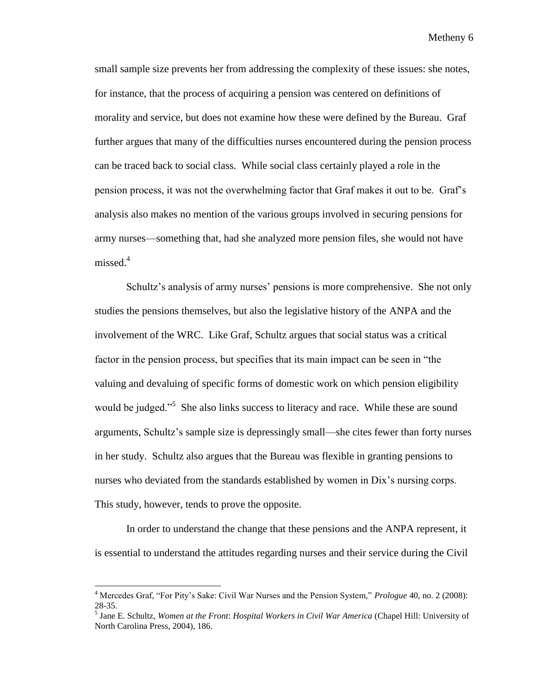small sample size prevents her from addressing the complexity of these issues: she notes, for instance, that the process of acquiring a pension was centered on definitions of morality and service, but does not examine how these were defined by the Bureau. Graf further argues that many of the difficulties nurses encountered during the pension process can be traced back to social class. While social class certainly played a role in the pension process, it was not the overwhelming factor that Graf makes it out to be. Graf's analysis also makes no mention of the various groups involved in securing pensions for army nurses—something that, had she analyzed more pension files, she would not have missed.<sup>4</sup>

Schultz's analysis of army nurses' pensions is more comprehensive. She not only studies the pensions themselves, but also the legislative history of the ANPA and the involvement of the WRC. Like Graf, Schultz argues that social status was a critical factor in the pension process, but specifies that its main impact can be seen in "the valuing and devaluing of specific forms of domestic work on which pension eligibility would be judged."<sup>5</sup> She also links success to literacy and race. While these are sound arguments, Schultz's sample size is depressingly small—she cites fewer than forty nurses in her study. Schultz also argues that the Bureau was flexible in granting pensions to nurses who deviated from the standards established by women in Dix's nursing corps. This study, however, tends to prove the opposite.

In order to understand the change that these pensions and the ANPA represent, it is essential to understand the attitudes regarding nurses and their service during the Civil

<sup>4</sup> Mercedes Graf, "For Pity's Sake: Civil War Nurses and the Pension System," *Prologue* 40, no. 2 (2008): 28-35.

<sup>5</sup> Jane E. Schultz, *Women at the Front*: *Hospital Workers in Civil War America* (Chapel Hill: University of North Carolina Press, 2004), 186.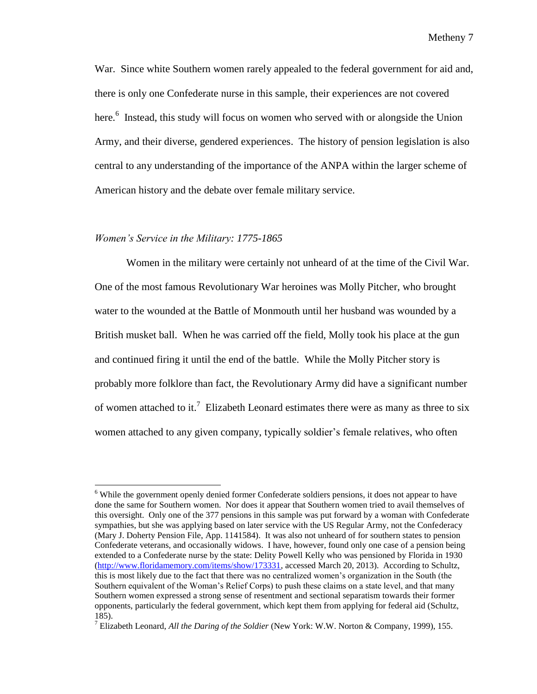War. Since white Southern women rarely appealed to the federal government for aid and, there is only one Confederate nurse in this sample, their experiences are not covered here.<sup>6</sup> Instead, this study will focus on women who served with or alongside the Union Army, and their diverse, gendered experiences. The history of pension legislation is also central to any understanding of the importance of the ANPA within the larger scheme of American history and the debate over female military service.

### *Women's Service in the Military: 1775-1865*

 $\overline{a}$ 

Women in the military were certainly not unheard of at the time of the Civil War. One of the most famous Revolutionary War heroines was Molly Pitcher, who brought water to the wounded at the Battle of Monmouth until her husband was wounded by a British musket ball. When he was carried off the field, Molly took his place at the gun and continued firing it until the end of the battle. While the Molly Pitcher story is probably more folklore than fact, the Revolutionary Army did have a significant number of women attached to it.<sup>7</sup> Elizabeth Leonard estimates there were as many as three to six women attached to any given company, typically soldier's female relatives, who often

<sup>&</sup>lt;sup>6</sup> While the government openly denied former Confederate soldiers pensions, it does not appear to have done the same for Southern women. Nor does it appear that Southern women tried to avail themselves of this oversight. Only one of the 377 pensions in this sample was put forward by a woman with Confederate sympathies, but she was applying based on later service with the US Regular Army, not the Confederacy (Mary J. Doherty Pension File, App. 1141584). It was also not unheard of for southern states to pension Confederate veterans, and occasionally widows. I have, however, found only one case of a pension being extended to a Confederate nurse by the state: Delity Powell Kelly who was pensioned by Florida in 1930 [\(http://www.floridamemory.com/items/show/173331,](http://www.floridamemory.com/items/show/173331) accessed March 20, 2013). According to Schultz, this is most likely due to the fact that there was no centralized women's organization in the South (the Southern equivalent of the Woman's Relief Corps) to push these claims on a state level, and that many Southern women expressed a strong sense of resentment and sectional separatism towards their former opponents, particularly the federal government, which kept them from applying for federal aid (Schultz, 185).

<sup>7</sup> Elizabeth Leonard, *All the Daring of the Soldier* (New York: W.W. Norton & Company, 1999), 155.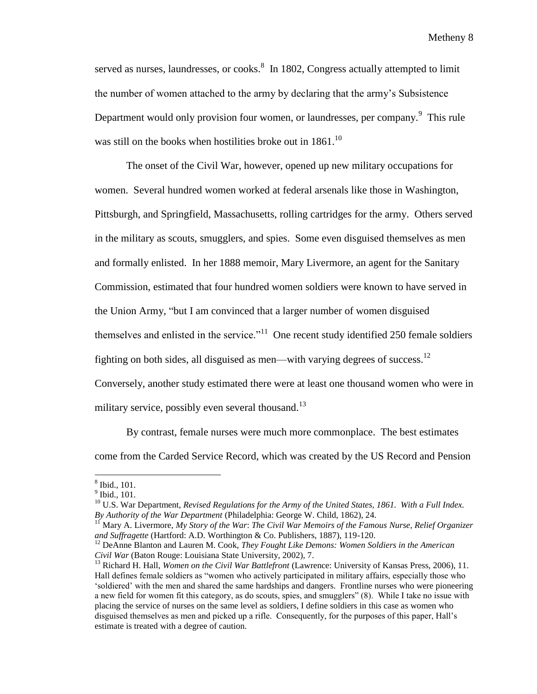served as nurses, laundresses, or cooks.<sup>8</sup> In 1802, Congress actually attempted to limit the number of women attached to the army by declaring that the army's Subsistence Department would only provision four women, or laundresses, per company. This rule was still on the books when hostilities broke out in  $1861$ <sup>10</sup>

The onset of the Civil War, however, opened up new military occupations for women. Several hundred women worked at federal arsenals like those in Washington, Pittsburgh, and Springfield, Massachusetts, rolling cartridges for the army. Others served in the military as scouts, smugglers, and spies. Some even disguised themselves as men and formally enlisted. In her 1888 memoir, Mary Livermore, an agent for the Sanitary Commission, estimated that four hundred women soldiers were known to have served in the Union Army, "but I am convinced that a larger number of women disguised themselves and enlisted in the service.<sup> $11$ </sup> One recent study identified 250 female soldiers fighting on both sides, all disguised as men—with varying degrees of success.<sup>12</sup> Conversely, another study estimated there were at least one thousand women who were in military service, possibly even several thousand.<sup>13</sup>

By contrast, female nurses were much more commonplace. The best estimates

come from the Carded Service Record, which was created by the US Record and Pension

 8 Ibid., 101.

<sup>9</sup> Ibid.*,* 101.

<sup>&</sup>lt;sup>10</sup> U.S. War Department, *Revised Regulations for the Army of the United States, 1861. With a Full Index. By Authority of the War Department* (Philadelphia: George W. Child, 1862), 24.

<sup>11</sup> Mary A. Livermore, *My Story of the War*: *The Civil War Memoirs of the Famous Nurse, Relief Organizer and Suffragette* (Hartford: A.D. Worthington & Co. Publishers, 1887), 119-120.

<sup>&</sup>lt;sup>12</sup> DeAnne Blanton and Lauren M. Cook, *They Fought Like Demons: Women Soldiers in the American Civil War* (Baton Rouge: Louisiana State University, 2002), 7.

<sup>13</sup> Richard H. Hall, *Women on the Civil War Battlefront* (Lawrence: University of Kansas Press, 2006), 11. Hall defines female soldiers as "women who actively participated in military affairs, especially those who 'soldiered' with the men and shared the same hardships and dangers. Frontline nurses who were pioneering a new field for women fit this category, as do scouts, spies, and smugglers" (8). While I take no issue with placing the service of nurses on the same level as soldiers, I define soldiers in this case as women who disguised themselves as men and picked up a rifle. Consequently, for the purposes of this paper, Hall's estimate is treated with a degree of caution.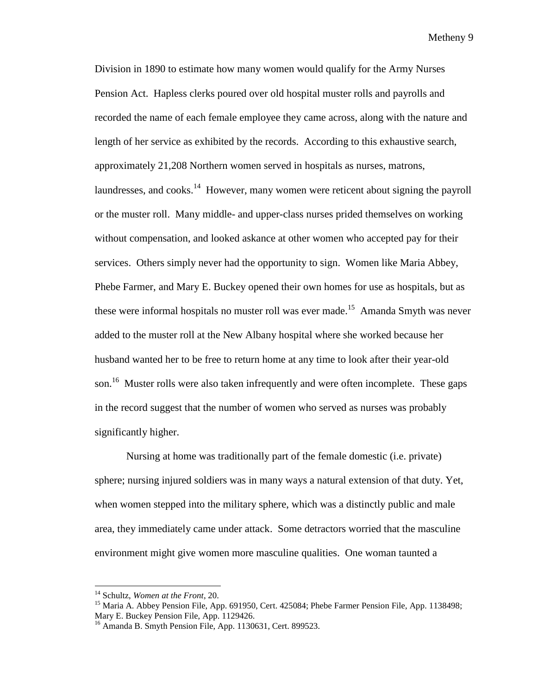Division in 1890 to estimate how many women would qualify for the Army Nurses Pension Act. Hapless clerks poured over old hospital muster rolls and payrolls and recorded the name of each female employee they came across, along with the nature and length of her service as exhibited by the records. According to this exhaustive search, approximately 21,208 Northern women served in hospitals as nurses, matrons, laundresses, and cooks.<sup>14</sup> However, many women were reticent about signing the payroll or the muster roll. Many middle- and upper-class nurses prided themselves on working without compensation, and looked askance at other women who accepted pay for their services. Others simply never had the opportunity to sign. Women like Maria Abbey, Phebe Farmer, and Mary E. Buckey opened their own homes for use as hospitals, but as these were informal hospitals no muster roll was ever made.<sup>15</sup> Amanda Smyth was never added to the muster roll at the New Albany hospital where she worked because her husband wanted her to be free to return home at any time to look after their year-old son.<sup>16</sup> Muster rolls were also taken infrequently and were often incomplete. These gaps in the record suggest that the number of women who served as nurses was probably significantly higher.

Nursing at home was traditionally part of the female domestic (i.e. private) sphere; nursing injured soldiers was in many ways a natural extension of that duty. Yet, when women stepped into the military sphere, which was a distinctly public and male area, they immediately came under attack. Some detractors worried that the masculine environment might give women more masculine qualities. One woman taunted a

<sup>14</sup> Schultz, *Women at the Front*, 20.

<sup>&</sup>lt;sup>15</sup> Maria A. Abbey Pension File, App. 691950, Cert. 425084; Phebe Farmer Pension File, App. 1138498; Mary E. Buckey Pension File, App. 1129426.

 $16$  Amanda B. Smyth Pension File, App. 1130631, Cert. 899523.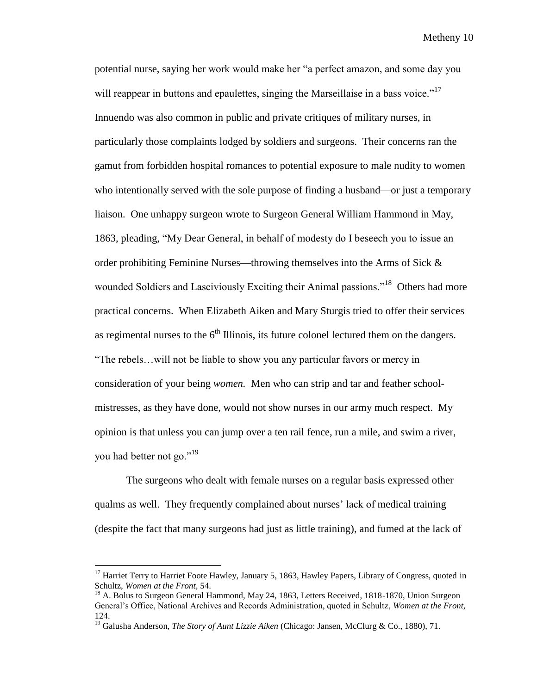potential nurse, saying her work would make her "a perfect amazon, and some day you will reappear in buttons and epaulettes, singing the Marseillaise in a bass voice."<sup>17</sup> Innuendo was also common in public and private critiques of military nurses, in particularly those complaints lodged by soldiers and surgeons. Their concerns ran the gamut from forbidden hospital romances to potential exposure to male nudity to women who intentionally served with the sole purpose of finding a husband—or just a temporary liaison. One unhappy surgeon wrote to Surgeon General William Hammond in May, 1863, pleading, "My Dear General, in behalf of modesty do I beseech you to issue an order prohibiting Feminine Nurses—throwing themselves into the Arms of Sick  $\&$ wounded Soldiers and Lasciviously Exciting their Animal passions."<sup>18</sup> Others had more practical concerns. When Elizabeth Aiken and Mary Sturgis tried to offer their services as regimental nurses to the  $6<sup>th</sup>$  Illinois, its future colonel lectured them on the dangers. "The rebels…will not be liable to show you any particular favors or mercy in consideration of your being *women.* Men who can strip and tar and feather schoolmistresses, as they have done, would not show nurses in our army much respect. My opinion is that unless you can jump over a ten rail fence, run a mile, and swim a river, you had better not go."<sup>19</sup>

The surgeons who dealt with female nurses on a regular basis expressed other qualms as well. They frequently complained about nurses' lack of medical training (despite the fact that many surgeons had just as little training), and fumed at the lack of

l

<sup>&</sup>lt;sup>17</sup> Harriet Terry to Harriet Foote Hawley, January 5, 1863, Hawley Papers, Library of Congress, quoted in Schultz, *Women at the Front,* 54.

<sup>&</sup>lt;sup>18</sup> A. Bolus to Surgeon General Hammond, May 24, 1863, Letters Received, 1818-1870, Union Surgeon General's Office, National Archives and Records Administration, quoted in Schultz, *Women at the Front,*  124.

<sup>&</sup>lt;sup>19</sup> Galusha Anderson, *The Story of Aunt Lizzie Aiken* (Chicago: Jansen, McClurg & Co., 1880), 71.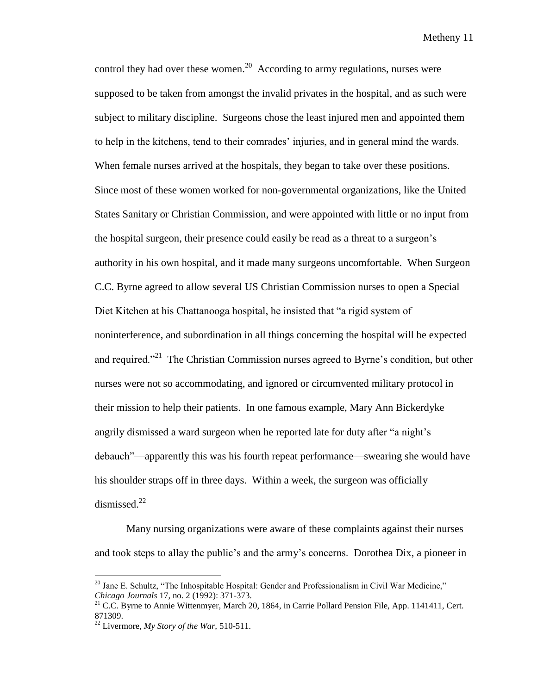control they had over these women.<sup>20</sup> According to army regulations, nurses were supposed to be taken from amongst the invalid privates in the hospital, and as such were subject to military discipline. Surgeons chose the least injured men and appointed them to help in the kitchens, tend to their comrades' injuries, and in general mind the wards. When female nurses arrived at the hospitals, they began to take over these positions. Since most of these women worked for non-governmental organizations, like the United States Sanitary or Christian Commission, and were appointed with little or no input from the hospital surgeon, their presence could easily be read as a threat to a surgeon's authority in his own hospital, and it made many surgeons uncomfortable. When Surgeon C.C. Byrne agreed to allow several US Christian Commission nurses to open a Special Diet Kitchen at his Chattanooga hospital, he insisted that "a rigid system of noninterference, and subordination in all things concerning the hospital will be expected and required."<sup>21</sup> The Christian Commission nurses agreed to Byrne's condition, but other nurses were not so accommodating, and ignored or circumvented military protocol in their mission to help their patients. In one famous example, Mary Ann Bickerdyke angrily dismissed a ward surgeon when he reported late for duty after "a night's debauch"—apparently this was his fourth repeat performance—swearing she would have his shoulder straps off in three days. Within a week, the surgeon was officially dismissed. $^{22}$ 

Many nursing organizations were aware of these complaints against their nurses and took steps to allay the public's and the army's concerns. Dorothea Dix, a pioneer in

<sup>&</sup>lt;sup>20</sup> Jane E. Schultz, "The Inhospitable Hospital: Gender and Professionalism in Civil War Medicine," *Chicago Journals* 17, no. 2 (1992): 371-373.

 $21$  C.C. Byrne to Annie Wittenmyer, March 20, 1864, in Carrie Pollard Pension File, App. 1141411, Cert. 871309.

<sup>22</sup> Livermore, *My Story of the War,* 510-511.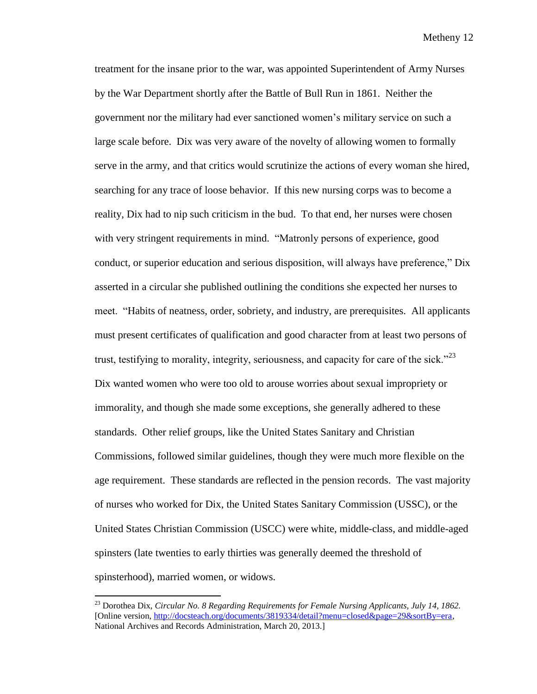treatment for the insane prior to the war, was appointed Superintendent of Army Nurses by the War Department shortly after the Battle of Bull Run in 1861. Neither the government nor the military had ever sanctioned women's military service on such a large scale before. Dix was very aware of the novelty of allowing women to formally serve in the army, and that critics would scrutinize the actions of every woman she hired, searching for any trace of loose behavior. If this new nursing corps was to become a reality, Dix had to nip such criticism in the bud. To that end, her nurses were chosen with very stringent requirements in mind. "Matronly persons of experience, good conduct, or superior education and serious disposition, will always have preference," Dix asserted in a circular she published outlining the conditions she expected her nurses to meet. "Habits of neatness, order, sobriety, and industry, are prerequisites. All applicants must present certificates of qualification and good character from at least two persons of trust, testifying to morality, integrity, seriousness, and capacity for care of the sick."<sup>23</sup> Dix wanted women who were too old to arouse worries about sexual impropriety or immorality, and though she made some exceptions, she generally adhered to these standards. Other relief groups, like the United States Sanitary and Christian Commissions, followed similar guidelines, though they were much more flexible on the age requirement. These standards are reflected in the pension records. The vast majority of nurses who worked for Dix, the United States Sanitary Commission (USSC), or the United States Christian Commission (USCC) were white, middle-class, and middle-aged spinsters (late twenties to early thirties was generally deemed the threshold of spinsterhood), married women, or widows.

<sup>23</sup> Dorothea Dix, *Circular No. 8 Regarding Requirements for Female Nursing Applicants, July 14, 1862.* [Online version, [http://docsteach.org/documents/3819334/detail?menu=closed&page=29&sortBy=era,](http://docsteach.org/documents/3819334/detail?menu=closed&page=29&sortBy=era) National Archives and Records Administration, March 20, 2013.]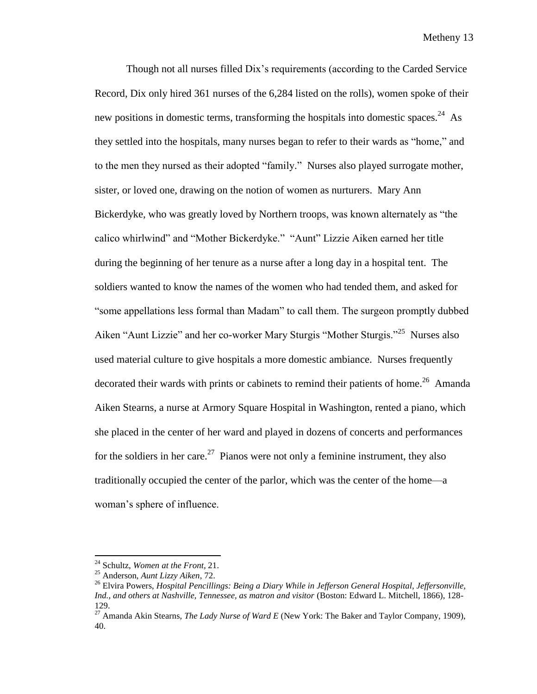Though not all nurses filled Dix's requirements (according to the Carded Service Record, Dix only hired 361 nurses of the 6,284 listed on the rolls), women spoke of their new positions in domestic terms, transforming the hospitals into domestic spaces.<sup>24</sup> As they settled into the hospitals, many nurses began to refer to their wards as "home," and to the men they nursed as their adopted "family." Nurses also played surrogate mother, sister, or loved one, drawing on the notion of women as nurturers. Mary Ann Bickerdyke, who was greatly loved by Northern troops, was known alternately as "the calico whirlwind" and "Mother Bickerdyke." "Aunt" Lizzie Aiken earned her title during the beginning of her tenure as a nurse after a long day in a hospital tent. The soldiers wanted to know the names of the women who had tended them, and asked for "some appellations less formal than Madam" to call them. The surgeon promptly dubbed Aiken "Aunt Lizzie" and her co-worker Mary Sturgis "Mother Sturgis."<sup>25</sup> Nurses also used material culture to give hospitals a more domestic ambiance. Nurses frequently decorated their wards with prints or cabinets to remind their patients of home.<sup>26</sup> Amanda Aiken Stearns, a nurse at Armory Square Hospital in Washington, rented a piano, which she placed in the center of her ward and played in dozens of concerts and performances for the soldiers in her care.<sup>27</sup> Pianos were not only a feminine instrument, they also traditionally occupied the center of the parlor, which was the center of the home—a woman's sphere of influence.

<sup>24</sup> Schultz, *Women at the Front,* 21.

<sup>25</sup> Anderson, *Aunt Lizzy Aiken*, 72.

<sup>26</sup> Elvira Powers, *Hospital Pencillings: Being a Diary While in Jefferson General Hospital, Jeffersonville, Ind., and others at Nashville, Tennessee, as matron and visitor* (Boston: Edward L. Mitchell, 1866), 128- 129.

<sup>27</sup> Amanda Akin Stearns, *The Lady Nurse of Ward E* (New York: The Baker and Taylor Company, 1909), 40.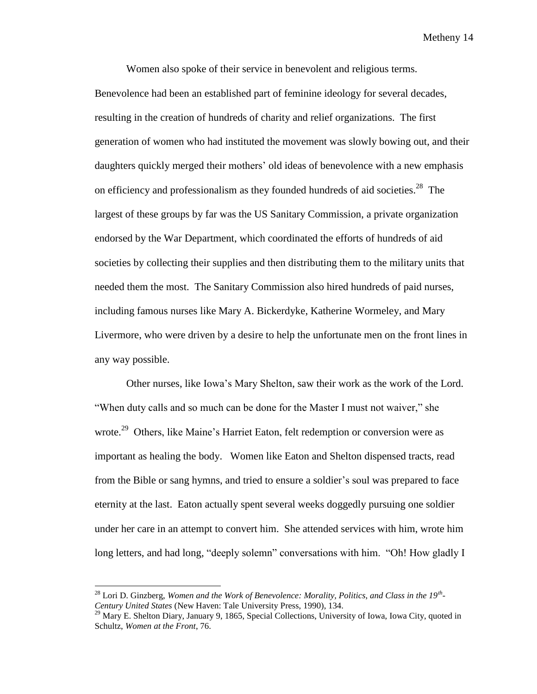Women also spoke of their service in benevolent and religious terms. Benevolence had been an established part of feminine ideology for several decades, resulting in the creation of hundreds of charity and relief organizations. The first generation of women who had instituted the movement was slowly bowing out, and their daughters quickly merged their mothers' old ideas of benevolence with a new emphasis on efficiency and professionalism as they founded hundreds of aid societies.<sup>28</sup> The largest of these groups by far was the US Sanitary Commission, a private organization endorsed by the War Department, which coordinated the efforts of hundreds of aid societies by collecting their supplies and then distributing them to the military units that needed them the most. The Sanitary Commission also hired hundreds of paid nurses, including famous nurses like Mary A. Bickerdyke, Katherine Wormeley, and Mary Livermore, who were driven by a desire to help the unfortunate men on the front lines in any way possible.

Other nurses, like Iowa's Mary Shelton, saw their work as the work of the Lord. "When duty calls and so much can be done for the Master I must not waiver," she wrote.<sup>29</sup> Others, like Maine's Harriet Eaton, felt redemption or conversion were as important as healing the body. Women like Eaton and Shelton dispensed tracts, read from the Bible or sang hymns, and tried to ensure a soldier's soul was prepared to face eternity at the last. Eaton actually spent several weeks doggedly pursuing one soldier under her care in an attempt to convert him. She attended services with him, wrote him long letters, and had long, "deeply solemn" conversations with him. "Oh! How gladly I

<sup>28</sup> Lori D. Ginzberg, *Women and the Work of Benevolence: Morality, Politics, and Class in the 19th - Century United States* (New Haven: Tale University Press, 1990), 134.

<sup>&</sup>lt;sup>29</sup> Mary E. Shelton Diary, January 9, 1865, Special Collections, University of Iowa, Iowa City, quoted in Schultz, *Women at the Front*, 76.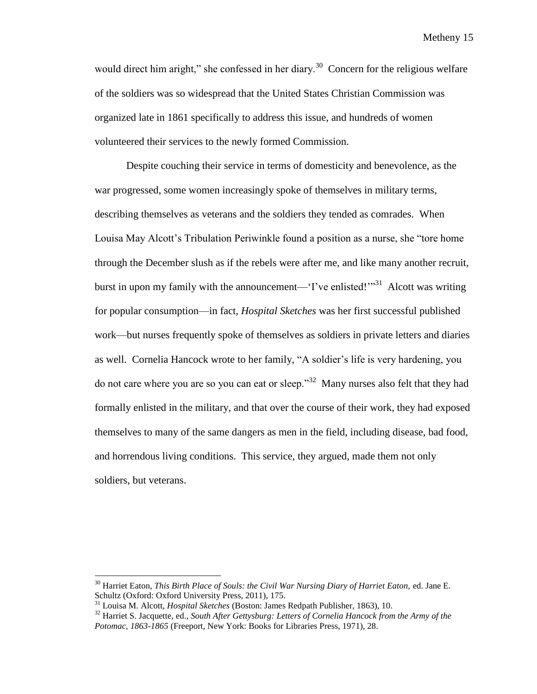would direct him aright," she confessed in her diary.<sup>30</sup> Concern for the religious welfare of the soldiers was so widespread that the United States Christian Commission was organized late in 1861 specifically to address this issue, and hundreds of women volunteered their services to the newly formed Commission.

Despite couching their service in terms of domesticity and benevolence, as the war progressed, some women increasingly spoke of themselves in military terms, describing themselves as veterans and the soldiers they tended as comrades. When Louisa May Alcott's Tribulation Periwinkle found a position as a nurse, she "tore home through the December slush as if the rebels were after me, and like many another recruit, burst in upon my family with the announcement—'I've enlisted!'"<sup>31</sup> Alcott was writing for popular consumption—in fact, *Hospital Sketches* was her first successful published work—but nurses frequently spoke of themselves as soldiers in private letters and diaries as well. Cornelia Hancock wrote to her family, "A soldier's life is very hardening, you do not care where you are so you can eat or sleep."<sup>32</sup> Many nurses also felt that they had formally enlisted in the military, and that over the course of their work, they had exposed themselves to many of the same dangers as men in the field, including disease, bad food, and horrendous living conditions. This service, they argued, made them not only soldiers, but veterans.

<sup>&</sup>lt;sup>30</sup> Harriet Eaton, *This Birth Place of Souls: the Civil War Nursing Diary of Harriet Eaton*, ed. Jane E. Schultz (Oxford: Oxford University Press, 2011), 175.

<sup>31</sup> Louisa M. Alcott, *Hospital Sketches* (Boston: James Redpath Publisher, 1863), 10.

<sup>32</sup> Harriet S. Jacquette, ed., *South After Gettysburg: Letters of Cornelia Hancock from the Army of the Potomac, 1863-1865* (Freeport, New York: Books for Libraries Press, 1971), 28.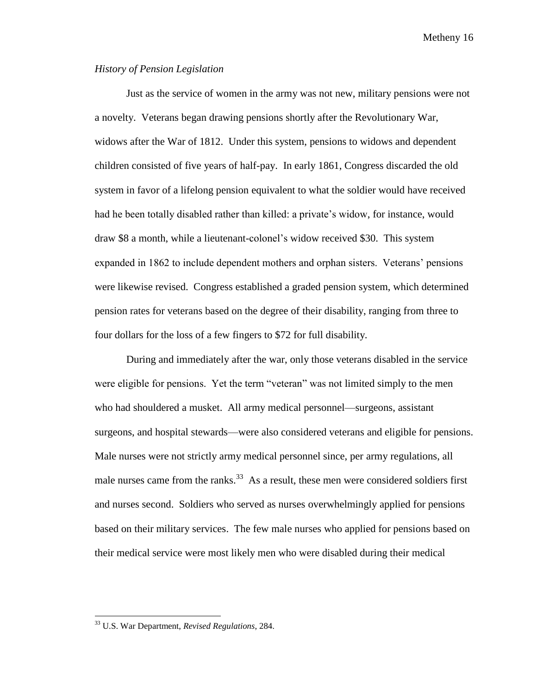# *History of Pension Legislation*

Just as the service of women in the army was not new, military pensions were not a novelty. Veterans began drawing pensions shortly after the Revolutionary War, widows after the War of 1812. Under this system, pensions to widows and dependent children consisted of five years of half-pay. In early 1861, Congress discarded the old system in favor of a lifelong pension equivalent to what the soldier would have received had he been totally disabled rather than killed: a private's widow, for instance, would draw \$8 a month, while a lieutenant-colonel's widow received \$30. This system expanded in 1862 to include dependent mothers and orphan sisters. Veterans' pensions were likewise revised. Congress established a graded pension system, which determined pension rates for veterans based on the degree of their disability, ranging from three to four dollars for the loss of a few fingers to \$72 for full disability.

During and immediately after the war, only those veterans disabled in the service were eligible for pensions. Yet the term "veteran" was not limited simply to the men who had shouldered a musket. All army medical personnel—surgeons, assistant surgeons, and hospital stewards—were also considered veterans and eligible for pensions. Male nurses were not strictly army medical personnel since, per army regulations, all male nurses came from the ranks.<sup>33</sup> As a result, these men were considered soldiers first and nurses second. Soldiers who served as nurses overwhelmingly applied for pensions based on their military services. The few male nurses who applied for pensions based on their medical service were most likely men who were disabled during their medical

<sup>33</sup> U.S. War Department, *Revised Regulations*, 284.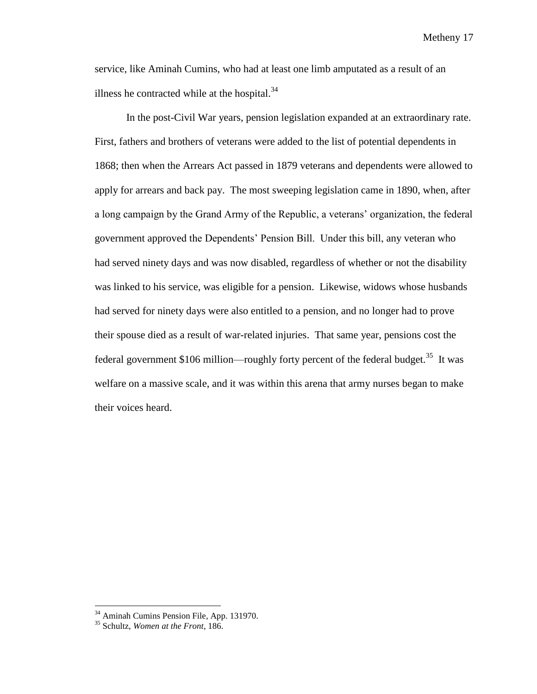service, like Aminah Cumins, who had at least one limb amputated as a result of an illness he contracted while at the hospital. $34$ 

In the post-Civil War years, pension legislation expanded at an extraordinary rate. First, fathers and brothers of veterans were added to the list of potential dependents in 1868; then when the Arrears Act passed in 1879 veterans and dependents were allowed to apply for arrears and back pay. The most sweeping legislation came in 1890, when, after a long campaign by the Grand Army of the Republic, a veterans' organization, the federal government approved the Dependents' Pension Bill. Under this bill, any veteran who had served ninety days and was now disabled, regardless of whether or not the disability was linked to his service, was eligible for a pension. Likewise, widows whose husbands had served for ninety days were also entitled to a pension, and no longer had to prove their spouse died as a result of war-related injuries. That same year, pensions cost the federal government \$106 million—roughly forty percent of the federal budget.<sup>35</sup> It was welfare on a massive scale, and it was within this arena that army nurses began to make their voices heard.

<sup>&</sup>lt;sup>34</sup> Aminah Cumins Pension File, App. 131970.

<sup>35</sup> Schultz, *Women at the Front*, 186.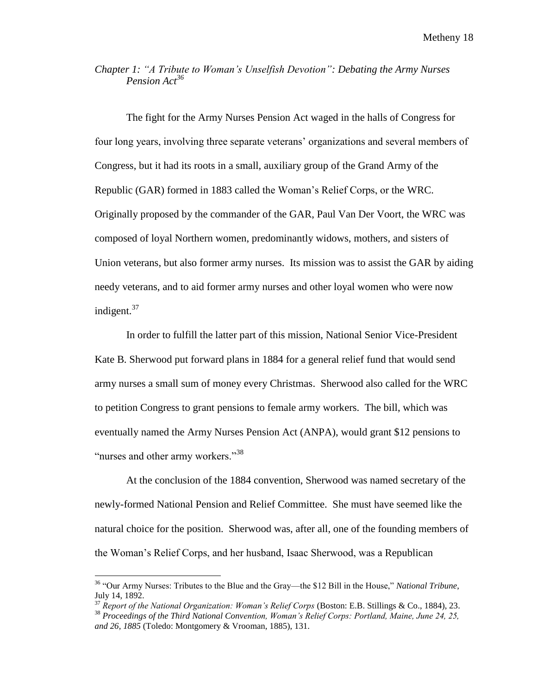# *Chapter 1: "A Tribute to Woman's Unselfish Devotion": Debating the Army Nurses Pension Act<sup>36</sup>*

The fight for the Army Nurses Pension Act waged in the halls of Congress for four long years, involving three separate veterans' organizations and several members of Congress, but it had its roots in a small, auxiliary group of the Grand Army of the Republic (GAR) formed in 1883 called the Woman's Relief Corps, or the WRC. Originally proposed by the commander of the GAR, Paul Van Der Voort, the WRC was composed of loyal Northern women, predominantly widows, mothers, and sisters of Union veterans, but also former army nurses. Its mission was to assist the GAR by aiding needy veterans, and to aid former army nurses and other loyal women who were now indigent. 37

In order to fulfill the latter part of this mission, National Senior Vice-President Kate B. Sherwood put forward plans in 1884 for a general relief fund that would send army nurses a small sum of money every Christmas. Sherwood also called for the WRC to petition Congress to grant pensions to female army workers. The bill, which was eventually named the Army Nurses Pension Act (ANPA), would grant \$12 pensions to "nurses and other army workers."<sup>38</sup>

At the conclusion of the 1884 convention, Sherwood was named secretary of the newly-formed National Pension and Relief Committee. She must have seemed like the natural choice for the position. Sherwood was, after all, one of the founding members of the Woman's Relief Corps, and her husband, Isaac Sherwood, was a Republican

<sup>36</sup> "Our Army Nurses: Tributes to the Blue and the Gray—the \$12 Bill in the House," *National Tribune*, July 14, 1892.

<sup>37</sup> *Report of the National Organization: Woman's Relief Corps* (Boston: E.B. Stillings & Co., 1884), 23. <sup>38</sup> *Proceedings of the Third National Convention, Woman's Relief Corps: Portland, Maine, June 24, 25, and 26, 1885* (Toledo: Montgomery & Vrooman, 1885), 131.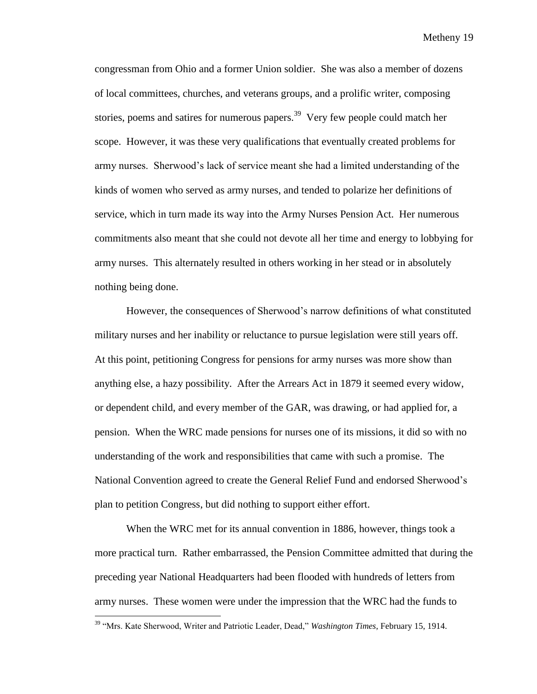congressman from Ohio and a former Union soldier. She was also a member of dozens of local committees, churches, and veterans groups, and a prolific writer, composing stories, poems and satires for numerous papers.<sup>39</sup> Very few people could match her scope. However, it was these very qualifications that eventually created problems for army nurses. Sherwood's lack of service meant she had a limited understanding of the kinds of women who served as army nurses, and tended to polarize her definitions of service, which in turn made its way into the Army Nurses Pension Act. Her numerous commitments also meant that she could not devote all her time and energy to lobbying for army nurses. This alternately resulted in others working in her stead or in absolutely nothing being done.

However, the consequences of Sherwood's narrow definitions of what constituted military nurses and her inability or reluctance to pursue legislation were still years off. At this point, petitioning Congress for pensions for army nurses was more show than anything else, a hazy possibility. After the Arrears Act in 1879 it seemed every widow, or dependent child, and every member of the GAR, was drawing, or had applied for, a pension. When the WRC made pensions for nurses one of its missions, it did so with no understanding of the work and responsibilities that came with such a promise. The National Convention agreed to create the General Relief Fund and endorsed Sherwood's plan to petition Congress, but did nothing to support either effort.

When the WRC met for its annual convention in 1886, however, things took a more practical turn. Rather embarrassed, the Pension Committee admitted that during the preceding year National Headquarters had been flooded with hundreds of letters from army nurses. These women were under the impression that the WRC had the funds to

<sup>39</sup> "Mrs. Kate Sherwood, Writer and Patriotic Leader, Dead," *Washington Times*, February 15, 1914.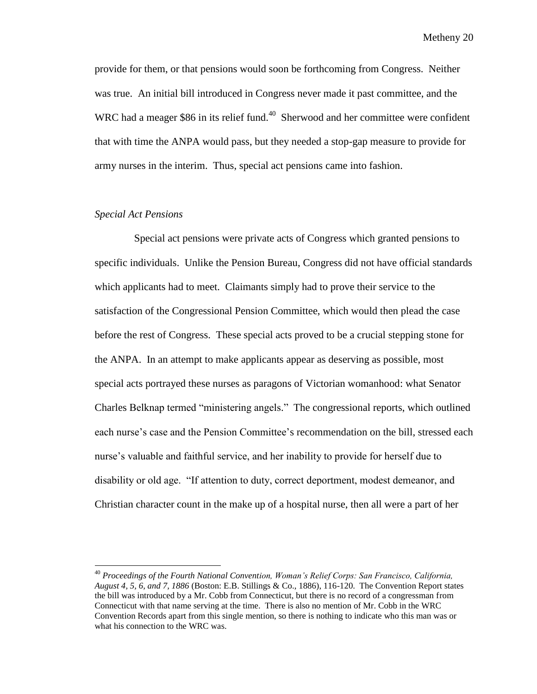provide for them, or that pensions would soon be forthcoming from Congress. Neither was true. An initial bill introduced in Congress never made it past committee, and the WRC had a meager \$86 in its relief fund. $40$  Sherwood and her committee were confident that with time the ANPA would pass, but they needed a stop-gap measure to provide for army nurses in the interim. Thus, special act pensions came into fashion.

# *Special Act Pensions*

l

 Special act pensions were private acts of Congress which granted pensions to specific individuals. Unlike the Pension Bureau, Congress did not have official standards which applicants had to meet. Claimants simply had to prove their service to the satisfaction of the Congressional Pension Committee, which would then plead the case before the rest of Congress. These special acts proved to be a crucial stepping stone for the ANPA. In an attempt to make applicants appear as deserving as possible, most special acts portrayed these nurses as paragons of Victorian womanhood: what Senator Charles Belknap termed "ministering angels." The congressional reports, which outlined each nurse's case and the Pension Committee's recommendation on the bill, stressed each nurse's valuable and faithful service, and her inability to provide for herself due to disability or old age. "If attention to duty, correct deportment, modest demeanor, and Christian character count in the make up of a hospital nurse, then all were a part of her

<sup>40</sup> *Proceedings of the Fourth National Convention, Woman's Relief Corps: San Francisco, California, August 4, 5, 6, and 7, 1886* (Boston: E.B. Stillings & Co., 1886), 116-120. The Convention Report states the bill was introduced by a Mr. Cobb from Connecticut, but there is no record of a congressman from Connecticut with that name serving at the time. There is also no mention of Mr. Cobb in the WRC Convention Records apart from this single mention, so there is nothing to indicate who this man was or what his connection to the WRC was.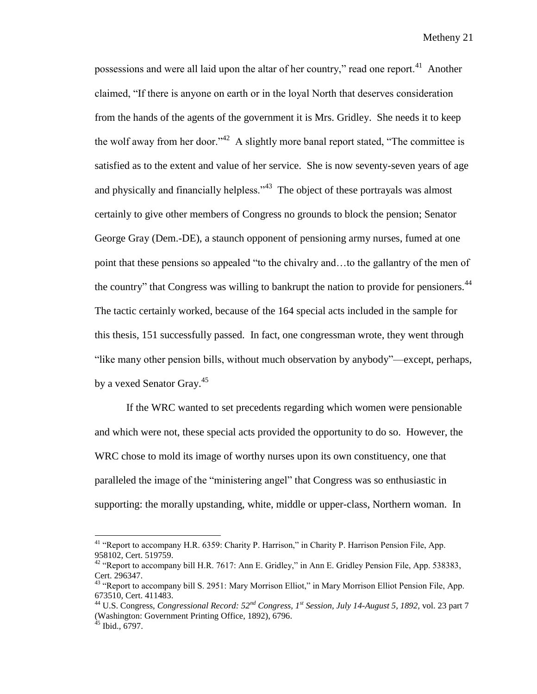possessions and were all laid upon the altar of her country," read one report.<sup>41</sup> Another claimed, "If there is anyone on earth or in the loyal North that deserves consideration from the hands of the agents of the government it is Mrs. Gridley. She needs it to keep the wolf away from her door."<sup>42</sup> A slightly more banal report stated, "The committee is satisfied as to the extent and value of her service. She is now seventy-seven years of age and physically and financially helpless.<sup> $343$ </sup> The object of these portrayals was almost certainly to give other members of Congress no grounds to block the pension; Senator George Gray (Dem.-DE), a staunch opponent of pensioning army nurses, fumed at one point that these pensions so appealed "to the chivalry and…to the gallantry of the men of the country" that Congress was willing to bankrupt the nation to provide for pensioners.<sup>44</sup> The tactic certainly worked, because of the 164 special acts included in the sample for this thesis, 151 successfully passed. In fact, one congressman wrote, they went through "like many other pension bills, without much observation by anybody"—except, perhaps, by a vexed Senator Gray.<sup>45</sup>

If the WRC wanted to set precedents regarding which women were pensionable and which were not, these special acts provided the opportunity to do so. However, the WRC chose to mold its image of worthy nurses upon its own constituency, one that paralleled the image of the "ministering angel" that Congress was so enthusiastic in supporting: the morally upstanding, white, middle or upper-class, Northern woman. In

<sup>&</sup>lt;sup>41</sup> "Report to accompany H.R. 6359: Charity P. Harrison," in Charity P. Harrison Pension File, App. 958102, Cert. 519759.

<sup>&</sup>lt;sup>42</sup> "Report to accompany bill H.R. 7617: Ann E. Gridley," in Ann E. Gridley Pension File, App. 538383, Cert. 296347.

<sup>&</sup>lt;sup>43</sup> "Report to accompany bill S. 2951: Mary Morrison Elliot," in Mary Morrison Elliot Pension File, App. 673510, Cert. 411483.

<sup>44</sup> U.S. Congress, *Congressional Record: 52nd Congress, 1st Session, July 14-August 5, 1892,* vol. 23 part 7 (Washington: Government Printing Office, 1892), 6796.

 $45$  Ibid., 6797.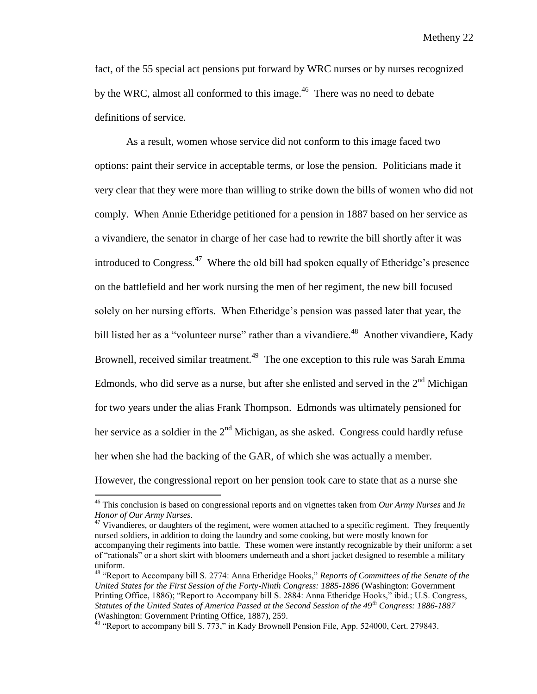fact, of the 55 special act pensions put forward by WRC nurses or by nurses recognized by the WRC, almost all conformed to this image.<sup>46</sup> There was no need to debate definitions of service.

As a result, women whose service did not conform to this image faced two options: paint their service in acceptable terms, or lose the pension. Politicians made it very clear that they were more than willing to strike down the bills of women who did not comply. When Annie Etheridge petitioned for a pension in 1887 based on her service as a vivandiere, the senator in charge of her case had to rewrite the bill shortly after it was introduced to Congress.<sup>47</sup> Where the old bill had spoken equally of Etheridge's presence on the battlefield and her work nursing the men of her regiment, the new bill focused solely on her nursing efforts. When Etheridge's pension was passed later that year, the bill listed her as a "volunteer nurse" rather than a vivandiere.<sup>48</sup> Another vivandiere, Kady Brownell, received similar treatment.<sup>49</sup> The one exception to this rule was Sarah Emma Edmonds, who did serve as a nurse, but after she enlisted and served in the  $2<sup>nd</sup>$  Michigan for two years under the alias Frank Thompson. Edmonds was ultimately pensioned for her service as a soldier in the  $2<sup>nd</sup>$  Michigan, as she asked. Congress could hardly refuse her when she had the backing of the GAR, of which she was actually a member.

However, the congressional report on her pension took care to state that as a nurse she

<sup>46</sup> This conclusion is based on congressional reports and on vignettes taken from *Our Army Nurses* and *In Honor of Our Army Nurses*.

<sup>&</sup>lt;sup>47</sup> Vivandieres, or daughters of the regiment, were women attached to a specific regiment. They frequently nursed soldiers, in addition to doing the laundry and some cooking, but were mostly known for accompanying their regiments into battle. These women were instantly recognizable by their uniform: a set of "rationals" or a short skirt with bloomers underneath and a short jacket designed to resemble a military uniform.

<sup>48</sup> "Report to Accompany bill S. 2774: Anna Etheridge Hooks," *Reports of Committees of the Senate of the United States for the First Session of the Forty-Ninth Congress: 1885-1886* (Washington: Government Printing Office, 1886); "Report to Accompany bill S. 2884: Anna Etheridge Hooks," ibid.; U.S. Congress, *Statutes of the United States of America Passed at the Second Session of the 49th Congress: 1886-1887* (Washington: Government Printing Office, 1887), 259.

<sup>&</sup>lt;sup>49</sup> "Report to accompany bill S. 773," in Kady Brownell Pension File, App. 524000, Cert. 279843.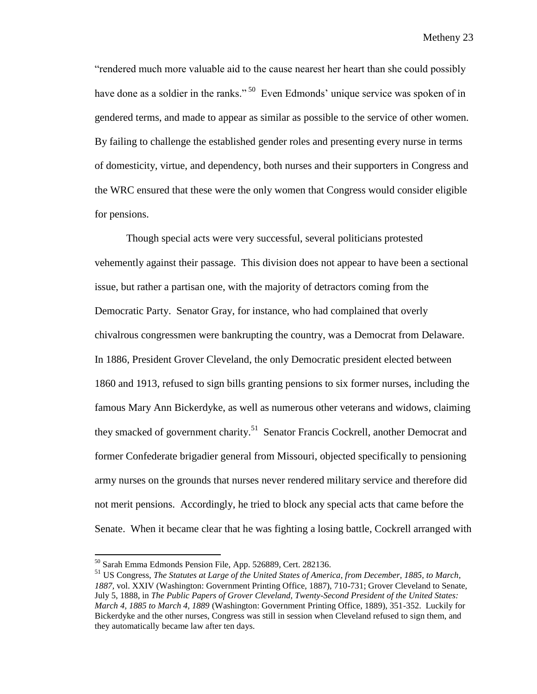"rendered much more valuable aid to the cause nearest her heart than she could possibly have done as a soldier in the ranks."<sup>50</sup> Even Edmonds' unique service was spoken of in gendered terms, and made to appear as similar as possible to the service of other women. By failing to challenge the established gender roles and presenting every nurse in terms of domesticity, virtue, and dependency, both nurses and their supporters in Congress and the WRC ensured that these were the only women that Congress would consider eligible for pensions.

Though special acts were very successful, several politicians protested vehemently against their passage. This division does not appear to have been a sectional issue, but rather a partisan one, with the majority of detractors coming from the Democratic Party. Senator Gray, for instance, who had complained that overly chivalrous congressmen were bankrupting the country, was a Democrat from Delaware. In 1886, President Grover Cleveland, the only Democratic president elected between 1860 and 1913, refused to sign bills granting pensions to six former nurses, including the famous Mary Ann Bickerdyke, as well as numerous other veterans and widows, claiming they smacked of government charity.<sup>51</sup> Senator Francis Cockrell, another Democrat and former Confederate brigadier general from Missouri, objected specifically to pensioning army nurses on the grounds that nurses never rendered military service and therefore did not merit pensions. Accordingly, he tried to block any special acts that came before the Senate. When it became clear that he was fighting a losing battle, Cockrell arranged with

<sup>50</sup> Sarah Emma Edmonds Pension File, App. 526889, Cert. 282136.

<sup>51</sup> US Congress, *The Statutes at Large of the United States of America, from December, 1885, to March, 1887,* vol. XXIV (Washington: Government Printing Office, 1887), 710-731; Grover Cleveland to Senate, July 5, 1888, in *The Public Papers of Grover Cleveland, Twenty*-*Second President of the United States: March 4, 1885 to March 4, 1889* (Washington: Government Printing Office, 1889), 351-352. Luckily for Bickerdyke and the other nurses, Congress was still in session when Cleveland refused to sign them, and they automatically became law after ten days.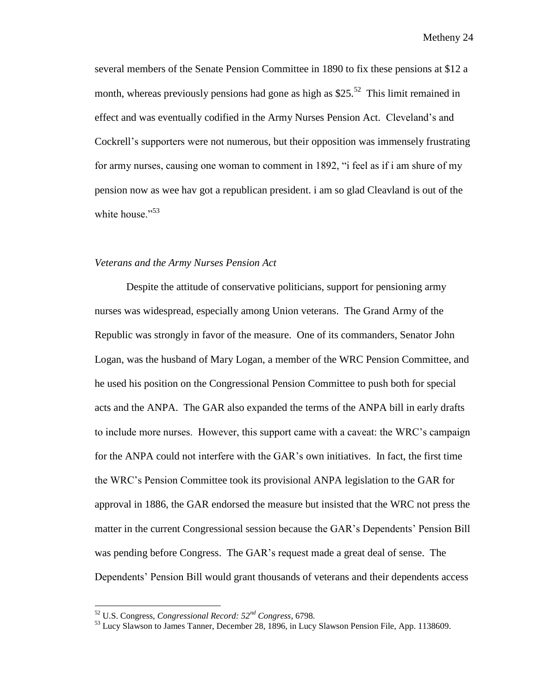several members of the Senate Pension Committee in 1890 to fix these pensions at \$12 a month, whereas previously pensions had gone as high as  $$25.<sup>52</sup>$  This limit remained in effect and was eventually codified in the Army Nurses Pension Act. Cleveland's and Cockrell's supporters were not numerous, but their opposition was immensely frustrating for army nurses, causing one woman to comment in 1892, "i feel as if i am shure of my pension now as wee hav got a republican president. i am so glad Cleavland is out of the white house."<sup>53</sup>

## *Veterans and the Army Nurses Pension Act*

Despite the attitude of conservative politicians, support for pensioning army nurses was widespread, especially among Union veterans. The Grand Army of the Republic was strongly in favor of the measure. One of its commanders, Senator John Logan, was the husband of Mary Logan, a member of the WRC Pension Committee, and he used his position on the Congressional Pension Committee to push both for special acts and the ANPA. The GAR also expanded the terms of the ANPA bill in early drafts to include more nurses. However, this support came with a caveat: the WRC's campaign for the ANPA could not interfere with the GAR's own initiatives. In fact, the first time the WRC's Pension Committee took its provisional ANPA legislation to the GAR for approval in 1886, the GAR endorsed the measure but insisted that the WRC not press the matter in the current Congressional session because the GAR's Dependents' Pension Bill was pending before Congress. The GAR's request made a great deal of sense. The Dependents' Pension Bill would grant thousands of veterans and their dependents access

<sup>52</sup> U.S. Congress, *Congressional Record: 52nd Congress*, 6798.

<sup>&</sup>lt;sup>53</sup> Lucy Slawson to James Tanner, December 28, 1896, in Lucy Slawson Pension File, App. 1138609.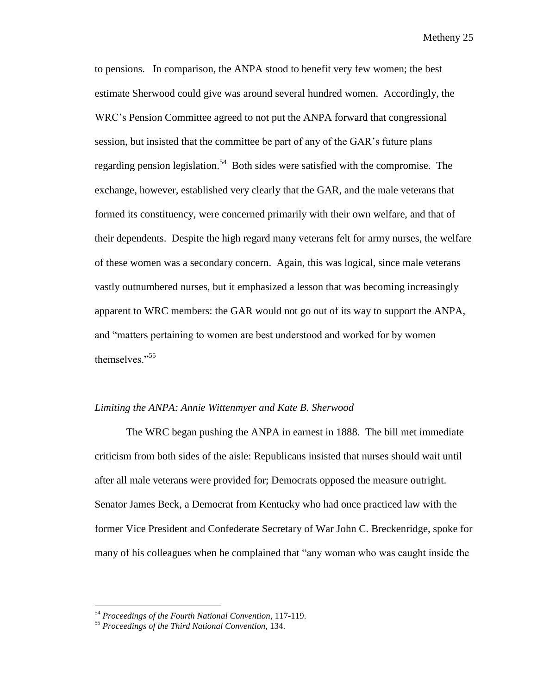to pensions. In comparison, the ANPA stood to benefit very few women; the best estimate Sherwood could give was around several hundred women. Accordingly, the WRC's Pension Committee agreed to not put the ANPA forward that congressional session, but insisted that the committee be part of any of the GAR's future plans regarding pension legislation.<sup>54</sup> Both sides were satisfied with the compromise. The exchange, however, established very clearly that the GAR, and the male veterans that formed its constituency, were concerned primarily with their own welfare, and that of their dependents. Despite the high regard many veterans felt for army nurses, the welfare of these women was a secondary concern. Again, this was logical, since male veterans vastly outnumbered nurses, but it emphasized a lesson that was becoming increasingly apparent to WRC members: the GAR would not go out of its way to support the ANPA, and "matters pertaining to women are best understood and worked for by women themselves."<sup>55</sup>

#### *Limiting the ANPA: Annie Wittenmyer and Kate B. Sherwood*

The WRC began pushing the ANPA in earnest in 1888. The bill met immediate criticism from both sides of the aisle: Republicans insisted that nurses should wait until after all male veterans were provided for; Democrats opposed the measure outright. Senator James Beck, a Democrat from Kentucky who had once practiced law with the former Vice President and Confederate Secretary of War John C. Breckenridge, spoke for many of his colleagues when he complained that "any woman who was caught inside the

<sup>54</sup> *Proceedings of the Fourth National Convention*, 117-119.

<sup>55</sup> *Proceedings of the Third National Convention*, 134.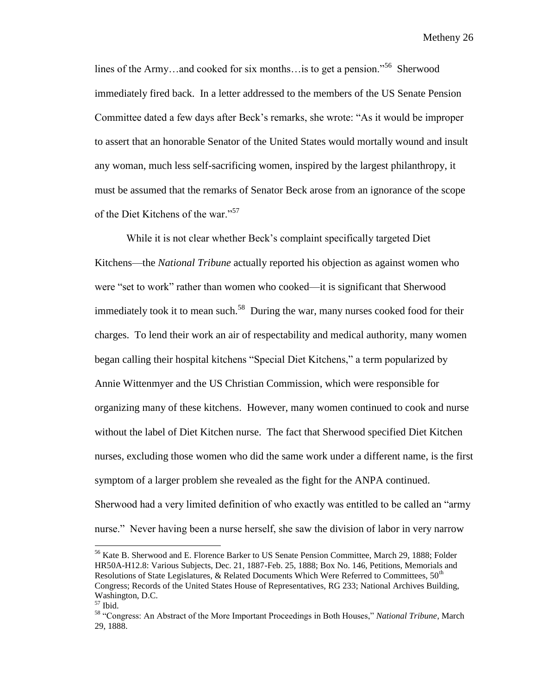lines of the Army...and cooked for six months... is to get a pension."<sup>56</sup> Sherwood immediately fired back. In a letter addressed to the members of the US Senate Pension Committee dated a few days after Beck's remarks, she wrote: "As it would be improper to assert that an honorable Senator of the United States would mortally wound and insult any woman, much less self-sacrificing women, inspired by the largest philanthropy, it must be assumed that the remarks of Senator Beck arose from an ignorance of the scope of the Diet Kitchens of the war."<sup>57</sup>

While it is not clear whether Beck's complaint specifically targeted Diet Kitchens—the *National Tribune* actually reported his objection as against women who were "set to work" rather than women who cooked—it is significant that Sherwood immediately took it to mean such.<sup>58</sup> During the war, many nurses cooked food for their charges. To lend their work an air of respectability and medical authority, many women began calling their hospital kitchens "Special Diet Kitchens," a term popularized by Annie Wittenmyer and the US Christian Commission, which were responsible for organizing many of these kitchens. However, many women continued to cook and nurse without the label of Diet Kitchen nurse. The fact that Sherwood specified Diet Kitchen nurses, excluding those women who did the same work under a different name, is the first symptom of a larger problem she revealed as the fight for the ANPA continued. Sherwood had a very limited definition of who exactly was entitled to be called an "army nurse." Never having been a nurse herself, she saw the division of labor in very narrow

<sup>56</sup> Kate B. Sherwood and E. Florence Barker to US Senate Pension Committee, March 29, 1888; Folder HR50A-H12.8: Various Subjects, Dec. 21, 1887-Feb. 25, 1888; Box No. 146, Petitions, Memorials and Resolutions of State Legislatures, & Related Documents Which Were Referred to Committees,  $50<sup>th</sup>$ Congress; Records of the United States House of Representatives, RG 233; National Archives Building, Washington, D.C.

 $57$  Ibid.

<sup>58</sup> "Congress: An Abstract of the More Important Proceedings in Both Houses," *National Tribune*, March 29, 1888.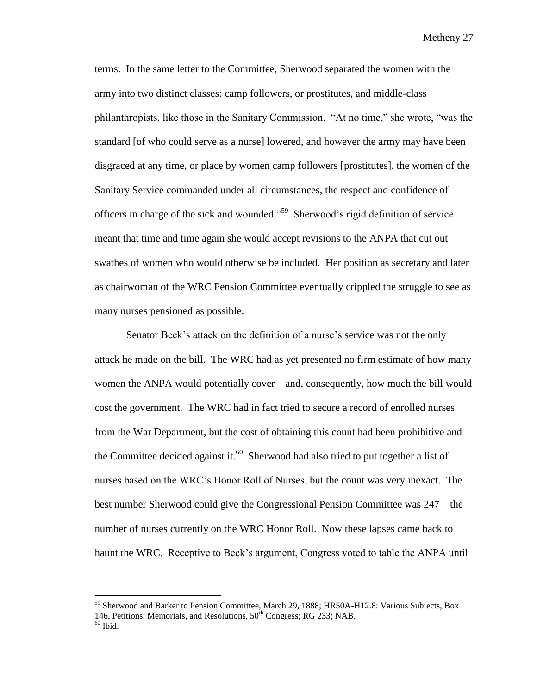terms. In the same letter to the Committee, Sherwood separated the women with the army into two distinct classes: camp followers, or prostitutes, and middle-class philanthropists, like those in the Sanitary Commission. "At no time," she wrote, "was the standard [of who could serve as a nurse] lowered, and however the army may have been disgraced at any time, or place by women camp followers [prostitutes], the women of the Sanitary Service commanded under all circumstances, the respect and confidence of officers in charge of the sick and wounded."<sup>59</sup> Sherwood's rigid definition of service meant that time and time again she would accept revisions to the ANPA that cut out swathes of women who would otherwise be included. Her position as secretary and later as chairwoman of the WRC Pension Committee eventually crippled the struggle to see as many nurses pensioned as possible.

Senator Beck's attack on the definition of a nurse's service was not the only attack he made on the bill. The WRC had as yet presented no firm estimate of how many women the ANPA would potentially cover—and, consequently, how much the bill would cost the government. The WRC had in fact tried to secure a record of enrolled nurses from the War Department, but the cost of obtaining this count had been prohibitive and the Committee decided against it.<sup>60</sup> Sherwood had also tried to put together a list of nurses based on the WRC's Honor Roll of Nurses, but the count was very inexact. The best number Sherwood could give the Congressional Pension Committee was 247—the number of nurses currently on the WRC Honor Roll. Now these lapses came back to haunt the WRC. Receptive to Beck's argument, Congress voted to table the ANPA until

<sup>&</sup>lt;sup>59</sup> Sherwood and Barker to Pension Committee, March 29, 1888; HR50A-H12.8: Various Subjects, Box 146, Petitions, Memorials, and Resolutions,  $50^{th}$  Congress; RG 233; NAB.

 $60$  Ibid.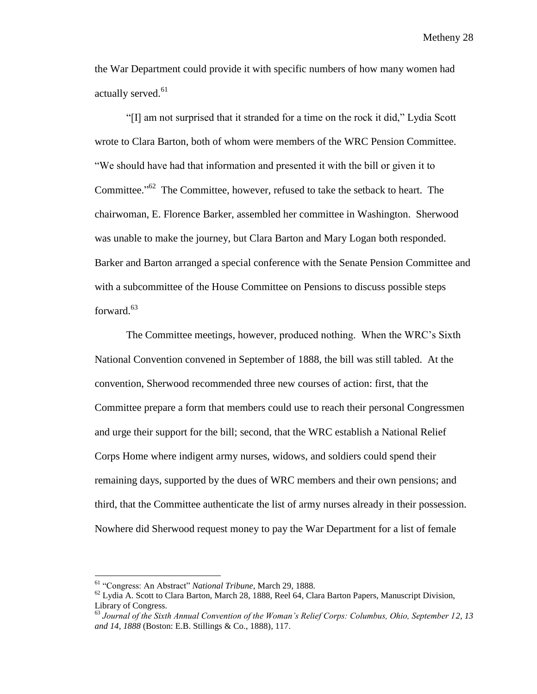the War Department could provide it with specific numbers of how many women had actually served.<sup>61</sup>

"[I] am not surprised that it stranded for a time on the rock it did," Lydia Scott wrote to Clara Barton, both of whom were members of the WRC Pension Committee. "We should have had that information and presented it with the bill or given it to Committee."<sup>62</sup> The Committee, however, refused to take the setback to heart. The chairwoman, E. Florence Barker, assembled her committee in Washington. Sherwood was unable to make the journey, but Clara Barton and Mary Logan both responded. Barker and Barton arranged a special conference with the Senate Pension Committee and with a subcommittee of the House Committee on Pensions to discuss possible steps forward. 63

The Committee meetings, however, produced nothing. When the WRC's Sixth National Convention convened in September of 1888, the bill was still tabled. At the convention, Sherwood recommended three new courses of action: first, that the Committee prepare a form that members could use to reach their personal Congressmen and urge their support for the bill; second, that the WRC establish a National Relief Corps Home where indigent army nurses, widows, and soldiers could spend their remaining days, supported by the dues of WRC members and their own pensions; and third, that the Committee authenticate the list of army nurses already in their possession. Nowhere did Sherwood request money to pay the War Department for a list of female

<sup>61</sup> "Congress: An Abstract" *National Tribune*, March 29, 1888.

 $^{62}$  Lydia A. Scott to Clara Barton, March 28, 1888, Reel 64, Clara Barton Papers, Manuscript Division, Library of Congress.

<sup>63</sup> *Journal of the Sixth Annual Convention of the Woman's Relief Corps: Columbus, Ohio, September 12, 13 and 14, 1888* (Boston: E.B. Stillings & Co., 1888)*,* 117.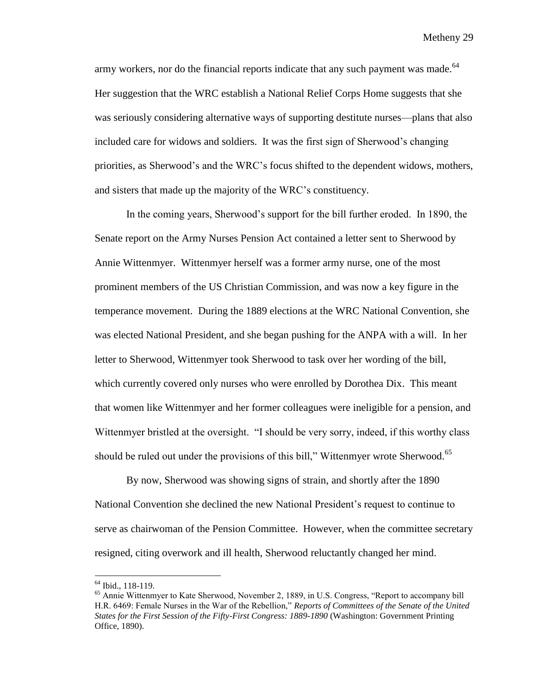army workers, nor do the financial reports indicate that any such payment was made.<sup>64</sup> Her suggestion that the WRC establish a National Relief Corps Home suggests that she was seriously considering alternative ways of supporting destitute nurses—plans that also included care for widows and soldiers. It was the first sign of Sherwood's changing priorities, as Sherwood's and the WRC's focus shifted to the dependent widows, mothers, and sisters that made up the majority of the WRC's constituency.

In the coming years, Sherwood's support for the bill further eroded. In 1890, the Senate report on the Army Nurses Pension Act contained a letter sent to Sherwood by Annie Wittenmyer. Wittenmyer herself was a former army nurse, one of the most prominent members of the US Christian Commission, and was now a key figure in the temperance movement. During the 1889 elections at the WRC National Convention, she was elected National President, and she began pushing for the ANPA with a will. In her letter to Sherwood, Wittenmyer took Sherwood to task over her wording of the bill, which currently covered only nurses who were enrolled by Dorothea Dix. This meant that women like Wittenmyer and her former colleagues were ineligible for a pension, and Wittenmyer bristled at the oversight. "I should be very sorry, indeed, if this worthy class should be ruled out under the provisions of this bill," Wittenmyer wrote Sherwood.<sup>65</sup>

By now, Sherwood was showing signs of strain, and shortly after the 1890 National Convention she declined the new National President's request to continue to serve as chairwoman of the Pension Committee. However, when the committee secretary resigned, citing overwork and ill health, Sherwood reluctantly changed her mind.

<sup>64</sup> Ibid., 118-119.

<sup>&</sup>lt;sup>65</sup> Annie Wittenmyer to Kate Sherwood, November 2, 1889, in U.S. Congress, "Report to accompany bill H.R. 6469: Female Nurses in the War of the Rebellion," *Reports of Committees of the Senate of the United States for the First Session of the Fifty-First Congress: 1889-1890* (Washington: Government Printing Office, 1890).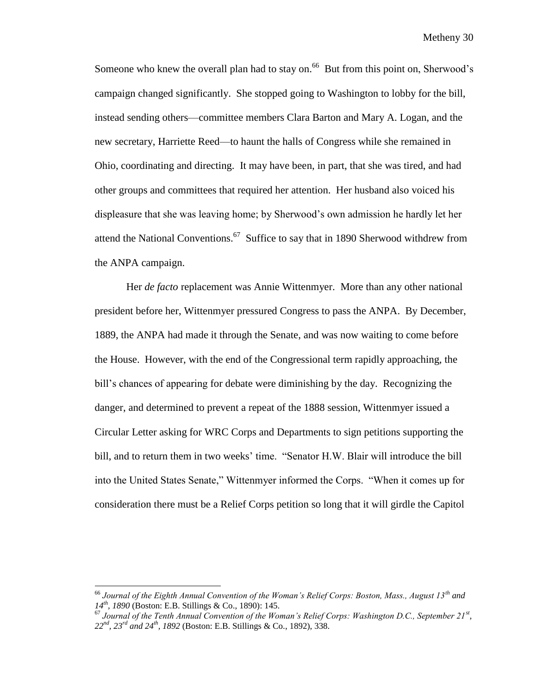Someone who knew the overall plan had to stay on.<sup>66</sup> But from this point on, Sherwood's campaign changed significantly. She stopped going to Washington to lobby for the bill, instead sending others—committee members Clara Barton and Mary A. Logan, and the new secretary, Harriette Reed—to haunt the halls of Congress while she remained in Ohio, coordinating and directing. It may have been, in part, that she was tired, and had other groups and committees that required her attention. Her husband also voiced his displeasure that she was leaving home; by Sherwood's own admission he hardly let her attend the National Conventions.<sup>67</sup> Suffice to say that in 1890 Sherwood withdrew from the ANPA campaign.

Her *de facto* replacement was Annie Wittenmyer. More than any other national president before her, Wittenmyer pressured Congress to pass the ANPA. By December, 1889, the ANPA had made it through the Senate, and was now waiting to come before the House. However, with the end of the Congressional term rapidly approaching, the bill's chances of appearing for debate were diminishing by the day. Recognizing the danger, and determined to prevent a repeat of the 1888 session, Wittenmyer issued a Circular Letter asking for WRC Corps and Departments to sign petitions supporting the bill, and to return them in two weeks' time. "Senator H.W. Blair will introduce the bill into the United States Senate," Wittenmyer informed the Corps. "When it comes up for consideration there must be a Relief Corps petition so long that it will girdle the Capitol

<sup>66</sup> *Journal of the Eighth Annual Convention of the Woman's Relief Corps: Boston, Mass., August 13th and 14th, 1890* (Boston: E.B. Stillings & Co., 1890): 145.

<sup>67</sup> *Journal of the Tenth Annual Convention of the Woman's Relief Corps: Washington D.C., September 21st , 22nd, 23rd and 24th, 1892* (Boston: E.B. Stillings & Co., 1892), 338.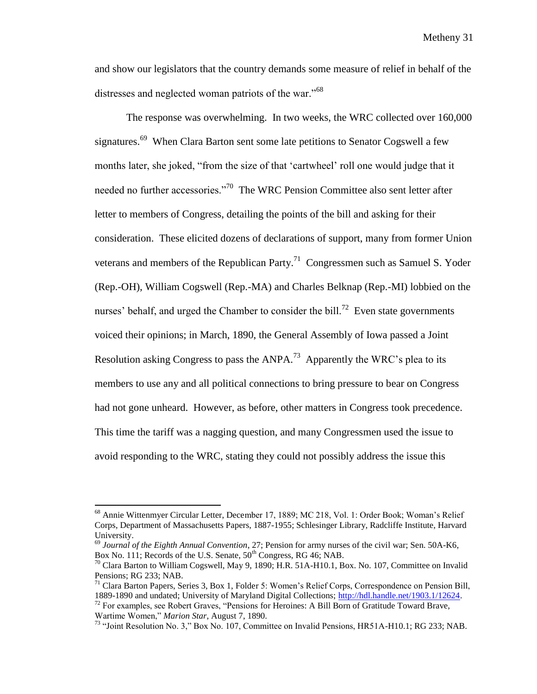and show our legislators that the country demands some measure of relief in behalf of the distresses and neglected woman patriots of the war."<sup>68</sup>

The response was overwhelming. In two weeks, the WRC collected over 160,000 signatures.<sup>69</sup> When Clara Barton sent some late petitions to Senator Cogswell a few months later, she joked, "from the size of that 'cartwheel' roll one would judge that it needed no further accessories."<sup>70</sup> The WRC Pension Committee also sent letter after letter to members of Congress, detailing the points of the bill and asking for their consideration. These elicited dozens of declarations of support, many from former Union veterans and members of the Republican Party.<sup>71</sup> Congressmen such as Samuel S. Yoder (Rep.-OH), William Cogswell (Rep.-MA) and Charles Belknap (Rep.-MI) lobbied on the nurses' behalf, and urged the Chamber to consider the bill.<sup>72</sup> Even state governments voiced their opinions; in March, 1890, the General Assembly of Iowa passed a Joint Resolution asking Congress to pass the ANPA.<sup>73</sup> Apparently the WRC's plea to its members to use any and all political connections to bring pressure to bear on Congress had not gone unheard. However, as before, other matters in Congress took precedence. This time the tariff was a nagging question, and many Congressmen used the issue to avoid responding to the WRC, stating they could not possibly address the issue this

<sup>68</sup> Annie Wittenmyer Circular Letter, December 17, 1889; MC 218, Vol. 1: Order Book; Woman's Relief Corps, Department of Massachusetts Papers, 1887-1955; Schlesinger Library, Radcliffe Institute, Harvard University.

<sup>69</sup> *Journal of the Eighth Annual Convention*, 27; Pension for army nurses of the civil war; Sen. 50A-K6, Box No. 111; Records of the U.S. Senate,  $50^{th}$  Congress, RG 46; NAB.

<sup>&</sup>lt;sup>70</sup> Clara Barton to William Cogswell, May 9, 1890; H.R. 51A-H10.1, Box. No. 107, Committee on Invalid Pensions; RG 233; NAB.

<sup>71</sup> Clara Barton Papers, Series 3, Box 1, Folder 5: Women's Relief Corps, Correspondence on Pension Bill, 1889-1890 and undated; University of Maryland Digital Collections; [http://hdl.handle.net/1903.1/12624.](http://hdl.handle.net/1903.1/12624)

<sup>&</sup>lt;sup>72</sup> For examples, see Robert Graves, "Pensions for Heroines: A Bill Born of Gratitude Toward Brave, Wartime Women," *Marion Star*, August 7, 1890.

<sup>73</sup> "Joint Resolution No. 3," Box No. 107, Committee on Invalid Pensions, HR51A-H10.1; RG 233; NAB.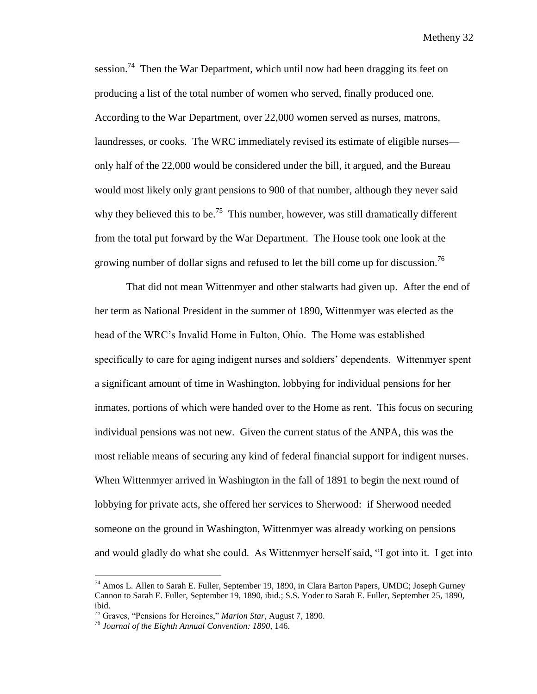session.<sup>74</sup> Then the War Department, which until now had been dragging its feet on producing a list of the total number of women who served, finally produced one. According to the War Department, over 22,000 women served as nurses, matrons, laundresses, or cooks. The WRC immediately revised its estimate of eligible nurses only half of the 22,000 would be considered under the bill, it argued, and the Bureau would most likely only grant pensions to 900 of that number, although they never said why they believed this to be.<sup>75</sup> This number, however, was still dramatically different from the total put forward by the War Department. The House took one look at the growing number of dollar signs and refused to let the bill come up for discussion.<sup>76</sup>

That did not mean Wittenmyer and other stalwarts had given up. After the end of her term as National President in the summer of 1890, Wittenmyer was elected as the head of the WRC's Invalid Home in Fulton, Ohio. The Home was established specifically to care for aging indigent nurses and soldiers' dependents. Wittenmyer spent a significant amount of time in Washington, lobbying for individual pensions for her inmates, portions of which were handed over to the Home as rent. This focus on securing individual pensions was not new. Given the current status of the ANPA, this was the most reliable means of securing any kind of federal financial support for indigent nurses. When Wittenmyer arrived in Washington in the fall of 1891 to begin the next round of lobbying for private acts, she offered her services to Sherwood: if Sherwood needed someone on the ground in Washington, Wittenmyer was already working on pensions and would gladly do what she could. As Wittenmyer herself said, "I got into it. I get into

<sup>&</sup>lt;sup>74</sup> Amos L. Allen to Sarah E. Fuller, September 19, 1890, in Clara Barton Papers, UMDC; Joseph Gurney Cannon to Sarah E. Fuller, September 19, 1890, ibid.; S.S. Yoder to Sarah E. Fuller, September 25, 1890, ibid.

<sup>75</sup> Graves, "Pensions for Heroines," *Marion Star*, August 7, 1890.

<sup>76</sup> *Journal of the Eighth Annual Convention: 1890*, 146.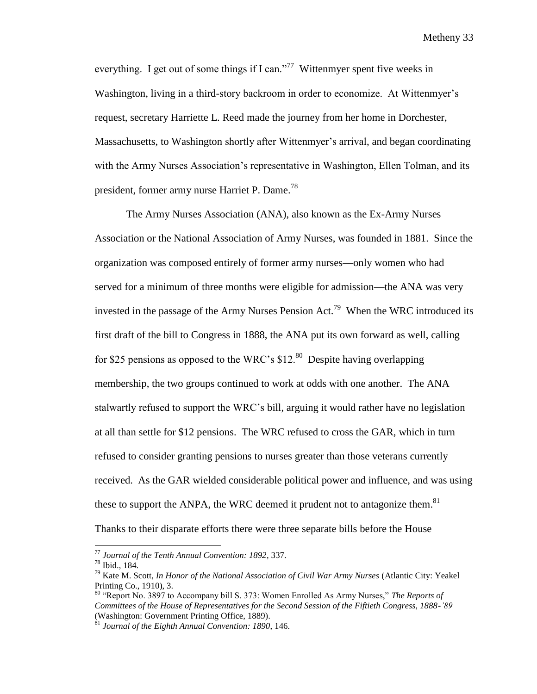everything. I get out of some things if I can."<sup>77</sup> Wittenmyer spent five weeks in Washington, living in a third-story backroom in order to economize. At Wittenmyer's request, secretary Harriette L. Reed made the journey from her home in Dorchester, Massachusetts, to Washington shortly after Wittenmyer's arrival, and began coordinating with the Army Nurses Association's representative in Washington, Ellen Tolman, and its president, former army nurse Harriet P. Dame.<sup>78</sup>

The Army Nurses Association (ANA), also known as the Ex-Army Nurses Association or the National Association of Army Nurses, was founded in 1881. Since the organization was composed entirely of former army nurses—only women who had served for a minimum of three months were eligible for admission—the ANA was very invested in the passage of the Army Nurses Pension Act.<sup>79</sup> When the WRC introduced its first draft of the bill to Congress in 1888, the ANA put its own forward as well, calling for \$25 pensions as opposed to the WRC's  $$12<sup>80</sup>$  Despite having overlapping membership, the two groups continued to work at odds with one another. The ANA stalwartly refused to support the WRC's bill, arguing it would rather have no legislation at all than settle for \$12 pensions. The WRC refused to cross the GAR, which in turn refused to consider granting pensions to nurses greater than those veterans currently received. As the GAR wielded considerable political power and influence, and was using these to support the ANPA, the WRC deemed it prudent not to antagonize them.<sup>81</sup> Thanks to their disparate efforts there were three separate bills before the House

<sup>77</sup> *Journal of the Tenth Annual Convention: 1892*, 337.

<sup>78</sup> Ibid., 184.

<sup>79</sup> Kate M. Scott, *In Honor of the National Association of Civil War Army Nurses* (Atlantic City: Yeakel Printing Co., 1910), 3.

<sup>80</sup> "Report No. 3897 to Accompany bill S. 373: Women Enrolled As Army Nurses," *The Reports of Committees of the House of Representatives for the Second Session of the Fiftieth Congress, 1888-'89* (Washington: Government Printing Office, 1889).

<sup>81</sup> *Journal of the Eighth Annual Convention: 1890*, 146.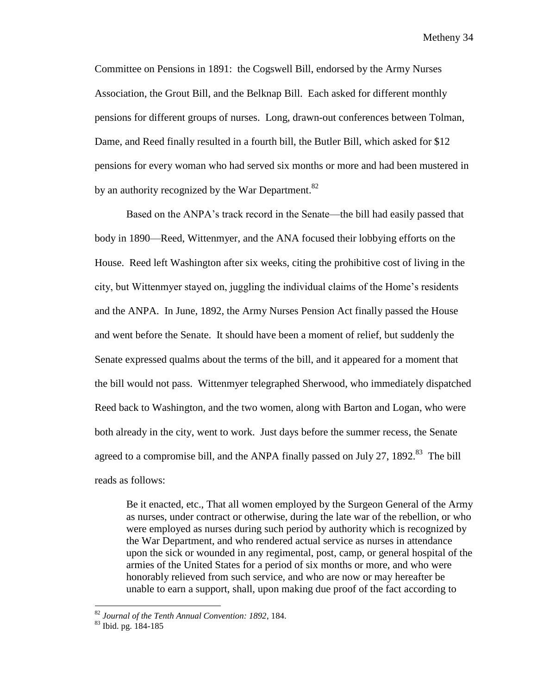Committee on Pensions in 1891: the Cogswell Bill, endorsed by the Army Nurses Association, the Grout Bill, and the Belknap Bill. Each asked for different monthly pensions for different groups of nurses. Long, drawn-out conferences between Tolman, Dame, and Reed finally resulted in a fourth bill, the Butler Bill, which asked for \$12 pensions for every woman who had served six months or more and had been mustered in by an authority recognized by the War Department.<sup>82</sup>

Based on the ANPA's track record in the Senate—the bill had easily passed that body in 1890—Reed, Wittenmyer, and the ANA focused their lobbying efforts on the House. Reed left Washington after six weeks, citing the prohibitive cost of living in the city, but Wittenmyer stayed on, juggling the individual claims of the Home's residents and the ANPA. In June, 1892, the Army Nurses Pension Act finally passed the House and went before the Senate. It should have been a moment of relief, but suddenly the Senate expressed qualms about the terms of the bill, and it appeared for a moment that the bill would not pass. Wittenmyer telegraphed Sherwood, who immediately dispatched Reed back to Washington, and the two women, along with Barton and Logan, who were both already in the city, went to work. Just days before the summer recess, the Senate agreed to a compromise bill, and the ANPA finally passed on July 27, 1892.<sup>83</sup> The bill reads as follows:

Be it enacted, etc., That all women employed by the Surgeon General of the Army as nurses, under contract or otherwise, during the late war of the rebellion, or who were employed as nurses during such period by authority which is recognized by the War Department, and who rendered actual service as nurses in attendance upon the sick or wounded in any regimental, post, camp, or general hospital of the armies of the United States for a period of six months or more, and who were honorably relieved from such service, and who are now or may hereafter be unable to earn a support, shall, upon making due proof of the fact according to

<sup>82</sup> *Journal of the Tenth Annual Convention: 1892*, 184.

<sup>83</sup> Ibid. pg. 184-185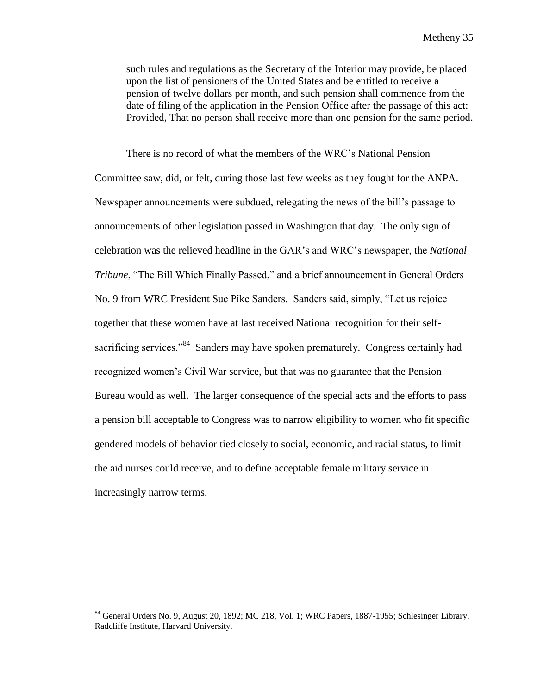such rules and regulations as the Secretary of the Interior may provide, be placed upon the list of pensioners of the United States and be entitled to receive a pension of twelve dollars per month, and such pension shall commence from the date of filing of the application in the Pension Office after the passage of this act: Provided, That no person shall receive more than one pension for the same period.

There is no record of what the members of the WRC's National Pension Committee saw, did, or felt, during those last few weeks as they fought for the ANPA. Newspaper announcements were subdued, relegating the news of the bill's passage to announcements of other legislation passed in Washington that day. The only sign of celebration was the relieved headline in the GAR's and WRC's newspaper, the *National Tribune*, "The Bill Which Finally Passed," and a brief announcement in General Orders No. 9 from WRC President Sue Pike Sanders. Sanders said, simply, "Let us rejoice together that these women have at last received National recognition for their selfsacrificing services."<sup>84</sup> Sanders may have spoken prematurely. Congress certainly had recognized women's Civil War service, but that was no guarantee that the Pension Bureau would as well. The larger consequence of the special acts and the efforts to pass a pension bill acceptable to Congress was to narrow eligibility to women who fit specific gendered models of behavior tied closely to social, economic, and racial status, to limit the aid nurses could receive, and to define acceptable female military service in increasingly narrow terms.

<sup>&</sup>lt;sup>84</sup> General Orders No. 9, August 20, 1892; MC 218, Vol. 1; WRC Papers, 1887-1955; Schlesinger Library, Radcliffe Institute, Harvard University.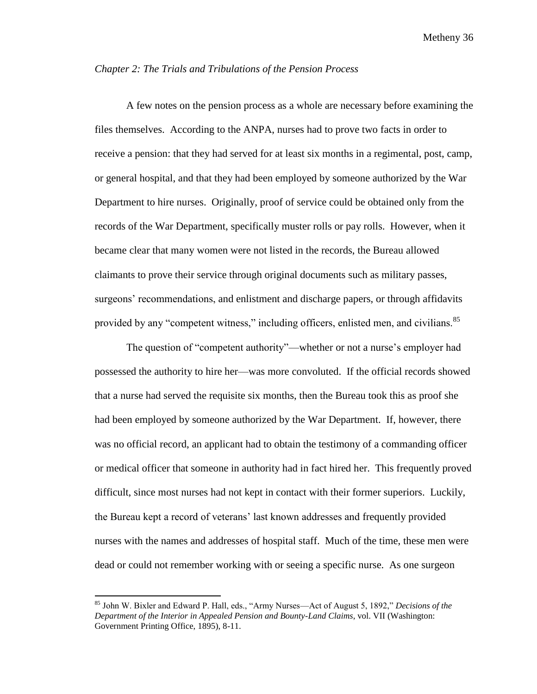#### *Chapter 2: The Trials and Tribulations of the Pension Process*

A few notes on the pension process as a whole are necessary before examining the files themselves. According to the ANPA, nurses had to prove two facts in order to receive a pension: that they had served for at least six months in a regimental, post, camp, or general hospital, and that they had been employed by someone authorized by the War Department to hire nurses. Originally, proof of service could be obtained only from the records of the War Department, specifically muster rolls or pay rolls. However, when it became clear that many women were not listed in the records, the Bureau allowed claimants to prove their service through original documents such as military passes, surgeons' recommendations, and enlistment and discharge papers, or through affidavits provided by any "competent witness," including officers, enlisted men, and civilians.<sup>85</sup>

The question of "competent authority"—whether or not a nurse's employer had possessed the authority to hire her—was more convoluted. If the official records showed that a nurse had served the requisite six months, then the Bureau took this as proof she had been employed by someone authorized by the War Department. If, however, there was no official record, an applicant had to obtain the testimony of a commanding officer or medical officer that someone in authority had in fact hired her. This frequently proved difficult, since most nurses had not kept in contact with their former superiors. Luckily, the Bureau kept a record of veterans' last known addresses and frequently provided nurses with the names and addresses of hospital staff. Much of the time, these men were dead or could not remember working with or seeing a specific nurse. As one surgeon

<sup>85</sup> John W. Bixler and Edward P. Hall, eds., "Army Nurses—Act of August 5, 1892," *Decisions of the Department of the Interior in Appealed Pension and Bounty-Land Claims*, vol. VII (Washington: Government Printing Office, 1895), 8-11.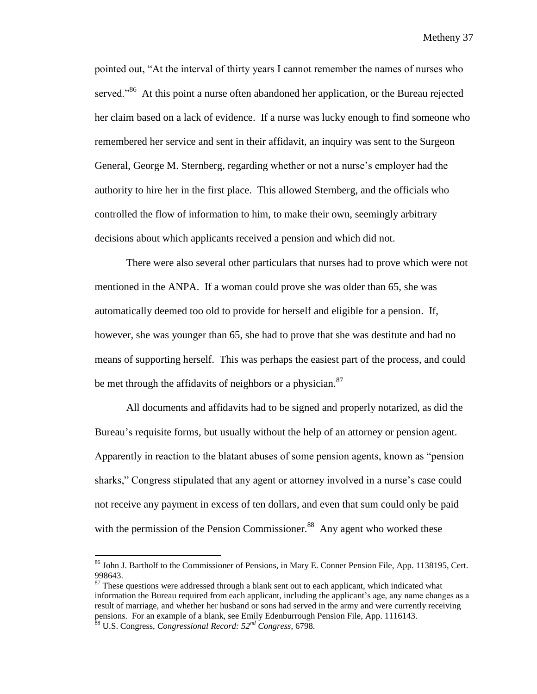pointed out, "At the interval of thirty years I cannot remember the names of nurses who served."<sup>86</sup> At this point a nurse often abandoned her application, or the Bureau rejected her claim based on a lack of evidence. If a nurse was lucky enough to find someone who remembered her service and sent in their affidavit, an inquiry was sent to the Surgeon General, George M. Sternberg, regarding whether or not a nurse's employer had the authority to hire her in the first place. This allowed Sternberg, and the officials who controlled the flow of information to him, to make their own, seemingly arbitrary decisions about which applicants received a pension and which did not.

There were also several other particulars that nurses had to prove which were not mentioned in the ANPA. If a woman could prove she was older than 65, she was automatically deemed too old to provide for herself and eligible for a pension. If, however, she was younger than 65, she had to prove that she was destitute and had no means of supporting herself. This was perhaps the easiest part of the process, and could be met through the affidavits of neighbors or a physician. $87$ 

All documents and affidavits had to be signed and properly notarized, as did the Bureau's requisite forms, but usually without the help of an attorney or pension agent. Apparently in reaction to the blatant abuses of some pension agents, known as "pension sharks," Congress stipulated that any agent or attorney involved in a nurse's case could not receive any payment in excess of ten dollars, and even that sum could only be paid with the permission of the Pension Commissioner.<sup>88</sup> Any agent who worked these

<sup>86</sup> John J. Bartholf to the Commissioner of Pensions, in Mary E. Conner Pension File, App. 1138195, Cert. 998643.

 $87$  These questions were addressed through a blank sent out to each applicant, which indicated what information the Bureau required from each applicant, including the applicant's age, any name changes as a result of marriage, and whether her husband or sons had served in the army and were currently receiving pensions. For an example of a blank, see Emily Edenburrough Pension File, App. 1116143. <sup>88</sup> U.S. Congress, *Congressional Record: 52nd Congress*, 6798.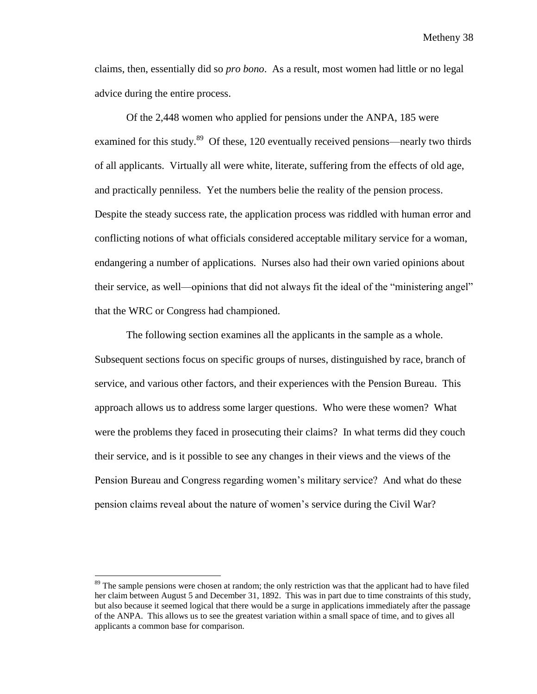claims, then, essentially did so *pro bono*. As a result, most women had little or no legal advice during the entire process.

Of the 2,448 women who applied for pensions under the ANPA, 185 were examined for this study.<sup>89</sup> Of these, 120 eventually received pensions—nearly two thirds of all applicants. Virtually all were white, literate, suffering from the effects of old age, and practically penniless. Yet the numbers belie the reality of the pension process. Despite the steady success rate, the application process was riddled with human error and conflicting notions of what officials considered acceptable military service for a woman, endangering a number of applications. Nurses also had their own varied opinions about their service, as well—opinions that did not always fit the ideal of the "ministering angel" that the WRC or Congress had championed.

The following section examines all the applicants in the sample as a whole. Subsequent sections focus on specific groups of nurses, distinguished by race, branch of service, and various other factors, and their experiences with the Pension Bureau. This approach allows us to address some larger questions. Who were these women? What were the problems they faced in prosecuting their claims? In what terms did they couch their service, and is it possible to see any changes in their views and the views of the Pension Bureau and Congress regarding women's military service? And what do these pension claims reveal about the nature of women's service during the Civil War?

 $\overline{a}$ 

<sup>&</sup>lt;sup>89</sup> The sample pensions were chosen at random; the only restriction was that the applicant had to have filed her claim between August 5 and December 31, 1892. This was in part due to time constraints of this study, but also because it seemed logical that there would be a surge in applications immediately after the passage of the ANPA. This allows us to see the greatest variation within a small space of time, and to gives all applicants a common base for comparison.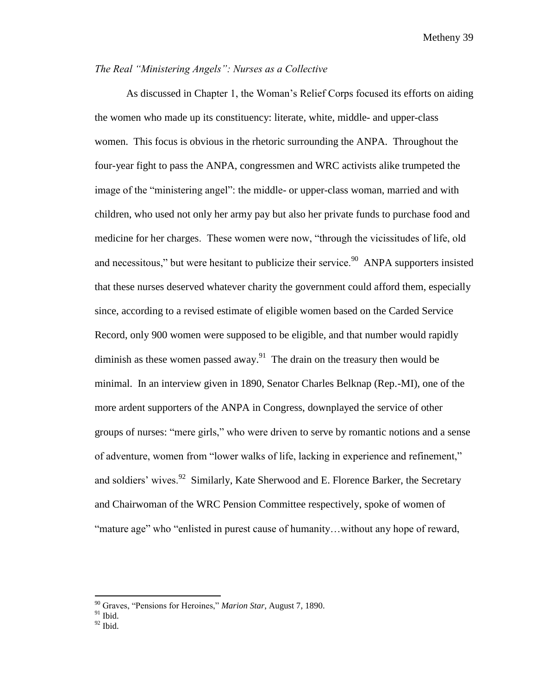## *The Real "Ministering Angels": Nurses as a Collective*

As discussed in Chapter 1, the Woman's Relief Corps focused its efforts on aiding the women who made up its constituency: literate, white, middle- and upper-class women. This focus is obvious in the rhetoric surrounding the ANPA. Throughout the four-year fight to pass the ANPA, congressmen and WRC activists alike trumpeted the image of the "ministering angel": the middle- or upper-class woman, married and with children, who used not only her army pay but also her private funds to purchase food and medicine for her charges. These women were now, "through the vicissitudes of life, old and necessitous," but were hesitant to publicize their service.<sup>90</sup> ANPA supporters insisted that these nurses deserved whatever charity the government could afford them, especially since, according to a revised estimate of eligible women based on the Carded Service Record, only 900 women were supposed to be eligible, and that number would rapidly diminish as these women passed away. $91$  The drain on the treasury then would be minimal. In an interview given in 1890, Senator Charles Belknap (Rep.-MI), one of the more ardent supporters of the ANPA in Congress, downplayed the service of other groups of nurses: "mere girls," who were driven to serve by romantic notions and a sense of adventure, women from "lower walks of life, lacking in experience and refinement," and soldiers' wives.<sup>92</sup> Similarly, Kate Sherwood and E. Florence Barker, the Secretary and Chairwoman of the WRC Pension Committee respectively, spoke of women of "mature age" who "enlisted in purest cause of humanity…without any hope of reward,

<sup>90</sup> Graves, "Pensions for Heroines," *Marion Star*, August 7, 1890.

 $91$  Ibid.

 $92$  Ibid.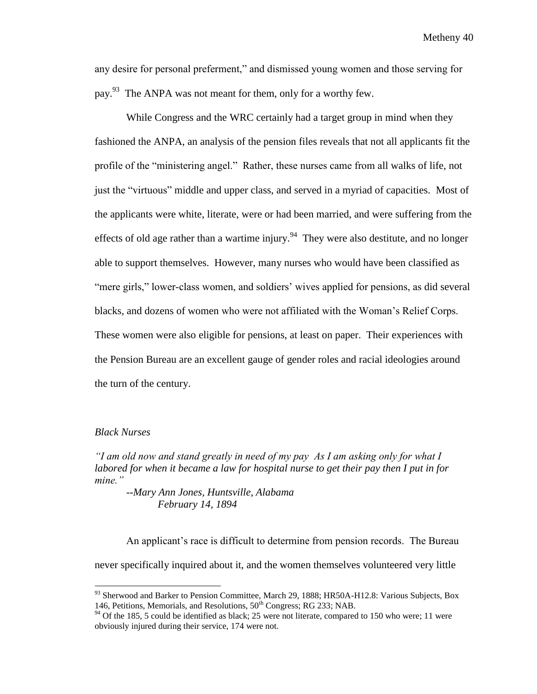any desire for personal preferment," and dismissed young women and those serving for pay.<sup>93</sup> The ANPA was not meant for them, only for a worthy few.

While Congress and the WRC certainly had a target group in mind when they fashioned the ANPA, an analysis of the pension files reveals that not all applicants fit the profile of the "ministering angel." Rather, these nurses came from all walks of life, not just the "virtuous" middle and upper class, and served in a myriad of capacities. Most of the applicants were white, literate, were or had been married, and were suffering from the effects of old age rather than a wartime injury.<sup>94</sup> They were also destitute, and no longer able to support themselves. However, many nurses who would have been classified as "mere girls," lower-class women, and soldiers' wives applied for pensions, as did several blacks, and dozens of women who were not affiliated with the Woman's Relief Corps. These women were also eligible for pensions, at least on paper. Their experiences with the Pension Bureau are an excellent gauge of gender roles and racial ideologies around the turn of the century.

#### *Black Nurses*

 $\overline{\phantom{a}}$ 

*"I am old now and stand greatly in need of my pay As I am asking only for what I labored for when it became a law for hospital nurse to get their pay then I put in for mine."*

*--Mary Ann Jones, Huntsville, Alabama February 14, 1894*

An applicant's race is difficult to determine from pension records. The Bureau never specifically inquired about it, and the women themselves volunteered very little

<sup>&</sup>lt;sup>93</sup> Sherwood and Barker to Pension Committee, March 29, 1888; HR50A-H12.8: Various Subjects, Box 146, Petitions, Memorials, and Resolutions, 50<sup>th</sup> Congress; RG 233; NAB.

 $94$  Of the 185, 5 could be identified as black; 25 were not literate, compared to 150 who were; 11 were obviously injured during their service, 174 were not.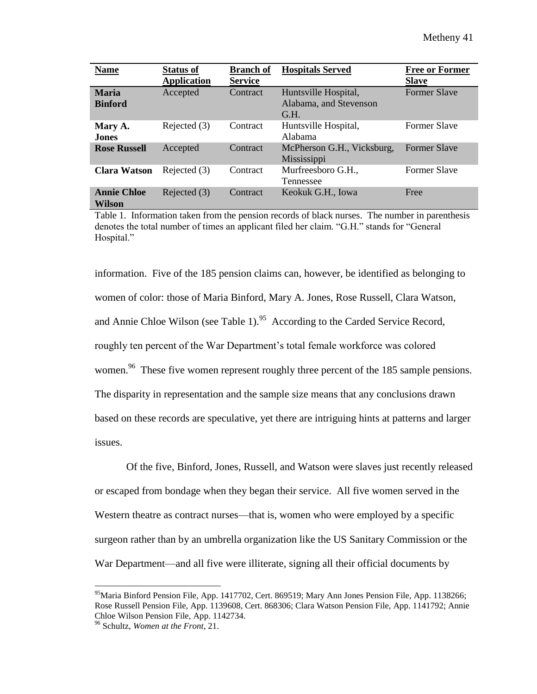| <b>Name</b>                  | <b>Status of</b>   | <b>Branch of</b> | <b>Hospitals Served</b>    | <b>Free or Former</b> |
|------------------------------|--------------------|------------------|----------------------------|-----------------------|
|                              | <b>Application</b> | <b>Service</b>   |                            | <b>Slave</b>          |
| <b>Maria</b>                 | Accepted           | Contract         | Huntsville Hospital,       | <b>Former Slave</b>   |
| <b>Binford</b>               |                    |                  | Alabama, and Stevenson     |                       |
|                              |                    |                  | G.H.                       |                       |
| Mary A.                      | Rejected (3)       | Contract         | Huntsville Hospital,       | <b>Former Slave</b>   |
| <b>Jones</b>                 |                    |                  | Alabama                    |                       |
| <b>Rose Russell</b>          | Accepted           | Contract         | McPherson G.H., Vicksburg, | <b>Former Slave</b>   |
|                              |                    |                  | Mississippi                |                       |
| <b>Clara Watson</b>          | Rejected (3)       | Contract         | Murfreesboro G.H.,         | <b>Former Slave</b>   |
|                              |                    |                  | Tennessee                  |                       |
| <b>Annie Chloe</b><br>Wilson | Rejected (3)       | Contract         | Keokuk G.H., Iowa          | Free                  |

Table 1. Information taken from the pension records of black nurses. The number in parenthesis denotes the total number of times an applicant filed her claim. "G.H." stands for "General Hospital."

information. Five of the 185 pension claims can, however, be identified as belonging to women of color: those of Maria Binford, Mary A. Jones, Rose Russell, Clara Watson, and Annie Chloe Wilson (see Table 1).<sup>95</sup> According to the Carded Service Record, roughly ten percent of the War Department's total female workforce was colored women.<sup>96</sup> These five women represent roughly three percent of the 185 sample pensions. The disparity in representation and the sample size means that any conclusions drawn based on these records are speculative, yet there are intriguing hints at patterns and larger issues.

Of the five, Binford, Jones, Russell, and Watson were slaves just recently released or escaped from bondage when they began their service. All five women served in the Western theatre as contract nurses—that is, women who were employed by a specific surgeon rather than by an umbrella organization like the US Sanitary Commission or the War Department—and all five were illiterate, signing all their official documents by

<sup>95</sup>Maria Binford Pension File, App. 1417702, Cert. 869519; Mary Ann Jones Pension File, App. 1138266; Rose Russell Pension File, App. 1139608, Cert. 868306; Clara Watson Pension File, App. 1141792; Annie Chloe Wilson Pension File, App. 1142734.

<sup>96</sup> Schultz, *Women at the Front,* 21.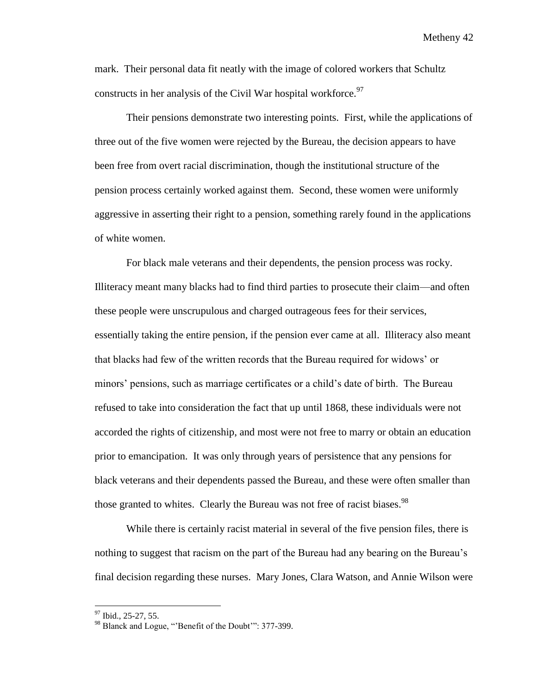mark. Their personal data fit neatly with the image of colored workers that Schultz constructs in her analysis of the Civil War hospital workforce.<sup>97</sup>

Their pensions demonstrate two interesting points. First, while the applications of three out of the five women were rejected by the Bureau, the decision appears to have been free from overt racial discrimination, though the institutional structure of the pension process certainly worked against them. Second, these women were uniformly aggressive in asserting their right to a pension, something rarely found in the applications of white women.

For black male veterans and their dependents, the pension process was rocky. Illiteracy meant many blacks had to find third parties to prosecute their claim—and often these people were unscrupulous and charged outrageous fees for their services, essentially taking the entire pension, if the pension ever came at all. Illiteracy also meant that blacks had few of the written records that the Bureau required for widows' or minors' pensions, such as marriage certificates or a child's date of birth. The Bureau refused to take into consideration the fact that up until 1868, these individuals were not accorded the rights of citizenship, and most were not free to marry or obtain an education prior to emancipation. It was only through years of persistence that any pensions for black veterans and their dependents passed the Bureau, and these were often smaller than those granted to whites. Clearly the Bureau was not free of racist biases.<sup>98</sup>

While there is certainly racist material in several of the five pension files, there is nothing to suggest that racism on the part of the Bureau had any bearing on the Bureau's final decision regarding these nurses. Mary Jones, Clara Watson, and Annie Wilson were

<sup>&</sup>lt;sup>97</sup> Ibid., 25-27, 55.

<sup>&</sup>lt;sup>98</sup> Blanck and Logue, "'Benefit of the Doubt'": 377-399.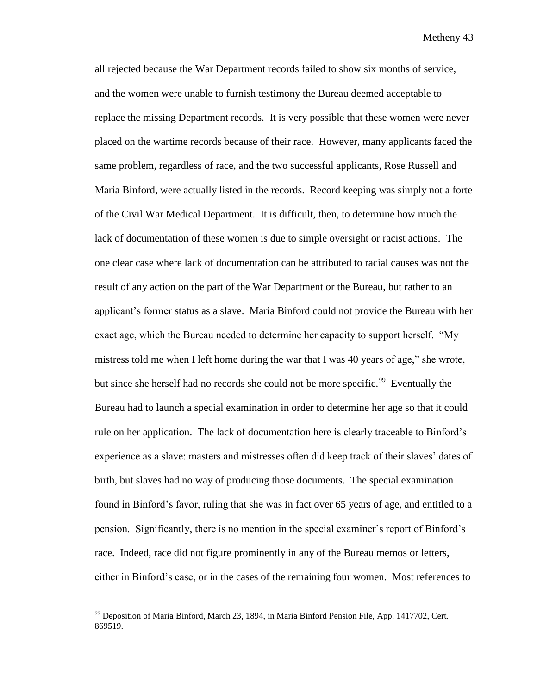all rejected because the War Department records failed to show six months of service, and the women were unable to furnish testimony the Bureau deemed acceptable to replace the missing Department records. It is very possible that these women were never placed on the wartime records because of their race. However, many applicants faced the same problem, regardless of race, and the two successful applicants, Rose Russell and Maria Binford, were actually listed in the records. Record keeping was simply not a forte of the Civil War Medical Department. It is difficult, then, to determine how much the lack of documentation of these women is due to simple oversight or racist actions. The one clear case where lack of documentation can be attributed to racial causes was not the result of any action on the part of the War Department or the Bureau, but rather to an applicant's former status as a slave. Maria Binford could not provide the Bureau with her exact age, which the Bureau needed to determine her capacity to support herself. "My mistress told me when I left home during the war that I was 40 years of age," she wrote, but since she herself had no records she could not be more specific.<sup>99</sup> Eventually the Bureau had to launch a special examination in order to determine her age so that it could rule on her application. The lack of documentation here is clearly traceable to Binford's experience as a slave: masters and mistresses often did keep track of their slaves' dates of birth, but slaves had no way of producing those documents. The special examination found in Binford's favor, ruling that she was in fact over 65 years of age, and entitled to a pension. Significantly, there is no mention in the special examiner's report of Binford's race. Indeed, race did not figure prominently in any of the Bureau memos or letters, either in Binford's case, or in the cases of the remaining four women. Most references to

<sup>99</sup> Deposition of Maria Binford, March 23, 1894, in Maria Binford Pension File, App. 1417702, Cert. 869519.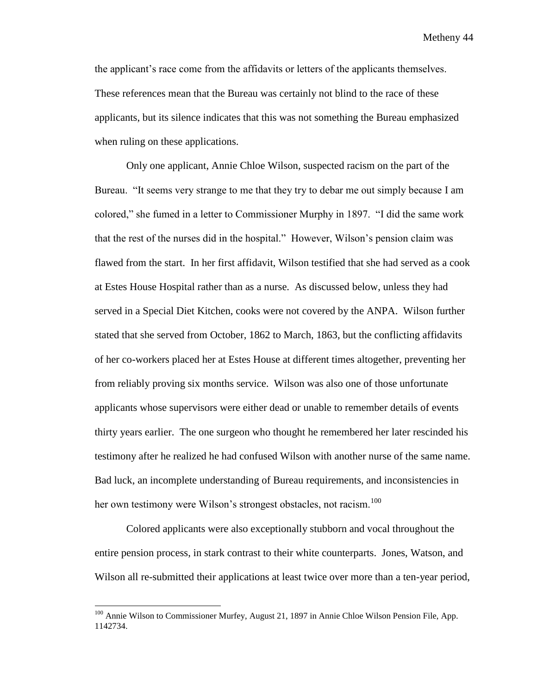the applicant's race come from the affidavits or letters of the applicants themselves. These references mean that the Bureau was certainly not blind to the race of these applicants, but its silence indicates that this was not something the Bureau emphasized when ruling on these applications.

Only one applicant, Annie Chloe Wilson, suspected racism on the part of the Bureau. "It seems very strange to me that they try to debar me out simply because I am colored," she fumed in a letter to Commissioner Murphy in 1897. "I did the same work that the rest of the nurses did in the hospital." However, Wilson's pension claim was flawed from the start. In her first affidavit, Wilson testified that she had served as a cook at Estes House Hospital rather than as a nurse. As discussed below, unless they had served in a Special Diet Kitchen, cooks were not covered by the ANPA. Wilson further stated that she served from October, 1862 to March, 1863, but the conflicting affidavits of her co-workers placed her at Estes House at different times altogether, preventing her from reliably proving six months service. Wilson was also one of those unfortunate applicants whose supervisors were either dead or unable to remember details of events thirty years earlier. The one surgeon who thought he remembered her later rescinded his testimony after he realized he had confused Wilson with another nurse of the same name. Bad luck, an incomplete understanding of Bureau requirements, and inconsistencies in her own testimony were Wilson's strongest obstacles, not racism.<sup>100</sup>

Colored applicants were also exceptionally stubborn and vocal throughout the entire pension process, in stark contrast to their white counterparts. Jones, Watson, and Wilson all re-submitted their applications at least twice over more than a ten-year period,

<sup>&</sup>lt;sup>100</sup> Annie Wilson to Commissioner Murfey, August 21, 1897 in Annie Chloe Wilson Pension File, App. 1142734.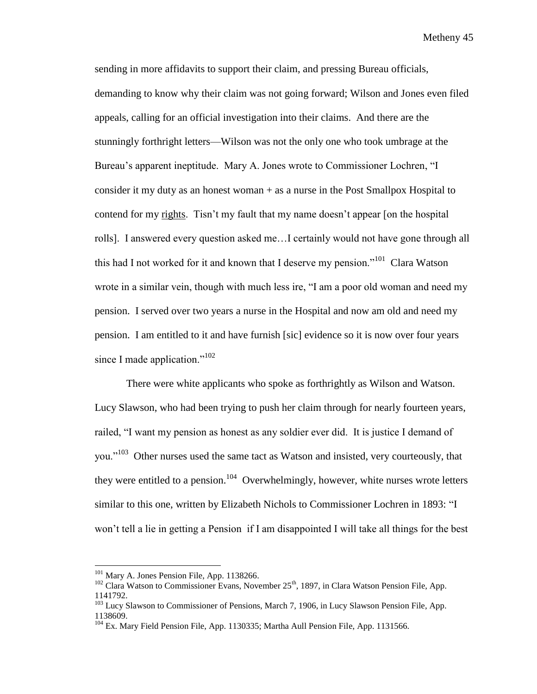sending in more affidavits to support their claim, and pressing Bureau officials, demanding to know why their claim was not going forward; Wilson and Jones even filed appeals, calling for an official investigation into their claims. And there are the stunningly forthright letters—Wilson was not the only one who took umbrage at the Bureau's apparent ineptitude. Mary A. Jones wrote to Commissioner Lochren, "I consider it my duty as an honest woman + as a nurse in the Post Smallpox Hospital to contend for my rights. Tisn't my fault that my name doesn't appear [on the hospital rolls]. I answered every question asked me…I certainly would not have gone through all this had I not worked for it and known that I deserve my pension."<sup>101</sup> Clara Watson wrote in a similar vein, though with much less ire, "I am a poor old woman and need my pension. I served over two years a nurse in the Hospital and now am old and need my pension. I am entitled to it and have furnish [sic] evidence so it is now over four years since I made application." $102$ 

There were white applicants who spoke as forthrightly as Wilson and Watson. Lucy Slawson, who had been trying to push her claim through for nearly fourteen years, railed, "I want my pension as honest as any soldier ever did. It is justice I demand of you."<sup>103</sup> Other nurses used the same tact as Watson and insisted, very courteously, that they were entitled to a pension.<sup>104</sup> Overwhelmingly, however, white nurses wrote letters similar to this one, written by Elizabeth Nichols to Commissioner Lochren in 1893: "I won't tell a lie in getting a Pension if I am disappointed I will take all things for the best

l

<sup>&</sup>lt;sup>101</sup> Mary A. Jones Pension File, App. 1138266.

 $102$  Clara Watson to Commissioner Evans, November 25<sup>th</sup>, 1897, in Clara Watson Pension File, App. 1141792.

<sup>&</sup>lt;sup>103</sup> Lucy Slawson to Commissioner of Pensions, March 7, 1906, in Lucy Slawson Pension File, App. 1138609.

<sup>&</sup>lt;sup>104</sup> Ex. Mary Field Pension File, App. 1130335; Martha Aull Pension File, App. 1131566.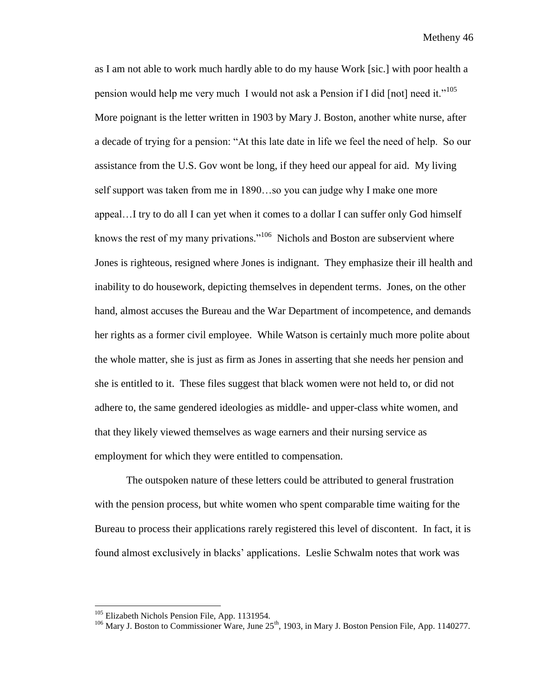as I am not able to work much hardly able to do my hause Work [sic.] with poor health a pension would help me very much I would not ask a Pension if I did [not] need it."<sup>105</sup> More poignant is the letter written in 1903 by Mary J. Boston, another white nurse, after a decade of trying for a pension: "At this late date in life we feel the need of help. So our assistance from the U.S. Gov wont be long, if they heed our appeal for aid. My living self support was taken from me in 1890…so you can judge why I make one more appeal…I try to do all I can yet when it comes to a dollar I can suffer only God himself knows the rest of my many privations."<sup>106</sup> Nichols and Boston are subservient where Jones is righteous, resigned where Jones is indignant. They emphasize their ill health and inability to do housework, depicting themselves in dependent terms. Jones, on the other hand, almost accuses the Bureau and the War Department of incompetence, and demands her rights as a former civil employee. While Watson is certainly much more polite about the whole matter, she is just as firm as Jones in asserting that she needs her pension and she is entitled to it. These files suggest that black women were not held to, or did not adhere to, the same gendered ideologies as middle- and upper-class white women, and that they likely viewed themselves as wage earners and their nursing service as employment for which they were entitled to compensation.

The outspoken nature of these letters could be attributed to general frustration with the pension process, but white women who spent comparable time waiting for the Bureau to process their applications rarely registered this level of discontent. In fact, it is found almost exclusively in blacks' applications. Leslie Schwalm notes that work was

<sup>&</sup>lt;sup>105</sup> Elizabeth Nichols Pension File, App. 1131954.

<sup>&</sup>lt;sup>106</sup> Mary J. Boston to Commissioner Ware, June 25<sup>th</sup>, 1903, in Mary J. Boston Pension File, App. 1140277.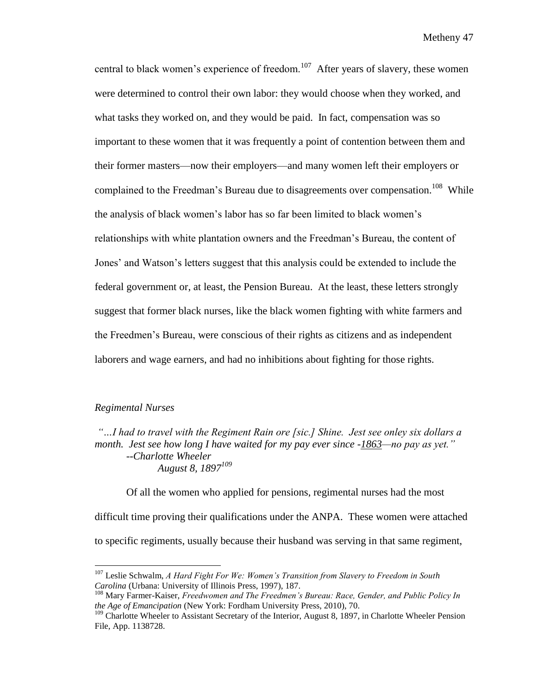central to black women's experience of freedom.<sup>107</sup> After years of slavery, these women were determined to control their own labor: they would choose when they worked, and what tasks they worked on, and they would be paid. In fact, compensation was so important to these women that it was frequently a point of contention between them and their former masters—now their employers—and many women left their employers or complained to the Freedman's Bureau due to disagreements over compensation.<sup>108</sup> While the analysis of black women's labor has so far been limited to black women's relationships with white plantation owners and the Freedman's Bureau, the content of Jones' and Watson's letters suggest that this analysis could be extended to include the federal government or, at least, the Pension Bureau. At the least, these letters strongly suggest that former black nurses, like the black women fighting with white farmers and the Freedmen's Bureau, were conscious of their rights as citizens and as independent laborers and wage earners, and had no inhibitions about fighting for those rights.

## *Regimental Nurses*

l

*"…I had to travel with the Regiment Rain ore [sic.] Shine. Jest see onley six dollars a month. Jest see how long I have waited for my pay ever since -1863—no pay as yet." --Charlotte Wheeler August 8, 1897<sup>109</sup>*

Of all the women who applied for pensions, regimental nurses had the most difficult time proving their qualifications under the ANPA. These women were attached to specific regiments, usually because their husband was serving in that same regiment,

<sup>107</sup> Leslie Schwalm, *A Hard Fight For We: Women's Transition from Slavery to Freedom in South Carolina* (Urbana: University of Illinois Press, 1997), 187.

<sup>108</sup> Mary Farmer-Kaiser, *Freedwomen and The Freedmen's Bureau: Race, Gender, and Public Policy In the Age of Emancipation* (New York: Fordham University Press, 2010), 70.

<sup>&</sup>lt;sup>109</sup> Charlotte Wheeler to Assistant Secretary of the Interior, August 8, 1897, in Charlotte Wheeler Pension File, App. 1138728.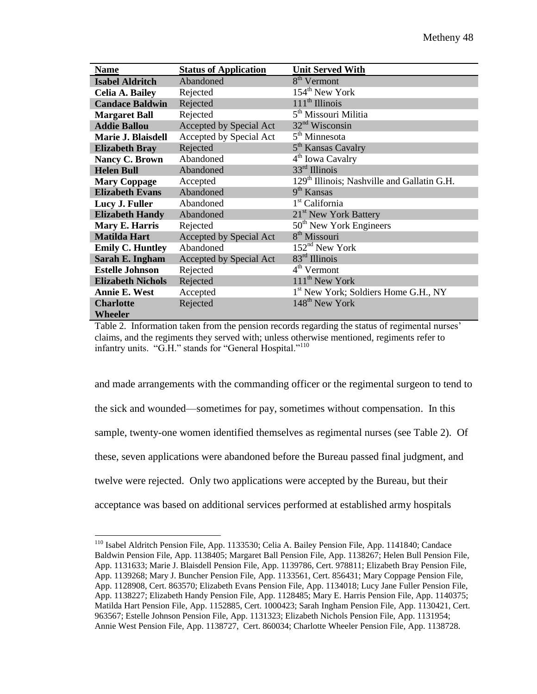| <b>Name</b>              | <b>Status of Application</b>   | <b>Unit Served With</b>                                 |
|--------------------------|--------------------------------|---------------------------------------------------------|
| <b>Isabel Aldritch</b>   | Abandoned                      | 8 <sup>th</sup> Vermont                                 |
| <b>Celia A. Bailey</b>   | Rejected                       | $154th$ New York                                        |
| <b>Candace Baldwin</b>   | Rejected                       | $111th$ Illinois                                        |
| <b>Margaret Ball</b>     | Rejected                       | 5 <sup>th</sup> Missouri Militia                        |
| <b>Addie Ballou</b>      | Accepted by Special Act        | $32nd$ Wisconsin                                        |
| Marie J. Blaisdell       | Accepted by Special Act        | 5 <sup>th</sup> Minnesota                               |
| <b>Elizabeth Bray</b>    | Rejected                       | 5 <sup>th</sup> Kansas Cavalry                          |
| Nancy C. Brown           | Abandoned                      | 4 <sup>th</sup> Iowa Cavalry                            |
| <b>Helen Bull</b>        | Abandoned                      | $33rd$ Illinois                                         |
| <b>Mary Coppage</b>      | Accepted                       | 129 <sup>th</sup> Illinois; Nashville and Gallatin G.H. |
| <b>Elizabeth Evans</b>   | Abandoned                      | $9th$ Kansas                                            |
| Lucy J. Fuller           | Abandoned                      | $1st$ California                                        |
| <b>Elizabeth Handy</b>   | Abandoned                      | 21 <sup>st</sup> New York Battery                       |
| Mary E. Harris           | Rejected                       | 50 <sup>th</sup> New York Engineers                     |
| <b>Matilda Hart</b>      | <b>Accepted by Special Act</b> | 8 <sup>th</sup> Missouri                                |
| <b>Emily C. Huntley</b>  | Abandoned                      | 152 <sup>nd</sup> New York                              |
| Sarah E. Ingham          | Accepted by Special Act        | $83rd$ Illinois                                         |
| <b>Estelle Johnson</b>   | Rejected                       | 4 <sup>th</sup> Vermont                                 |
| <b>Elizabeth Nichols</b> | Rejected                       | $111th$ New York                                        |
| <b>Annie E. West</b>     | Accepted                       | 1 <sup>st</sup> New York; Soldiers Home G.H., NY        |
| <b>Charlotte</b>         | Rejected                       | 148 <sup>th</sup> New York                              |
| <b>Wheeler</b>           |                                |                                                         |

Table 2. Information taken from the pension records regarding the status of regimental nurses' claims, and the regiments they served with; unless otherwise mentioned, regiments refer to infantry units. "G.H." stands for "General Hospital."<sup>110</sup>

and made arrangements with the commanding officer or the regimental surgeon to tend to the sick and wounded—sometimes for pay, sometimes without compensation. In this sample, twenty-one women identified themselves as regimental nurses (see Table 2). Of these, seven applications were abandoned before the Bureau passed final judgment, and twelve were rejected. Only two applications were accepted by the Bureau, but their acceptance was based on additional services performed at established army hospitals

<sup>&</sup>lt;sup>110</sup> Isabel Aldritch Pension File, App. 1133530; Celia A. Bailey Pension File, App. 1141840; Candace Baldwin Pension File, App. 1138405; Margaret Ball Pension File, App. 1138267; Helen Bull Pension File, App. 1131633; Marie J. Blaisdell Pension File, App. 1139786, Cert. 978811; Elizabeth Bray Pension File, App. 1139268; Mary J. Buncher Pension File, App. 1133561, Cert. 856431; Mary Coppage Pension File, App. 1128908, Cert. 863570; Elizabeth Evans Pension File, App. 1134018; Lucy Jane Fuller Pension File, App. 1138227; Elizabeth Handy Pension File, App. 1128485; Mary E. Harris Pension File, App. 1140375; Matilda Hart Pension File, App. 1152885, Cert. 1000423; Sarah Ingham Pension File, App. 1130421, Cert. 963567; Estelle Johnson Pension File, App. 1131323; Elizabeth Nichols Pension File, App. 1131954; Annie West Pension File, App. 1138727, Cert. 860034; Charlotte Wheeler Pension File, App. 1138728.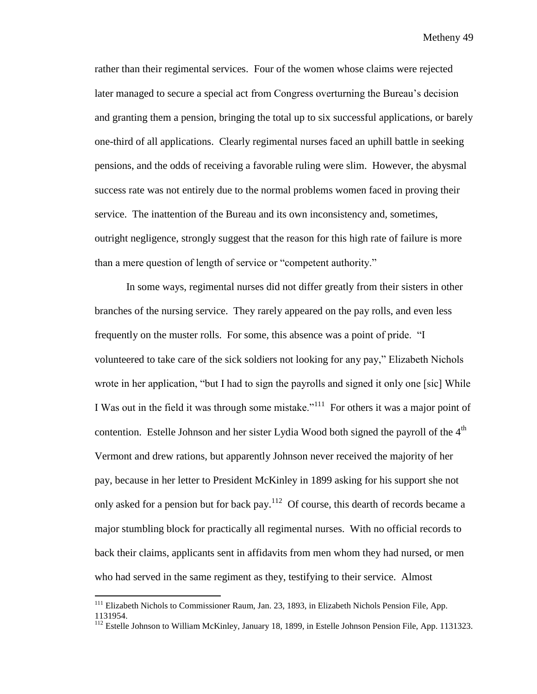rather than their regimental services. Four of the women whose claims were rejected later managed to secure a special act from Congress overturning the Bureau's decision and granting them a pension, bringing the total up to six successful applications, or barely one-third of all applications. Clearly regimental nurses faced an uphill battle in seeking pensions, and the odds of receiving a favorable ruling were slim. However, the abysmal success rate was not entirely due to the normal problems women faced in proving their service. The inattention of the Bureau and its own inconsistency and, sometimes, outright negligence, strongly suggest that the reason for this high rate of failure is more than a mere question of length of service or "competent authority."

In some ways, regimental nurses did not differ greatly from their sisters in other branches of the nursing service. They rarely appeared on the pay rolls, and even less frequently on the muster rolls. For some, this absence was a point of pride. "I volunteered to take care of the sick soldiers not looking for any pay," Elizabeth Nichols wrote in her application, "but I had to sign the payrolls and signed it only one [sic] While I Was out in the field it was through some mistake."<sup>111</sup> For others it was a major point of contention. Estelle Johnson and her sister Lydia Wood both signed the payroll of the  $4<sup>th</sup>$ Vermont and drew rations, but apparently Johnson never received the majority of her pay, because in her letter to President McKinley in 1899 asking for his support she not only asked for a pension but for back pay.<sup>112</sup> Of course, this dearth of records became a major stumbling block for practically all regimental nurses. With no official records to back their claims, applicants sent in affidavits from men whom they had nursed, or men who had served in the same regiment as they, testifying to their service. Almost

<sup>&</sup>lt;sup>111</sup> Elizabeth Nichols to Commissioner Raum, Jan. 23, 1893, in Elizabeth Nichols Pension File, App. 1131954.

<sup>&</sup>lt;sup>112</sup> Estelle Johnson to William McKinley, January 18, 1899, in Estelle Johnson Pension File, App. 1131323.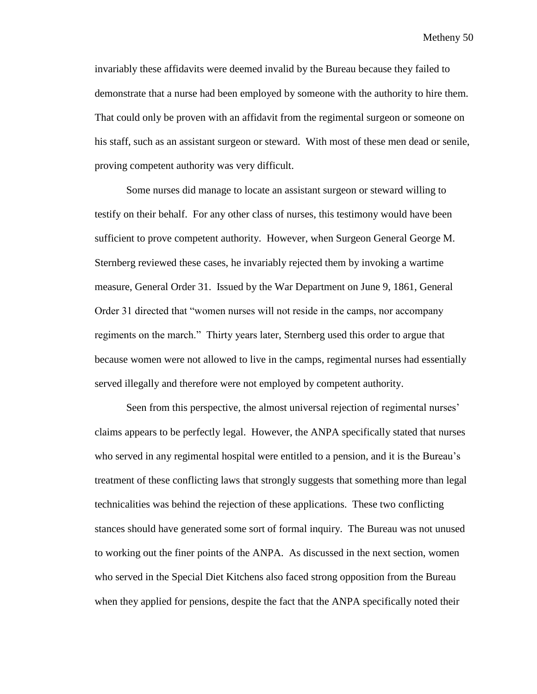invariably these affidavits were deemed invalid by the Bureau because they failed to demonstrate that a nurse had been employed by someone with the authority to hire them. That could only be proven with an affidavit from the regimental surgeon or someone on his staff, such as an assistant surgeon or steward. With most of these men dead or senile, proving competent authority was very difficult.

Some nurses did manage to locate an assistant surgeon or steward willing to testify on their behalf. For any other class of nurses, this testimony would have been sufficient to prove competent authority. However, when Surgeon General George M. Sternberg reviewed these cases, he invariably rejected them by invoking a wartime measure, General Order 31. Issued by the War Department on June 9, 1861, General Order 31 directed that "women nurses will not reside in the camps, nor accompany regiments on the march." Thirty years later, Sternberg used this order to argue that because women were not allowed to live in the camps, regimental nurses had essentially served illegally and therefore were not employed by competent authority.

Seen from this perspective, the almost universal rejection of regimental nurses' claims appears to be perfectly legal. However, the ANPA specifically stated that nurses who served in any regimental hospital were entitled to a pension, and it is the Bureau's treatment of these conflicting laws that strongly suggests that something more than legal technicalities was behind the rejection of these applications. These two conflicting stances should have generated some sort of formal inquiry. The Bureau was not unused to working out the finer points of the ANPA. As discussed in the next section, women who served in the Special Diet Kitchens also faced strong opposition from the Bureau when they applied for pensions, despite the fact that the ANPA specifically noted their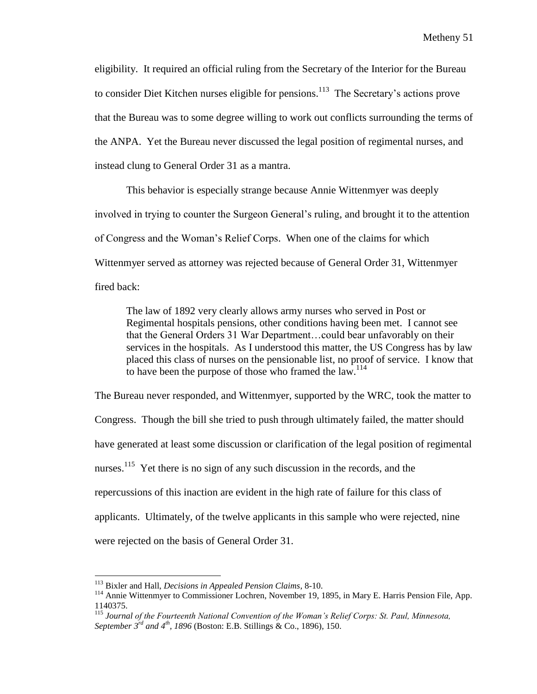eligibility. It required an official ruling from the Secretary of the Interior for the Bureau to consider Diet Kitchen nurses eligible for pensions.<sup>113</sup> The Secretary's actions prove that the Bureau was to some degree willing to work out conflicts surrounding the terms of the ANPA. Yet the Bureau never discussed the legal position of regimental nurses, and instead clung to General Order 31 as a mantra.

This behavior is especially strange because Annie Wittenmyer was deeply involved in trying to counter the Surgeon General's ruling, and brought it to the attention of Congress and the Woman's Relief Corps. When one of the claims for which Wittenmyer served as attorney was rejected because of General Order 31, Wittenmyer fired back:

The law of 1892 very clearly allows army nurses who served in Post or Regimental hospitals pensions, other conditions having been met. I cannot see that the General Orders 31 War Department…could bear unfavorably on their services in the hospitals. As I understood this matter, the US Congress has by law placed this class of nurses on the pensionable list, no proof of service. I know that to have been the purpose of those who framed the law.<sup>114</sup>

The Bureau never responded, and Wittenmyer, supported by the WRC, took the matter to Congress. Though the bill she tried to push through ultimately failed, the matter should have generated at least some discussion or clarification of the legal position of regimental nurses.<sup>115</sup> Yet there is no sign of any such discussion in the records, and the repercussions of this inaction are evident in the high rate of failure for this class of applicants. Ultimately, of the twelve applicants in this sample who were rejected, nine were rejected on the basis of General Order 31.

 $\overline{a}$ 

<sup>113</sup> Bixler and Hall, *Decisions in Appealed Pension Claims*, 8-10.

<sup>114</sup> Annie Wittenmyer to Commissioner Lochren, November 19, 1895, in Mary E. Harris Pension File, App. 1140375.

<sup>115</sup> *Journal of the Fourteenth National Convention of the Woman's Relief Corps: St. Paul, Minnesota, September 3rd and 4th, 1896* (Boston: E.B. Stillings & Co., 1896)*,* 150.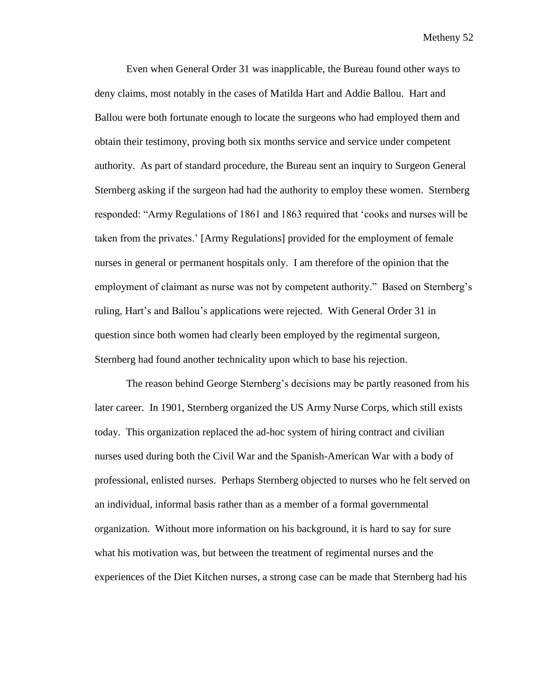Even when General Order 31 was inapplicable, the Bureau found other ways to deny claims, most notably in the cases of Matilda Hart and Addie Ballou. Hart and Ballou were both fortunate enough to locate the surgeons who had employed them and obtain their testimony, proving both six months service and service under competent authority. As part of standard procedure, the Bureau sent an inquiry to Surgeon General Sternberg asking if the surgeon had had the authority to employ these women. Sternberg responded: "Army Regulations of 1861 and 1863 required that 'cooks and nurses will be taken from the privates.' [Army Regulations] provided for the employment of female nurses in general or permanent hospitals only. I am therefore of the opinion that the employment of claimant as nurse was not by competent authority." Based on Sternberg's ruling, Hart's and Ballou's applications were rejected. With General Order 31 in question since both women had clearly been employed by the regimental surgeon, Sternberg had found another technicality upon which to base his rejection.

The reason behind George Sternberg's decisions may be partly reasoned from his later career. In 1901, Sternberg organized the US Army Nurse Corps, which still exists today. This organization replaced the ad-hoc system of hiring contract and civilian nurses used during both the Civil War and the Spanish-American War with a body of professional, enlisted nurses. Perhaps Sternberg objected to nurses who he felt served on an individual, informal basis rather than as a member of a formal governmental organization. Without more information on his background, it is hard to say for sure what his motivation was, but between the treatment of regimental nurses and the experiences of the Diet Kitchen nurses, a strong case can be made that Sternberg had his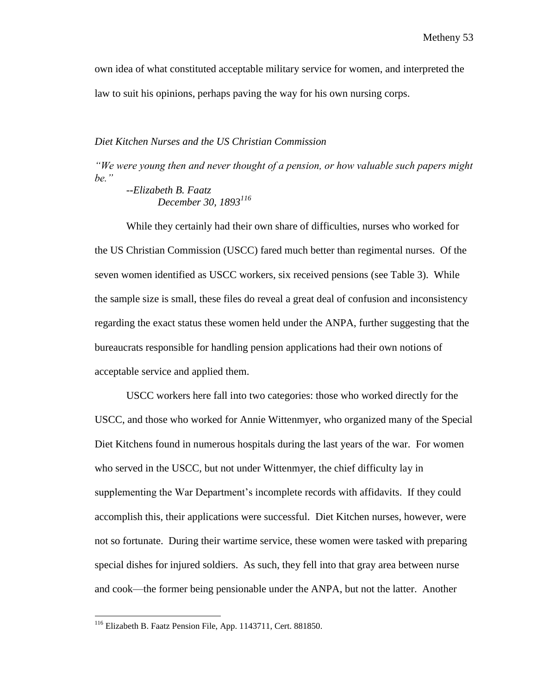own idea of what constituted acceptable military service for women, and interpreted the law to suit his opinions, perhaps paving the way for his own nursing corps.

## *Diet Kitchen Nurses and the US Christian Commission*

*"We were young then and never thought of a pension, or how valuable such papers might be."*

*--Elizabeth B. Faatz December 30, 1893<sup>116</sup>*

While they certainly had their own share of difficulties, nurses who worked for the US Christian Commission (USCC) fared much better than regimental nurses. Of the seven women identified as USCC workers, six received pensions (see Table 3). While the sample size is small, these files do reveal a great deal of confusion and inconsistency regarding the exact status these women held under the ANPA, further suggesting that the bureaucrats responsible for handling pension applications had their own notions of acceptable service and applied them.

USCC workers here fall into two categories: those who worked directly for the USCC, and those who worked for Annie Wittenmyer, who organized many of the Special Diet Kitchens found in numerous hospitals during the last years of the war. For women who served in the USCC, but not under Wittenmyer, the chief difficulty lay in supplementing the War Department's incomplete records with affidavits. If they could accomplish this, their applications were successful. Diet Kitchen nurses, however, were not so fortunate. During their wartime service, these women were tasked with preparing special dishes for injured soldiers. As such, they fell into that gray area between nurse and cook—the former being pensionable under the ANPA, but not the latter. Another

<sup>116</sup> Elizabeth B. Faatz Pension File, App. 1143711, Cert. 881850.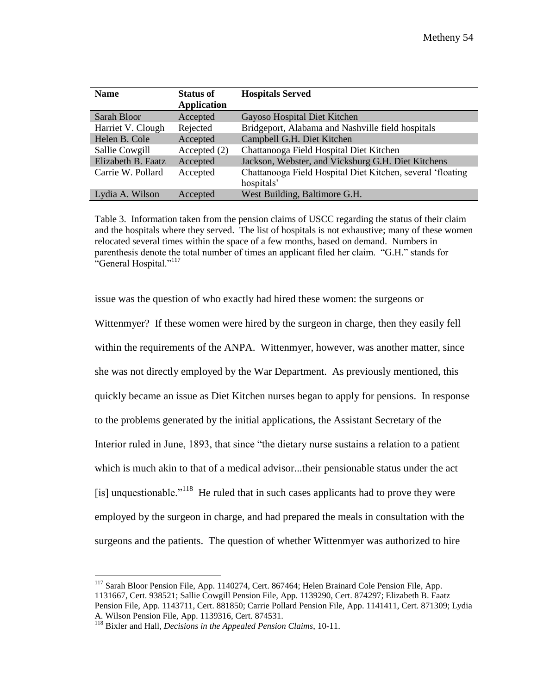| <b>Name</b>        | <b>Status of</b>   | <b>Hospitals Served</b>                                    |
|--------------------|--------------------|------------------------------------------------------------|
|                    | <b>Application</b> |                                                            |
| Sarah Bloor        | Accepted           | Gayoso Hospital Diet Kitchen                               |
| Harriet V. Clough  | Rejected           | Bridgeport, Alabama and Nashville field hospitals          |
| Helen B. Cole      | Accepted           | Campbell G.H. Diet Kitchen                                 |
| Sallie Cowgill     | Accepted $(2)$     | Chattanooga Field Hospital Diet Kitchen                    |
| Elizabeth B. Faatz | Accepted           | Jackson, Webster, and Vicksburg G.H. Diet Kitchens         |
| Carrie W. Pollard  | Accepted           | Chattanooga Field Hospital Diet Kitchen, several 'floating |
|                    |                    | hospitals'                                                 |
| Lydia A. Wilson    | Accepted           | West Building, Baltimore G.H.                              |

Table 3. Information taken from the pension claims of USCC regarding the status of their claim and the hospitals where they served. The list of hospitals is not exhaustive; many of these women relocated several times within the space of a few months, based on demand. Numbers in parenthesis denote the total number of times an applicant filed her claim. "G.H." stands for "General Hospital."<sup>117</sup>

issue was the question of who exactly had hired these women: the surgeons or Wittenmyer? If these women were hired by the surgeon in charge, then they easily fell within the requirements of the ANPA. Wittenmyer, however, was another matter, since she was not directly employed by the War Department. As previously mentioned, this quickly became an issue as Diet Kitchen nurses began to apply for pensions. In response to the problems generated by the initial applications, the Assistant Secretary of the Interior ruled in June, 1893, that since "the dietary nurse sustains a relation to a patient which is much akin to that of a medical advisor...their pensionable status under the act [is] unquestionable.<sup> $118$ </sup> He ruled that in such cases applicants had to prove they were employed by the surgeon in charge, and had prepared the meals in consultation with the surgeons and the patients. The question of whether Wittenmyer was authorized to hire

 $\overline{a}$ <sup>117</sup> Sarah Bloor Pension File, App. 1140274, Cert. 867464; Helen Brainard Cole Pension File, App. 1131667, Cert. 938521; Sallie Cowgill Pension File, App. 1139290, Cert. 874297; Elizabeth B. Faatz Pension File, App. 1143711, Cert. 881850; Carrie Pollard Pension File, App. 1141411, Cert. 871309; Lydia A. Wilson Pension File, App. 1139316, Cert. 874531.

<sup>118</sup> Bixler and Hall, *Decisions in the Appealed Pension Claims*, 10-11.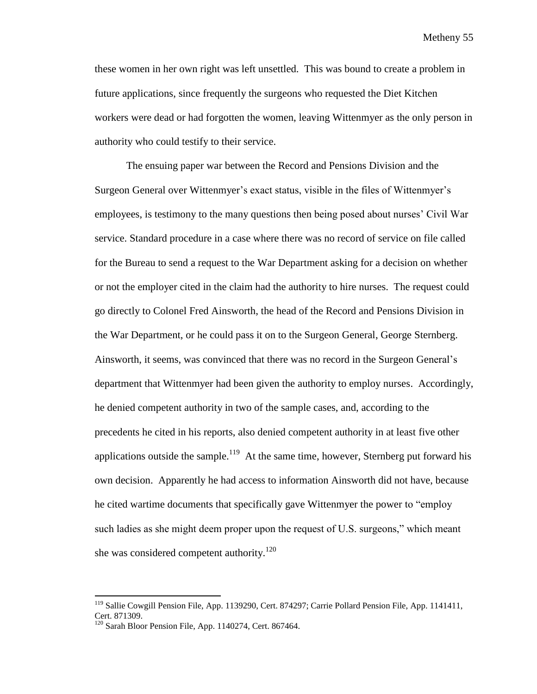these women in her own right was left unsettled. This was bound to create a problem in future applications, since frequently the surgeons who requested the Diet Kitchen workers were dead or had forgotten the women, leaving Wittenmyer as the only person in authority who could testify to their service.

The ensuing paper war between the Record and Pensions Division and the Surgeon General over Wittenmyer's exact status, visible in the files of Wittenmyer's employees, is testimony to the many questions then being posed about nurses' Civil War service. Standard procedure in a case where there was no record of service on file called for the Bureau to send a request to the War Department asking for a decision on whether or not the employer cited in the claim had the authority to hire nurses. The request could go directly to Colonel Fred Ainsworth, the head of the Record and Pensions Division in the War Department, or he could pass it on to the Surgeon General, George Sternberg. Ainsworth, it seems, was convinced that there was no record in the Surgeon General's department that Wittenmyer had been given the authority to employ nurses. Accordingly, he denied competent authority in two of the sample cases, and, according to the precedents he cited in his reports, also denied competent authority in at least five other applications outside the sample.<sup>119</sup> At the same time, however, Sternberg put forward his own decision. Apparently he had access to information Ainsworth did not have, because he cited wartime documents that specifically gave Wittenmyer the power to "employ such ladies as she might deem proper upon the request of U.S. surgeons," which meant she was considered competent authority.<sup>120</sup>

<sup>&</sup>lt;sup>119</sup> Sallie Cowgill Pension File, App. 1139290, Cert. 874297; Carrie Pollard Pension File, App. 1141411, Cert. 871309.

 $120$  Sarah Bloor Pension File, App. 1140274, Cert. 867464.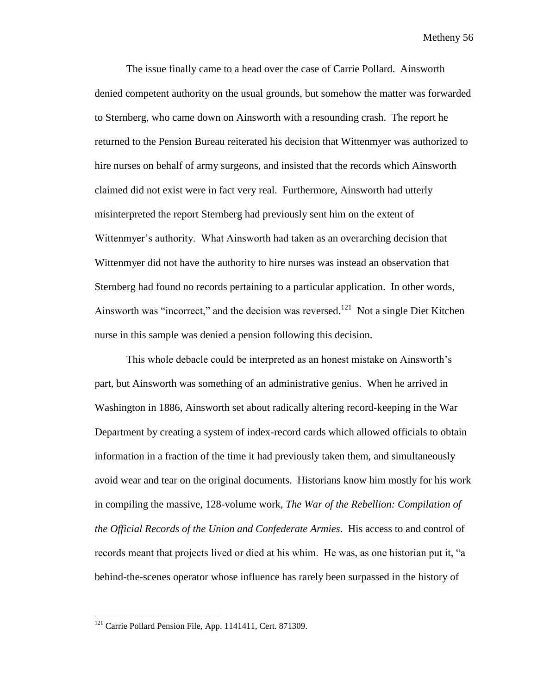The issue finally came to a head over the case of Carrie Pollard. Ainsworth denied competent authority on the usual grounds, but somehow the matter was forwarded to Sternberg, who came down on Ainsworth with a resounding crash. The report he returned to the Pension Bureau reiterated his decision that Wittenmyer was authorized to hire nurses on behalf of army surgeons, and insisted that the records which Ainsworth claimed did not exist were in fact very real. Furthermore, Ainsworth had utterly misinterpreted the report Sternberg had previously sent him on the extent of Wittenmyer's authority. What Ainsworth had taken as an overarching decision that Wittenmyer did not have the authority to hire nurses was instead an observation that Sternberg had found no records pertaining to a particular application. In other words, Ainsworth was "incorrect," and the decision was reversed.<sup>121</sup> Not a single Diet Kitchen nurse in this sample was denied a pension following this decision.

This whole debacle could be interpreted as an honest mistake on Ainsworth's part, but Ainsworth was something of an administrative genius. When he arrived in Washington in 1886, Ainsworth set about radically altering record-keeping in the War Department by creating a system of index-record cards which allowed officials to obtain information in a fraction of the time it had previously taken them, and simultaneously avoid wear and tear on the original documents. Historians know him mostly for his work in compiling the massive, 128-volume work, *The War of the Rebellion: Compilation of the Official Records of the Union and Confederate Armies*. His access to and control of records meant that projects lived or died at his whim. He was, as one historian put it, "a behind-the-scenes operator whose influence has rarely been surpassed in the history of

<sup>&</sup>lt;sup>121</sup> Carrie Pollard Pension File, App. 1141411, Cert. 871309.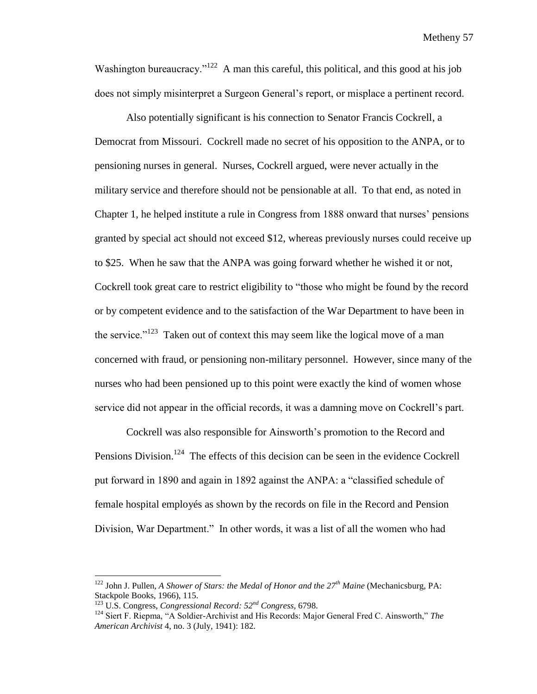Washington bureaucracy."<sup>122</sup> A man this careful, this political, and this good at his job does not simply misinterpret a Surgeon General's report, or misplace a pertinent record.

Also potentially significant is his connection to Senator Francis Cockrell, a Democrat from Missouri. Cockrell made no secret of his opposition to the ANPA, or to pensioning nurses in general. Nurses, Cockrell argued, were never actually in the military service and therefore should not be pensionable at all. To that end, as noted in Chapter 1, he helped institute a rule in Congress from 1888 onward that nurses' pensions granted by special act should not exceed \$12, whereas previously nurses could receive up to \$25. When he saw that the ANPA was going forward whether he wished it or not, Cockrell took great care to restrict eligibility to "those who might be found by the record or by competent evidence and to the satisfaction of the War Department to have been in the service."<sup>123</sup> Taken out of context this may seem like the logical move of a man concerned with fraud, or pensioning non-military personnel. However, since many of the nurses who had been pensioned up to this point were exactly the kind of women whose service did not appear in the official records, it was a damning move on Cockrell's part.

Cockrell was also responsible for Ainsworth's promotion to the Record and Pensions Division.<sup>124</sup> The effects of this decision can be seen in the evidence Cockrell put forward in 1890 and again in 1892 against the ANPA: a "classified schedule of female hospital employés as shown by the records on file in the Record and Pension Division, War Department." In other words, it was a list of all the women who had

 $\overline{a}$ 

<sup>122</sup> John J. Pullen, *A Shower of Stars: the Medal of Honor and the 27th Maine* (Mechanicsburg, PA: Stackpole Books, 1966), 115.

<sup>123</sup> U.S. Congress, *Congressional Record: 52nd Congress*, 6798.

<sup>124</sup> Siert F. Riepma, "A Soldier-Archivist and His Records: Major General Fred C. Ainsworth," *The American Archivist* 4, no. 3 (July, 1941): 182.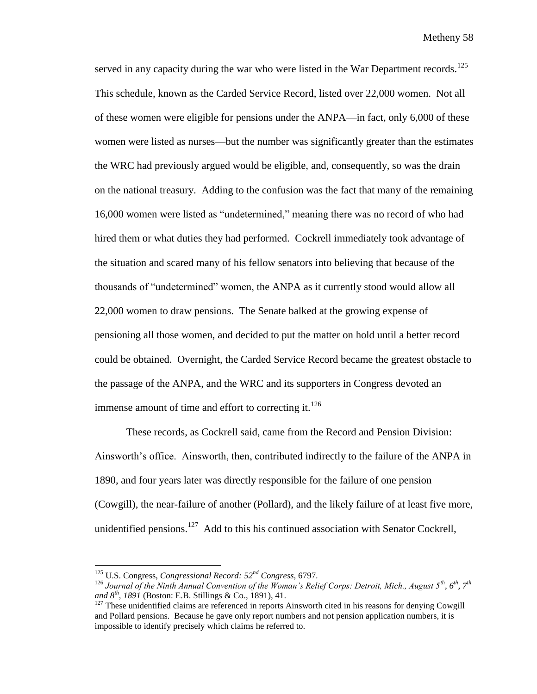served in any capacity during the war who were listed in the War Department records.<sup>125</sup> This schedule, known as the Carded Service Record, listed over 22,000 women. Not all of these women were eligible for pensions under the ANPA—in fact, only 6,000 of these women were listed as nurses—but the number was significantly greater than the estimates the WRC had previously argued would be eligible, and, consequently, so was the drain on the national treasury. Adding to the confusion was the fact that many of the remaining 16,000 women were listed as "undetermined," meaning there was no record of who had hired them or what duties they had performed. Cockrell immediately took advantage of the situation and scared many of his fellow senators into believing that because of the thousands of "undetermined" women, the ANPA as it currently stood would allow all 22,000 women to draw pensions. The Senate balked at the growing expense of pensioning all those women, and decided to put the matter on hold until a better record could be obtained. Overnight, the Carded Service Record became the greatest obstacle to the passage of the ANPA, and the WRC and its supporters in Congress devoted an immense amount of time and effort to correcting it. $126$ 

These records, as Cockrell said, came from the Record and Pension Division: Ainsworth's office. Ainsworth, then, contributed indirectly to the failure of the ANPA in 1890, and four years later was directly responsible for the failure of one pension (Cowgill), the near-failure of another (Pollard), and the likely failure of at least five more, unidentified pensions.<sup>127</sup> Add to this his continued association with Senator Cockrell,

l

<sup>125</sup> U.S. Congress, *Congressional Record: 52nd Congress,* 6797.

<sup>126</sup> *Journal of the Ninth Annual Convention of the Woman's Relief Corps: Detroit, Mich., August 5th, 6th, 7th and 8th, 1891* (Boston: E.B. Stillings & Co., 1891), 41.

 $127$  These unidentified claims are referenced in reports Ainsworth cited in his reasons for denying Cowgill and Pollard pensions. Because he gave only report numbers and not pension application numbers, it is impossible to identify precisely which claims he referred to.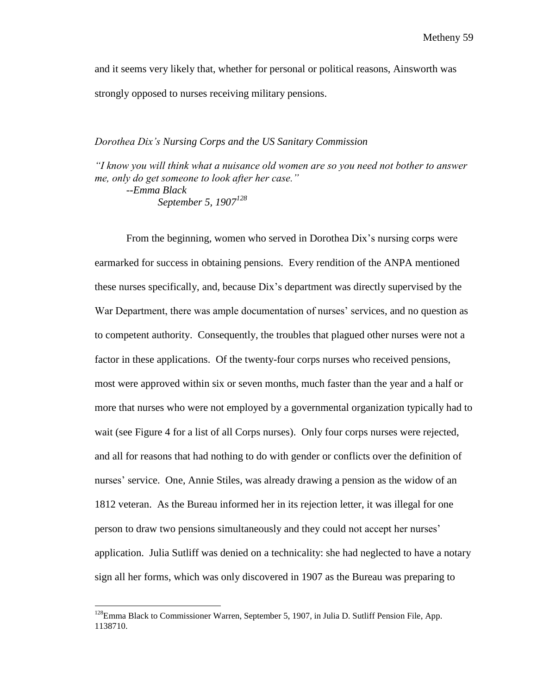and it seems very likely that, whether for personal or political reasons, Ainsworth was strongly opposed to nurses receiving military pensions.

# *Dorothea Dix's Nursing Corps and the US Sanitary Commission*

*"I know you will think what a nuisance old women are so you need not bother to answer me, only do get someone to look after her case."*

*--Emma Black September 5, 1907<sup>128</sup>*

From the beginning, women who served in Dorothea Dix's nursing corps were earmarked for success in obtaining pensions. Every rendition of the ANPA mentioned these nurses specifically, and, because Dix's department was directly supervised by the War Department, there was ample documentation of nurses' services, and no question as to competent authority. Consequently, the troubles that plagued other nurses were not a factor in these applications. Of the twenty-four corps nurses who received pensions, most were approved within six or seven months, much faster than the year and a half or more that nurses who were not employed by a governmental organization typically had to wait (see Figure 4 for a list of all Corps nurses). Only four corps nurses were rejected, and all for reasons that had nothing to do with gender or conflicts over the definition of nurses' service. One, Annie Stiles, was already drawing a pension as the widow of an 1812 veteran. As the Bureau informed her in its rejection letter, it was illegal for one person to draw two pensions simultaneously and they could not accept her nurses' application. Julia Sutliff was denied on a technicality: she had neglected to have a notary sign all her forms, which was only discovered in 1907 as the Bureau was preparing to

 $128$ Emma Black to Commissioner Warren, September 5, 1907, in Julia D. Sutliff Pension File, App. 1138710.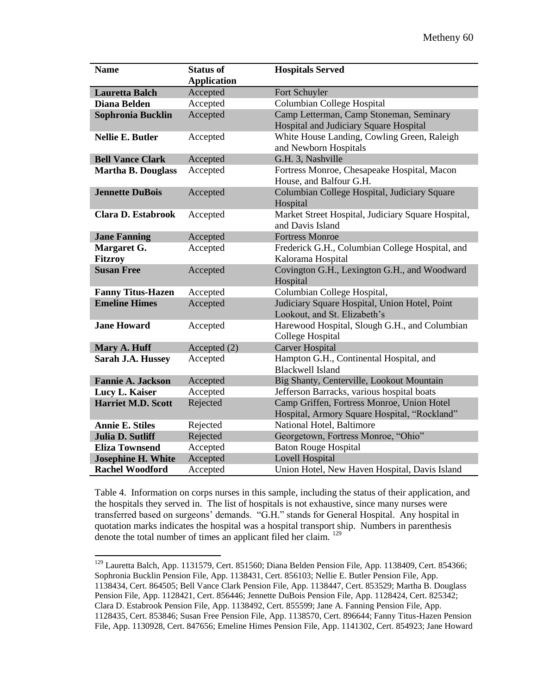| <b>Name</b>               | <b>Status of</b>   | <b>Hospitals Served</b>                                                                    |
|---------------------------|--------------------|--------------------------------------------------------------------------------------------|
|                           | <b>Application</b> |                                                                                            |
| <b>Lauretta Balch</b>     | Accepted           | Fort Schuyler                                                                              |
| <b>Diana Belden</b>       | Accepted           | <b>Columbian College Hospital</b>                                                          |
| Sophronia Bucklin         | Accepted           | Camp Letterman, Camp Stoneman, Seminary<br>Hospital and Judiciary Square Hospital          |
| <b>Nellie E. Butler</b>   | Accepted           | White House Landing, Cowling Green, Raleigh<br>and Newborn Hospitals                       |
| <b>Bell Vance Clark</b>   | Accepted           | G.H. 3, Nashville                                                                          |
| <b>Martha B. Douglass</b> | Accepted           | Fortress Monroe, Chesapeake Hospital, Macon<br>House, and Balfour G.H.                     |
| <b>Jennette DuBois</b>    | Accepted           | Columbian College Hospital, Judiciary Square<br>Hospital                                   |
| <b>Clara D. Estabrook</b> | Accepted           | Market Street Hospital, Judiciary Square Hospital,<br>and Davis Island                     |
| <b>Jane Fanning</b>       | Accepted           | <b>Fortress Monroe</b>                                                                     |
| Margaret G.               | Accepted           | Frederick G.H., Columbian College Hospital, and                                            |
| <b>Fitzroy</b>            |                    | Kalorama Hospital                                                                          |
| <b>Susan Free</b>         | Accepted           | Covington G.H., Lexington G.H., and Woodward<br>Hospital                                   |
| <b>Fanny Titus-Hazen</b>  | Accepted           | Columbian College Hospital,                                                                |
| <b>Emeline Himes</b>      | Accepted           | Judiciary Square Hospital, Union Hotel, Point<br>Lookout, and St. Elizabeth's              |
| <b>Jane Howard</b>        | Accepted           | Harewood Hospital, Slough G.H., and Columbian<br>College Hospital                          |
| Mary A. Huff              | Accepted (2)       | <b>Carver Hospital</b>                                                                     |
| Sarah J.A. Hussey         | Accepted           | Hampton G.H., Continental Hospital, and<br><b>Blackwell Island</b>                         |
| <b>Fannie A. Jackson</b>  | Accepted           | Big Shanty, Centerville, Lookout Mountain                                                  |
| Lucy L. Kaiser            | Accepted           | Jefferson Barracks, various hospital boats                                                 |
| <b>Harriet M.D. Scott</b> | Rejected           | Camp Griffen, Fortress Monroe, Union Hotel<br>Hospital, Armory Square Hospital, "Rockland" |
| <b>Annie E. Stiles</b>    | Rejected           | National Hotel, Baltimore                                                                  |
| <b>Julia D. Sutliff</b>   | Rejected           | Georgetown, Fortress Monroe, "Ohio"                                                        |
| <b>Eliza Townsend</b>     | Accepted           | <b>Baton Rouge Hospital</b>                                                                |
| <b>Josephine H. White</b> | Accepted           | <b>Lovell Hospital</b>                                                                     |
| <b>Rachel Woodford</b>    | Accepted           | Union Hotel, New Haven Hospital, Davis Island                                              |

Table 4. Information on corps nurses in this sample, including the status of their application, and the hospitals they served in. The list of hospitals is not exhaustive, since many nurses were transferred based on surgeons' demands. "G.H." stands for General Hospital. Any hospital in quotation marks indicates the hospital was a hospital transport ship. Numbers in parenthesis denote the total number of times an applicant filed her claim. <sup>129</sup>

 $129$  Lauretta Balch, App. 1131579, Cert. 851560; Diana Belden Pension File, App. 1138409, Cert. 854366; Sophronia Bucklin Pension File, App. 1138431, Cert. 856103; Nellie E. Butler Pension File, App. 1138434, Cert. 864505; Bell Vance Clark Pension File, App. 1138447, Cert. 853529; Martha B. Douglass Pension File, App. 1128421, Cert. 856446; Jennette DuBois Pension File, App. 1128424, Cert. 825342; Clara D. Estabrook Pension File, App. 1138492, Cert. 855599; Jane A. Fanning Pension File, App. 1128435, Cert. 853846; Susan Free Pension File, App. 1138570, Cert. 896644; Fanny Titus-Hazen Pension File, App. 1130928, Cert. 847656; Emeline Himes Pension File, App. 1141302, Cert. 854923; Jane Howard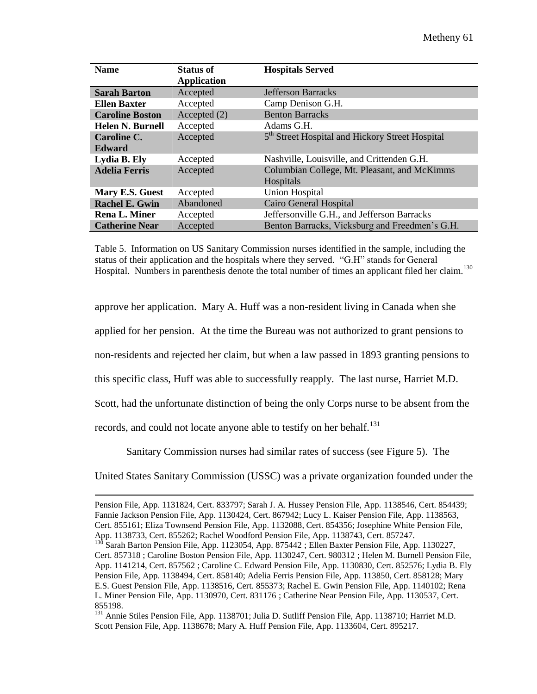| <b>Name</b>             | <b>Status of</b><br><b>Application</b> | <b>Hospitals Served</b>                                     |
|-------------------------|----------------------------------------|-------------------------------------------------------------|
|                         |                                        |                                                             |
| <b>Sarah Barton</b>     | Accepted                               | <b>Jefferson Barracks</b>                                   |
| <b>Ellen Baxter</b>     | Accepted                               | Camp Denison G.H.                                           |
| <b>Caroline Boston</b>  | Accepted (2)                           | <b>Benton Barracks</b>                                      |
| <b>Helen N. Burnell</b> | Accepted                               | Adams G.H.                                                  |
| Caroline C.             | Accepted                               | 5 <sup>th</sup> Street Hospital and Hickory Street Hospital |
| <b>Edward</b>           |                                        |                                                             |
| Lydia B. Ely            | Accepted                               | Nashville, Louisville, and Crittenden G.H.                  |
| <b>Adelia Ferris</b>    | Accepted                               | Columbian College, Mt. Pleasant, and McKimms                |
|                         |                                        | Hospitals                                                   |
| Mary E.S. Guest         | Accepted                               | <b>Union Hospital</b>                                       |
| <b>Rachel E. Gwin</b>   | Abandoned                              | <b>Cairo General Hospital</b>                               |
| <b>Rena L. Miner</b>    | Accepted                               | Jeffersonville G.H., and Jefferson Barracks                 |
| <b>Catherine Near</b>   | Accepted                               | Benton Barracks, Vicksburg and Freedmen's G.H.              |

Table 5. Information on US Sanitary Commission nurses identified in the sample, including the status of their application and the hospitals where they served. "G.H" stands for General Hospital. Numbers in parenthesis denote the total number of times an applicant filed her claim.<sup>130</sup>

approve her application. Mary A. Huff was a non-resident living in Canada when she

applied for her pension. At the time the Bureau was not authorized to grant pensions to

non-residents and rejected her claim, but when a law passed in 1893 granting pensions to

this specific class, Huff was able to successfully reapply. The last nurse, Harriet M.D.

Scott, had the unfortunate distinction of being the only Corps nurse to be absent from the

records, and could not locate anyone able to testify on her behalf.<sup>131</sup>

 $\overline{\phantom{a}}$ 

Sanitary Commission nurses had similar rates of success (see Figure 5). The

United States Sanitary Commission (USSC) was a private organization founded under the

Pension File, App. 1131824, Cert. 833797; Sarah J. A. Hussey Pension File, App. 1138546, Cert. 854439; Fannie Jackson Pension File, App. 1130424, Cert. 867942; Lucy L. Kaiser Pension File, App. 1138563, Cert. 855161; Eliza Townsend Pension File, App. 1132088, Cert. 854356; Josephine White Pension File, App. 1138733, Cert. 855262; Rachel Woodford Pension File, App. 1138743, Cert. 857247.

Sarah Barton Pension File, App. 1123054, App. 875442 ; Ellen Baxter Pension File, App. 1130227, Cert. 857318 ; Caroline Boston Pension File, App. 1130247, Cert. 980312 ; Helen M. Burnell Pension File, App. 1141214, Cert. 857562 ; Caroline C. Edward Pension File, App. 1130830, Cert. 852576; Lydia B. Ely Pension File, App. 1138494, Cert. 858140; Adelia Ferris Pension File, App. 113850, Cert. 858128; Mary E.S. Guest Pension File, App. 1138516, Cert. 855373; Rachel E. Gwin Pension File, App. 1140102; Rena L. Miner Pension File, App. 1130970, Cert. 831176 ; Catherine Near Pension File, App. 1130537, Cert. 855198.

<sup>131</sup> Annie Stiles Pension File, App. 1138701; Julia D. Sutliff Pension File, App. 1138710; Harriet M.D. Scott Pension File, App. 1138678; Mary A. Huff Pension File, App. 1133604, Cert. 895217.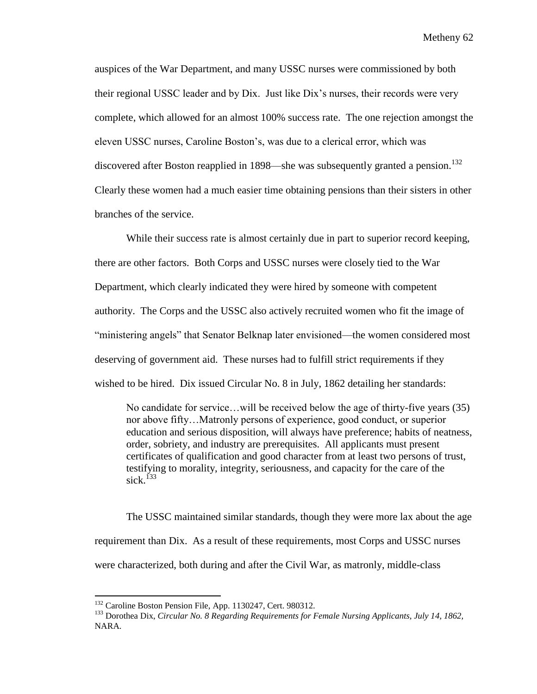auspices of the War Department, and many USSC nurses were commissioned by both their regional USSC leader and by Dix. Just like Dix's nurses, their records were very complete, which allowed for an almost 100% success rate. The one rejection amongst the eleven USSC nurses, Caroline Boston's, was due to a clerical error, which was discovered after Boston reapplied in 1898—she was subsequently granted a pension.<sup>132</sup> Clearly these women had a much easier time obtaining pensions than their sisters in other branches of the service.

While their success rate is almost certainly due in part to superior record keeping, there are other factors. Both Corps and USSC nurses were closely tied to the War Department, which clearly indicated they were hired by someone with competent authority. The Corps and the USSC also actively recruited women who fit the image of "ministering angels" that Senator Belknap later envisioned—the women considered most deserving of government aid. These nurses had to fulfill strict requirements if they wished to be hired. Dix issued Circular No. 8 in July, 1862 detailing her standards:

No candidate for service…will be received below the age of thirty-five years (35) nor above fifty…Matronly persons of experience, good conduct, or superior education and serious disposition, will always have preference; habits of neatness, order, sobriety, and industry are prerequisites. All applicants must present certificates of qualification and good character from at least two persons of trust, testifying to morality, integrity, seriousness, and capacity for the care of the sick.<sup>133</sup>

The USSC maintained similar standards, though they were more lax about the age requirement than Dix. As a result of these requirements, most Corps and USSC nurses were characterized, both during and after the Civil War, as matronly, middle-class

<sup>&</sup>lt;sup>132</sup> Caroline Boston Pension File, App. 1130247, Cert. 980312.

<sup>133</sup> Dorothea Dix, *Circular No. 8 Regarding Requirements for Female Nursing Applicants, July 14, 1862,*  NARA.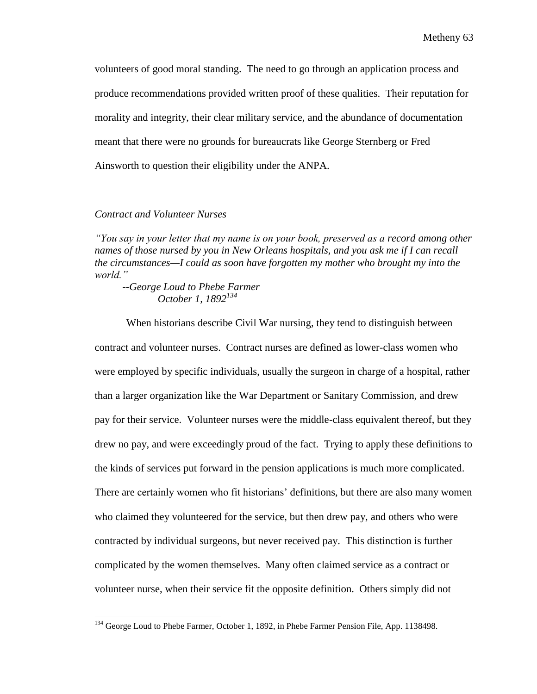volunteers of good moral standing. The need to go through an application process and produce recommendations provided written proof of these qualities. Their reputation for morality and integrity, their clear military service, and the abundance of documentation meant that there were no grounds for bureaucrats like George Sternberg or Fred Ainsworth to question their eligibility under the ANPA.

## *Contract and Volunteer Nurses*

 $\overline{\phantom{a}}$ 

*"You say in your letter that my name is on your book, preserved as a record among other names of those nursed by you in New Orleans hospitals, and you ask me if I can recall the circumstances—I could as soon have forgotten my mother who brought my into the world."*

*--George Loud to Phebe Farmer October 1, 1892<sup>134</sup>*

When historians describe Civil War nursing, they tend to distinguish between contract and volunteer nurses. Contract nurses are defined as lower-class women who were employed by specific individuals, usually the surgeon in charge of a hospital, rather than a larger organization like the War Department or Sanitary Commission, and drew pay for their service. Volunteer nurses were the middle-class equivalent thereof, but they drew no pay, and were exceedingly proud of the fact. Trying to apply these definitions to the kinds of services put forward in the pension applications is much more complicated. There are certainly women who fit historians' definitions, but there are also many women who claimed they volunteered for the service, but then drew pay, and others who were contracted by individual surgeons, but never received pay. This distinction is further complicated by the women themselves. Many often claimed service as a contract or volunteer nurse, when their service fit the opposite definition. Others simply did not

<sup>&</sup>lt;sup>134</sup> George Loud to Phebe Farmer, October 1, 1892, in Phebe Farmer Pension File, App. 1138498.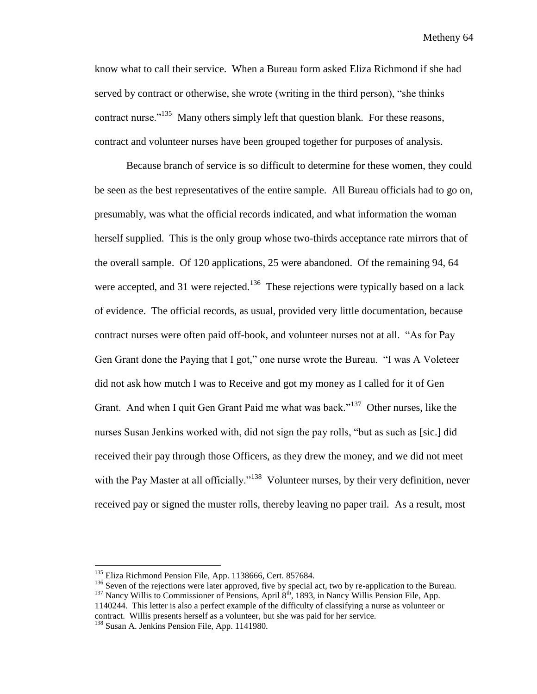know what to call their service. When a Bureau form asked Eliza Richmond if she had served by contract or otherwise, she wrote (writing in the third person), "she thinks contract nurse."<sup>135</sup> Many others simply left that question blank. For these reasons, contract and volunteer nurses have been grouped together for purposes of analysis.

Because branch of service is so difficult to determine for these women, they could be seen as the best representatives of the entire sample. All Bureau officials had to go on, presumably, was what the official records indicated, and what information the woman herself supplied. This is the only group whose two-thirds acceptance rate mirrors that of the overall sample. Of 120 applications, 25 were abandoned. Of the remaining 94, 64 were accepted, and 31 were rejected.<sup>136</sup> These rejections were typically based on a lack of evidence. The official records, as usual, provided very little documentation, because contract nurses were often paid off-book, and volunteer nurses not at all. "As for Pay Gen Grant done the Paying that I got," one nurse wrote the Bureau. "I was A Voleteer did not ask how mutch I was to Receive and got my money as I called for it of Gen Grant. And when I quit Gen Grant Paid me what was back."<sup>137</sup> Other nurses, like the nurses Susan Jenkins worked with, did not sign the pay rolls, "but as such as [sic.] did received their pay through those Officers, as they drew the money, and we did not meet with the Pay Master at all officially."<sup>138</sup> Volunteer nurses, by their very definition, never received pay or signed the muster rolls, thereby leaving no paper trail. As a result, most

l

<sup>&</sup>lt;sup>135</sup> Eliza Richmond Pension File, App. 1138666, Cert. 857684.

<sup>&</sup>lt;sup>136</sup> Seven of the rejections were later approved, five by special act, two by re-application to the Bureau.

<sup>&</sup>lt;sup>137</sup> Nancy Willis to Commissioner of Pensions, April 8<sup>th</sup>, 1893, in Nancy Willis Pension File, App. 1140244. This letter is also a perfect example of the difficulty of classifying a nurse as volunteer or contract. Willis presents herself as a volunteer, but she was paid for her service.

<sup>&</sup>lt;sup>138</sup> Susan A. Jenkins Pension File, App. 1141980.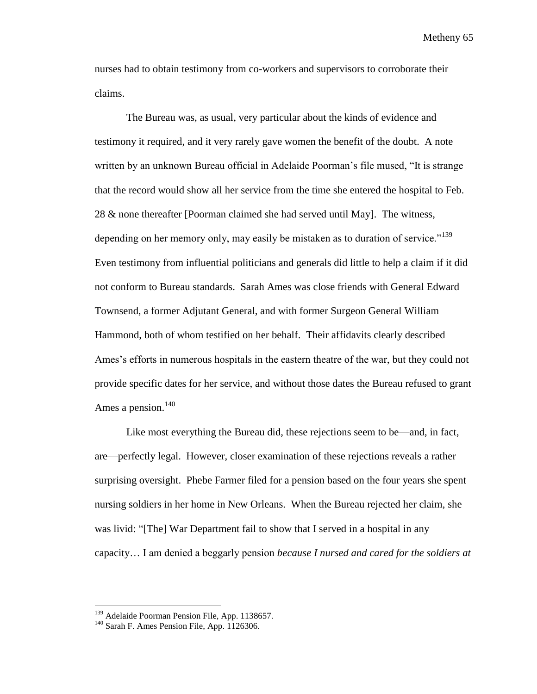nurses had to obtain testimony from co-workers and supervisors to corroborate their claims.

The Bureau was, as usual, very particular about the kinds of evidence and testimony it required, and it very rarely gave women the benefit of the doubt. A note written by an unknown Bureau official in Adelaide Poorman's file mused, "It is strange that the record would show all her service from the time she entered the hospital to Feb. 28 & none thereafter [Poorman claimed she had served until May]. The witness, depending on her memory only, may easily be mistaken as to duration of service."<sup>139</sup> Even testimony from influential politicians and generals did little to help a claim if it did not conform to Bureau standards. Sarah Ames was close friends with General Edward Townsend, a former Adjutant General, and with former Surgeon General William Hammond, both of whom testified on her behalf. Their affidavits clearly described Ames's efforts in numerous hospitals in the eastern theatre of the war, but they could not provide specific dates for her service, and without those dates the Bureau refused to grant Ames a pension. $140$ 

Like most everything the Bureau did, these rejections seem to be—and, in fact, are—perfectly legal. However, closer examination of these rejections reveals a rather surprising oversight. Phebe Farmer filed for a pension based on the four years she spent nursing soldiers in her home in New Orleans. When the Bureau rejected her claim, she was livid: "[The] War Department fail to show that I served in a hospital in any capacity… I am denied a beggarly pension *because I nursed and cared for the soldiers at* 

<sup>&</sup>lt;sup>139</sup> Adelaide Poorman Pension File, App. 1138657.

<sup>&</sup>lt;sup>140</sup> Sarah F. Ames Pension File, App. 1126306.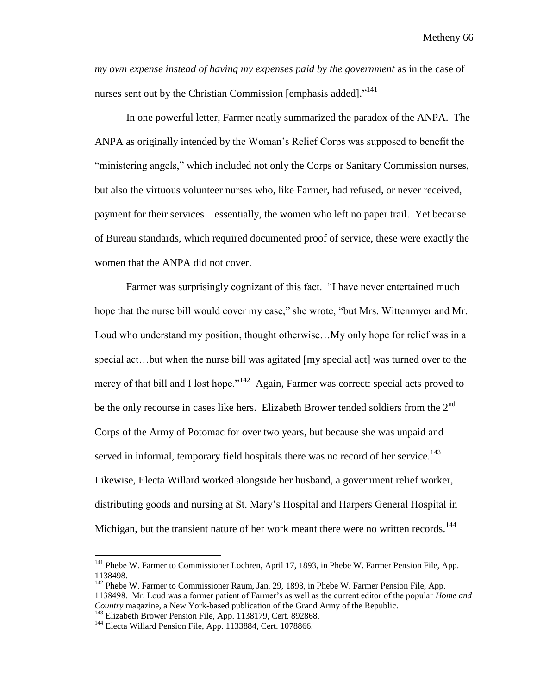*my own expense instead of having my expenses paid by the government* as in the case of nurses sent out by the Christian Commission [emphasis added]."<sup>141</sup>

In one powerful letter, Farmer neatly summarized the paradox of the ANPA. The ANPA as originally intended by the Woman's Relief Corps was supposed to benefit the "ministering angels," which included not only the Corps or Sanitary Commission nurses, but also the virtuous volunteer nurses who, like Farmer, had refused, or never received, payment for their services—essentially, the women who left no paper trail. Yet because of Bureau standards, which required documented proof of service, these were exactly the women that the ANPA did not cover.

Farmer was surprisingly cognizant of this fact. "I have never entertained much hope that the nurse bill would cover my case," she wrote, "but Mrs. Wittenmyer and Mr. Loud who understand my position, thought otherwise...My only hope for relief was in a special act…but when the nurse bill was agitated [my special act] was turned over to the mercy of that bill and I lost hope."<sup>142</sup> Again, Farmer was correct: special acts proved to be the only recourse in cases like hers. Elizabeth Brower tended soldiers from the  $2<sup>nd</sup>$ Corps of the Army of Potomac for over two years, but because she was unpaid and served in informal, temporary field hospitals there was no record of her service.<sup>143</sup> Likewise, Electa Willard worked alongside her husband, a government relief worker, distributing goods and nursing at St. Mary's Hospital and Harpers General Hospital in Michigan, but the transient nature of her work meant there were no written records.<sup>144</sup>

<sup>&</sup>lt;sup>141</sup> Phebe W. Farmer to Commissioner Lochren, April 17, 1893, in Phebe W. Farmer Pension File, App. 1138498.

<sup>&</sup>lt;sup>142</sup> Phebe W. Farmer to Commissioner Raum, Jan. 29, 1893, in Phebe W. Farmer Pension File, App. 1138498. Mr. Loud was a former patient of Farmer's as well as the current editor of the popular *Home and Country* magazine, a New York-based publication of the Grand Army of the Republic. <sup>143</sup> Elizabeth Brower Pension File, App. 1138179, Cert. 892868.

<sup>&</sup>lt;sup>144</sup> Electa Willard Pension File, App. 1133884, Cert. 1078866.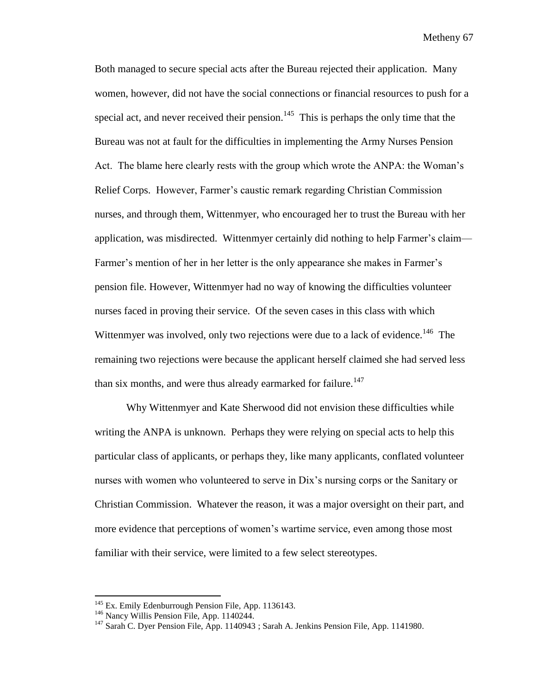Both managed to secure special acts after the Bureau rejected their application. Many women, however, did not have the social connections or financial resources to push for a special act, and never received their pension.<sup>145</sup> This is perhaps the only time that the Bureau was not at fault for the difficulties in implementing the Army Nurses Pension Act. The blame here clearly rests with the group which wrote the ANPA: the Woman's Relief Corps. However, Farmer's caustic remark regarding Christian Commission nurses, and through them, Wittenmyer, who encouraged her to trust the Bureau with her application, was misdirected. Wittenmyer certainly did nothing to help Farmer's claim— Farmer's mention of her in her letter is the only appearance she makes in Farmer's pension file. However, Wittenmyer had no way of knowing the difficulties volunteer nurses faced in proving their service. Of the seven cases in this class with which Wittenmyer was involved, only two rejections were due to a lack of evidence.<sup>146</sup> The remaining two rejections were because the applicant herself claimed she had served less than six months, and were thus already earmarked for failure.<sup>147</sup>

Why Wittenmyer and Kate Sherwood did not envision these difficulties while writing the ANPA is unknown. Perhaps they were relying on special acts to help this particular class of applicants, or perhaps they, like many applicants, conflated volunteer nurses with women who volunteered to serve in Dix's nursing corps or the Sanitary or Christian Commission. Whatever the reason, it was a major oversight on their part, and more evidence that perceptions of women's wartime service, even among those most familiar with their service, were limited to a few select stereotypes.

<sup>&</sup>lt;sup>145</sup> Ex. Emily Edenburrough Pension File, App. 1136143.

<sup>&</sup>lt;sup>146</sup> Nancy Willis Pension File, App. 1140244.

<sup>&</sup>lt;sup>147</sup> Sarah C. Dyer Pension File, App. 1140943 ; Sarah A. Jenkins Pension File, App. 1141980.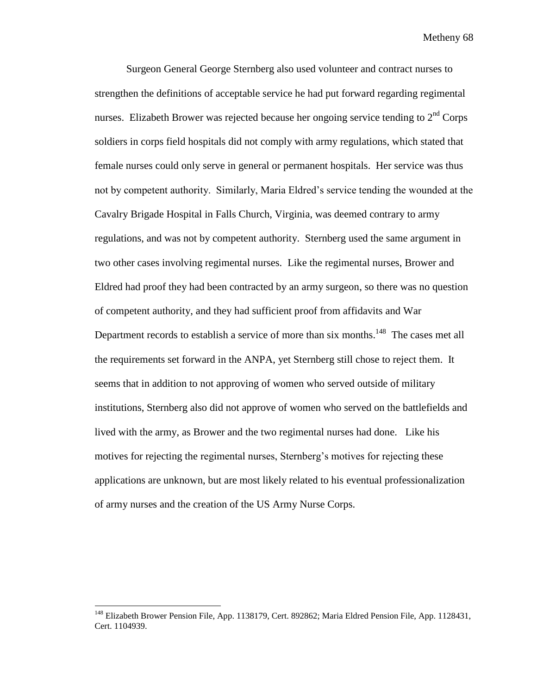Surgeon General George Sternberg also used volunteer and contract nurses to strengthen the definitions of acceptable service he had put forward regarding regimental nurses. Elizabeth Brower was rejected because her ongoing service tending to  $2<sup>nd</sup>$  Corps soldiers in corps field hospitals did not comply with army regulations, which stated that female nurses could only serve in general or permanent hospitals. Her service was thus not by competent authority. Similarly, Maria Eldred's service tending the wounded at the Cavalry Brigade Hospital in Falls Church, Virginia, was deemed contrary to army regulations, and was not by competent authority. Sternberg used the same argument in two other cases involving regimental nurses. Like the regimental nurses, Brower and Eldred had proof they had been contracted by an army surgeon, so there was no question of competent authority, and they had sufficient proof from affidavits and War Department records to establish a service of more than six months.<sup>148</sup> The cases met all the requirements set forward in the ANPA, yet Sternberg still chose to reject them. It seems that in addition to not approving of women who served outside of military institutions, Sternberg also did not approve of women who served on the battlefields and lived with the army, as Brower and the two regimental nurses had done. Like his motives for rejecting the regimental nurses, Sternberg's motives for rejecting these applications are unknown, but are most likely related to his eventual professionalization of army nurses and the creation of the US Army Nurse Corps.

<sup>&</sup>lt;sup>148</sup> Elizabeth Brower Pension File, App. 1138179, Cert. 892862; Maria Eldred Pension File, App. 1128431, Cert. 1104939.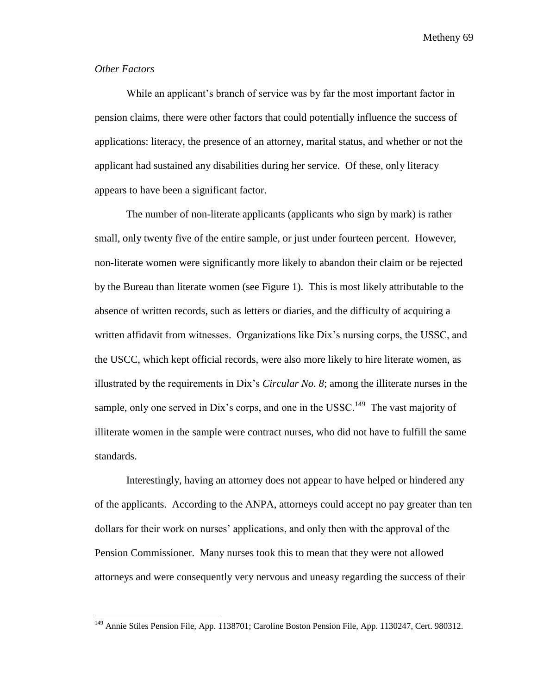## *Other Factors*

 $\overline{\phantom{a}}$ 

While an applicant's branch of service was by far the most important factor in pension claims, there were other factors that could potentially influence the success of applications: literacy, the presence of an attorney, marital status, and whether or not the applicant had sustained any disabilities during her service. Of these, only literacy appears to have been a significant factor.

The number of non-literate applicants (applicants who sign by mark) is rather small, only twenty five of the entire sample, or just under fourteen percent. However, non-literate women were significantly more likely to abandon their claim or be rejected by the Bureau than literate women (see Figure 1). This is most likely attributable to the absence of written records, such as letters or diaries, and the difficulty of acquiring a written affidavit from witnesses. Organizations like Dix's nursing corps, the USSC, and the USCC, which kept official records, were also more likely to hire literate women, as illustrated by the requirements in Dix's *Circular No. 8*; among the illiterate nurses in the sample, only one served in Dix's corps, and one in the USSC.<sup>149</sup> The vast majority of illiterate women in the sample were contract nurses, who did not have to fulfill the same standards.

Interestingly, having an attorney does not appear to have helped or hindered any of the applicants. According to the ANPA, attorneys could accept no pay greater than ten dollars for their work on nurses' applications, and only then with the approval of the Pension Commissioner. Many nurses took this to mean that they were not allowed attorneys and were consequently very nervous and uneasy regarding the success of their

<sup>&</sup>lt;sup>149</sup> Annie Stiles Pension File, App. 1138701; Caroline Boston Pension File, App. 1130247, Cert. 980312.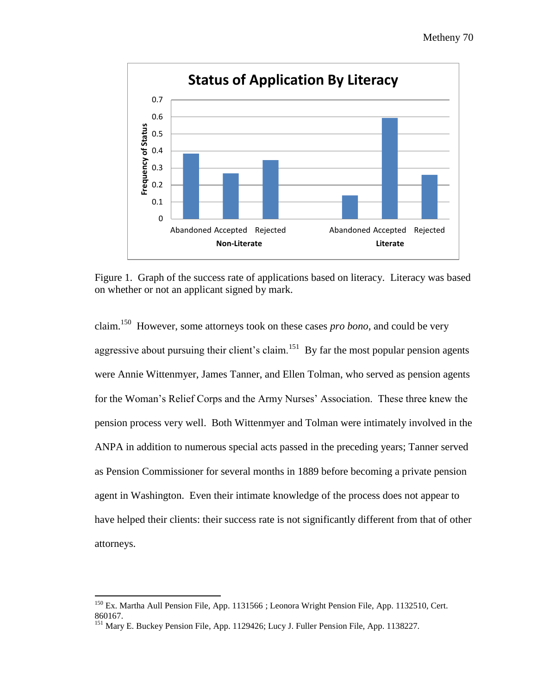

Figure 1. Graph of the success rate of applications based on literacy. Literacy was based on whether or not an applicant signed by mark.

claim.<sup>150</sup> However, some attorneys took on these cases *pro bono*, and could be very aggressive about pursuing their client's claim.<sup>151</sup> By far the most popular pension agents were Annie Wittenmyer, James Tanner, and Ellen Tolman, who served as pension agents for the Woman's Relief Corps and the Army Nurses' Association. These three knew the pension process very well. Both Wittenmyer and Tolman were intimately involved in the ANPA in addition to numerous special acts passed in the preceding years; Tanner served as Pension Commissioner for several months in 1889 before becoming a private pension agent in Washington. Even their intimate knowledge of the process does not appear to have helped their clients: their success rate is not significantly different from that of other attorneys.

<sup>&</sup>lt;sup>150</sup> Ex. Martha Aull Pension File, App. 1131566 ; Leonora Wright Pension File, App. 1132510, Cert. 860167.

<sup>&</sup>lt;sup>151</sup> Mary E. Buckey Pension File, App. 1129426; Lucy J. Fuller Pension File, App. 1138227.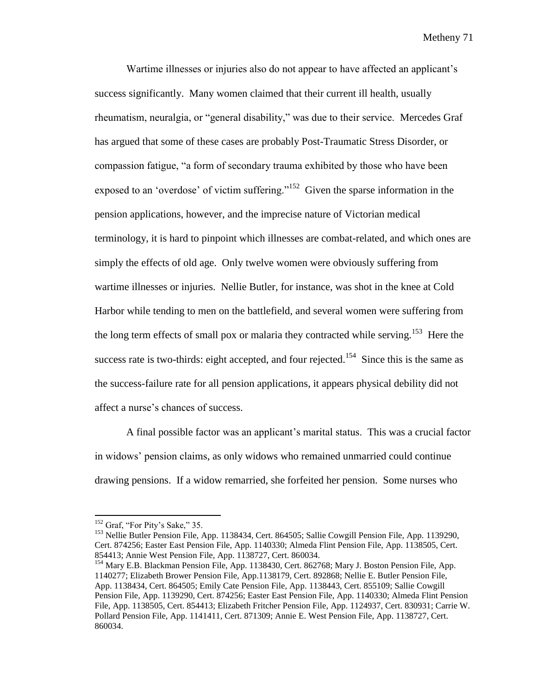Wartime illnesses or injuries also do not appear to have affected an applicant's success significantly. Many women claimed that their current ill health, usually rheumatism, neuralgia, or "general disability," was due to their service. Mercedes Graf has argued that some of these cases are probably Post-Traumatic Stress Disorder, or compassion fatigue, "a form of secondary trauma exhibited by those who have been exposed to an 'overdose' of victim suffering."<sup>152</sup> Given the sparse information in the pension applications, however, and the imprecise nature of Victorian medical terminology, it is hard to pinpoint which illnesses are combat-related, and which ones are simply the effects of old age. Only twelve women were obviously suffering from wartime illnesses or injuries. Nellie Butler, for instance, was shot in the knee at Cold Harbor while tending to men on the battlefield, and several women were suffering from the long term effects of small pox or malaria they contracted while serving.<sup>153</sup> Here the success rate is two-thirds: eight accepted, and four rejected.<sup>154</sup> Since this is the same as the success-failure rate for all pension applications, it appears physical debility did not affect a nurse's chances of success.

A final possible factor was an applicant's marital status. This was a crucial factor in widows' pension claims, as only widows who remained unmarried could continue drawing pensions. If a widow remarried, she forfeited her pension. Some nurses who

 $\overline{a}$ 

<sup>&</sup>lt;sup>152</sup> Graf, "For Pity's Sake," 35.

<sup>&</sup>lt;sup>153</sup> Nellie Butler Pension File, App. 1138434, Cert. 864505; Sallie Cowgill Pension File, App. 1139290, Cert. 874256; Easter East Pension File, App. 1140330; Almeda Flint Pension File, App. 1138505, Cert. 854413; Annie West Pension File, App. 1138727, Cert. 860034.

<sup>&</sup>lt;sup>154</sup> Mary E.B. Blackman Pension File, App. 1138430, Cert. 862768; Mary J. Boston Pension File, App. 1140277; Elizabeth Brower Pension File, App.1138179, Cert. 892868; Nellie E. Butler Pension File, App. 1138434, Cert. 864505; Emily Cate Pension File, App. 1138443, Cert. 855109; Sallie Cowgill Pension File, App. 1139290, Cert. 874256; Easter East Pension File, App. 1140330; Almeda Flint Pension File, App. 1138505, Cert. 854413; Elizabeth Fritcher Pension File, App. 1124937, Cert. 830931; Carrie W. Pollard Pension File, App. 1141411, Cert. 871309; Annie E. West Pension File, App. 1138727, Cert. 860034.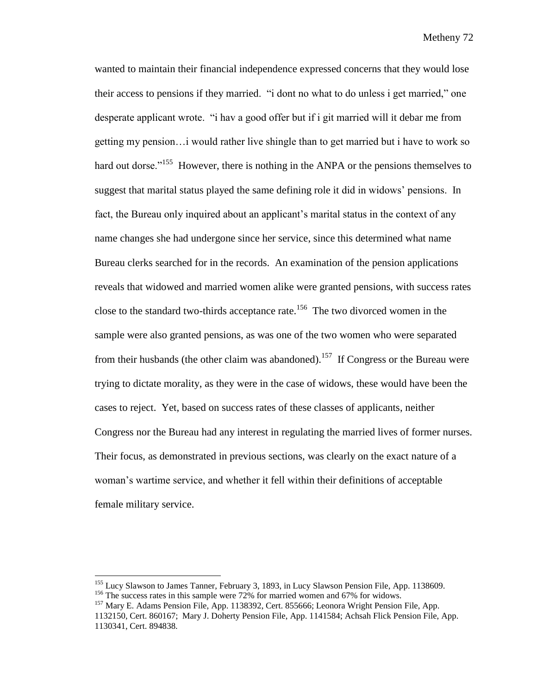wanted to maintain their financial independence expressed concerns that they would lose their access to pensions if they married. "i dont no what to do unless i get married," one desperate applicant wrote. "i hav a good offer but if i git married will it debar me from getting my pension…i would rather live shingle than to get married but i have to work so hard out dorse."<sup>155</sup> However, there is nothing in the ANPA or the pensions themselves to suggest that marital status played the same defining role it did in widows' pensions. In fact, the Bureau only inquired about an applicant's marital status in the context of any name changes she had undergone since her service, since this determined what name Bureau clerks searched for in the records. An examination of the pension applications reveals that widowed and married women alike were granted pensions, with success rates close to the standard two-thirds acceptance rate.<sup>156</sup> The two divorced women in the sample were also granted pensions, as was one of the two women who were separated from their husbands (the other claim was abandoned).<sup>157</sup> If Congress or the Bureau were trying to dictate morality, as they were in the case of widows, these would have been the cases to reject. Yet, based on success rates of these classes of applicants, neither Congress nor the Bureau had any interest in regulating the married lives of former nurses. Their focus, as demonstrated in previous sections, was clearly on the exact nature of a woman's wartime service, and whether it fell within their definitions of acceptable female military service.

 $\overline{a}$ 

<sup>&</sup>lt;sup>155</sup> Lucy Slawson to James Tanner, February 3, 1893, in Lucy Slawson Pension File, App. 1138609. <sup>156</sup> The success rates in this sample were 72% for married women and 67% for widows.

<sup>157</sup> Mary E. Adams Pension File, App. 1138392, Cert. 855666; Leonora Wright Pension File, App.

<sup>1132150,</sup> Cert. 860167; Mary J. Doherty Pension File, App. 1141584; Achsah Flick Pension File, App. 1130341, Cert. 894838.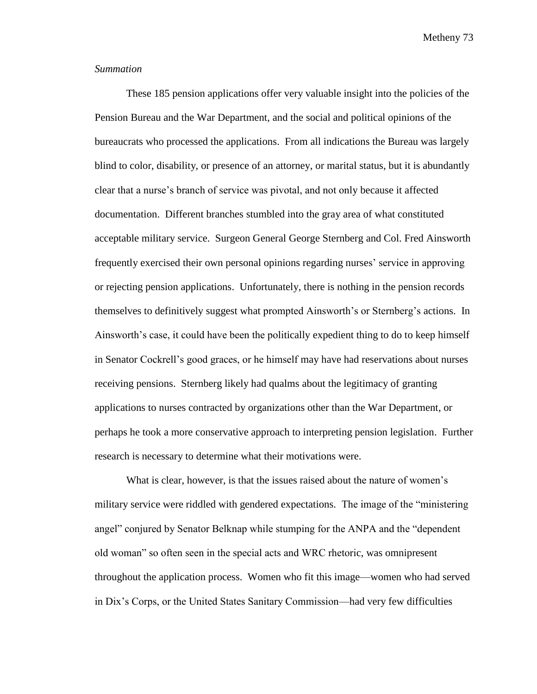### *Summation*

These 185 pension applications offer very valuable insight into the policies of the Pension Bureau and the War Department, and the social and political opinions of the bureaucrats who processed the applications. From all indications the Bureau was largely blind to color, disability, or presence of an attorney, or marital status, but it is abundantly clear that a nurse's branch of service was pivotal, and not only because it affected documentation. Different branches stumbled into the gray area of what constituted acceptable military service. Surgeon General George Sternberg and Col. Fred Ainsworth frequently exercised their own personal opinions regarding nurses' service in approving or rejecting pension applications. Unfortunately, there is nothing in the pension records themselves to definitively suggest what prompted Ainsworth's or Sternberg's actions. In Ainsworth's case, it could have been the politically expedient thing to do to keep himself in Senator Cockrell's good graces, or he himself may have had reservations about nurses receiving pensions. Sternberg likely had qualms about the legitimacy of granting applications to nurses contracted by organizations other than the War Department, or perhaps he took a more conservative approach to interpreting pension legislation. Further research is necessary to determine what their motivations were.

What is clear, however, is that the issues raised about the nature of women's military service were riddled with gendered expectations. The image of the "ministering angel" conjured by Senator Belknap while stumping for the ANPA and the "dependent old woman" so often seen in the special acts and WRC rhetoric, was omnipresent throughout the application process. Women who fit this image—women who had served in Dix's Corps, or the United States Sanitary Commission—had very few difficulties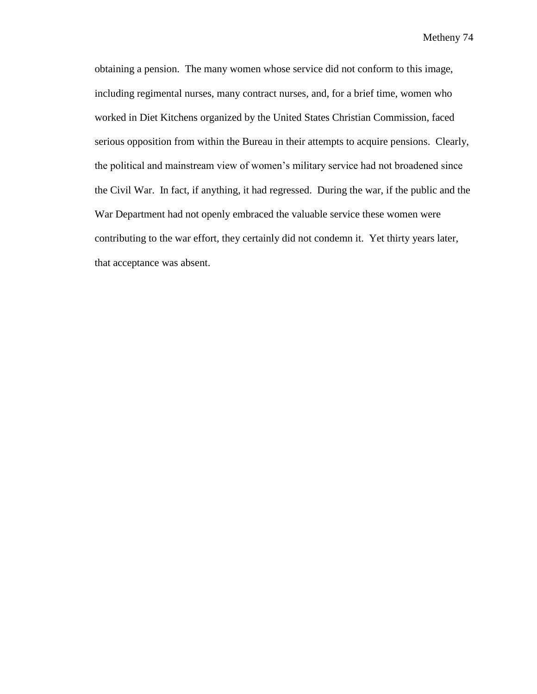obtaining a pension. The many women whose service did not conform to this image, including regimental nurses, many contract nurses, and, for a brief time, women who worked in Diet Kitchens organized by the United States Christian Commission, faced serious opposition from within the Bureau in their attempts to acquire pensions. Clearly, the political and mainstream view of women's military service had not broadened since the Civil War. In fact, if anything, it had regressed. During the war, if the public and the War Department had not openly embraced the valuable service these women were contributing to the war effort, they certainly did not condemn it. Yet thirty years later, that acceptance was absent.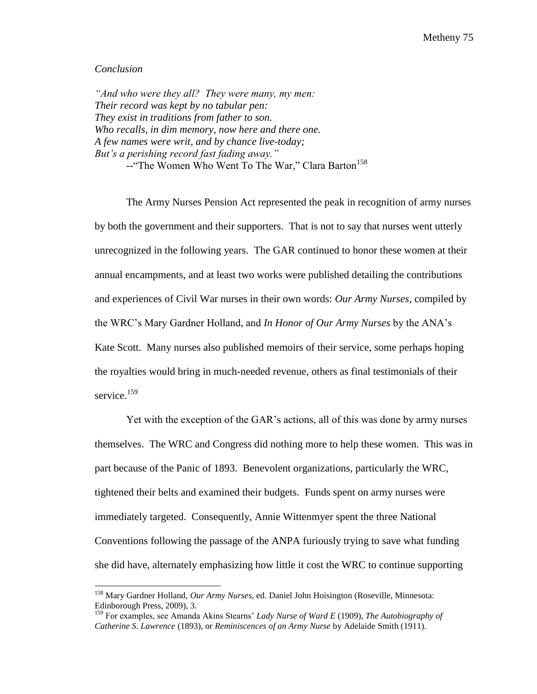### *Conclusion*

 $\overline{\phantom{a}}$ 

*"And who were they all? They were many, my men: Their record was kept by no tabular pen: They exist in traditions from father to son. Who recalls, in dim memory, now here and there one. A few names were writ, and by chance live-today; But's a perishing record fast fading away."* --"The Women Who Went To The War," Clara Barton<sup>158</sup>

The Army Nurses Pension Act represented the peak in recognition of army nurses by both the government and their supporters. That is not to say that nurses went utterly unrecognized in the following years. The GAR continued to honor these women at their annual encampments, and at least two works were published detailing the contributions and experiences of Civil War nurses in their own words: *Our Army Nurses*, compiled by the WRC's Mary Gardner Holland, and *In Honor of Our Army Nurses* by the ANA's Kate Scott. Many nurses also published memoirs of their service, some perhaps hoping the royalties would bring in much-needed revenue, others as final testimonials of their service.<sup>159</sup>

Yet with the exception of the GAR's actions, all of this was done by army nurses themselves. The WRC and Congress did nothing more to help these women. This was in part because of the Panic of 1893. Benevolent organizations, particularly the WRC, tightened their belts and examined their budgets. Funds spent on army nurses were immediately targeted. Consequently, Annie Wittenmyer spent the three National Conventions following the passage of the ANPA furiously trying to save what funding she did have, alternately emphasizing how little it cost the WRC to continue supporting

<sup>158</sup> Mary Gardner Holland, *Our Army Nurses*, ed. Daniel John Hoisington (Roseville, Minnesota: Edinborough Press, 2009), 3.

<sup>159</sup> For examples, see Amanda Akins Stearns' *Lady Nurse of Ward E* (1909), *The Autobiography of Catherine S. Lawrence* (1893), or *Reminiscences of an Army Nurse* by Adelaide Smith (1911).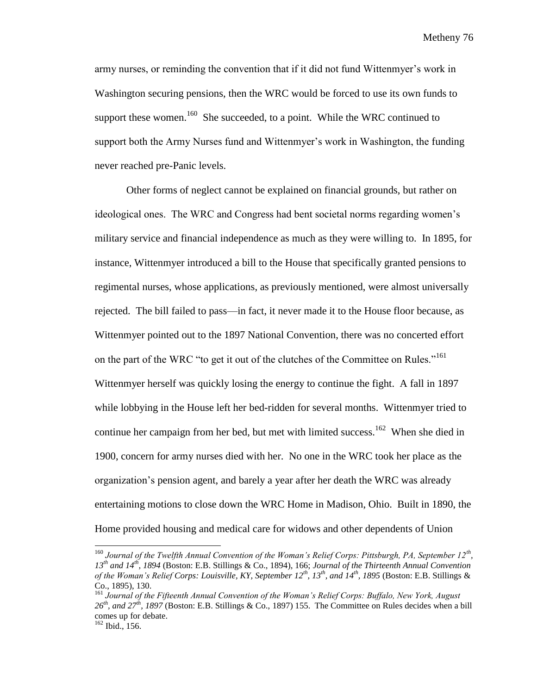army nurses, or reminding the convention that if it did not fund Wittenmyer's work in Washington securing pensions, then the WRC would be forced to use its own funds to support these women.<sup>160</sup> She succeeded, to a point. While the WRC continued to support both the Army Nurses fund and Wittenmyer's work in Washington, the funding never reached pre-Panic levels.

Other forms of neglect cannot be explained on financial grounds, but rather on ideological ones. The WRC and Congress had bent societal norms regarding women's military service and financial independence as much as they were willing to. In 1895, for instance, Wittenmyer introduced a bill to the House that specifically granted pensions to regimental nurses, whose applications, as previously mentioned, were almost universally rejected. The bill failed to pass—in fact, it never made it to the House floor because, as Wittenmyer pointed out to the 1897 National Convention, there was no concerted effort on the part of the WRC "to get it out of the clutches of the Committee on Rules."<sup>161</sup> Wittenmyer herself was quickly losing the energy to continue the fight. A fall in 1897 while lobbying in the House left her bed-ridden for several months. Wittenmyer tried to continue her campaign from her bed, but met with limited success.<sup>162</sup> When she died in 1900, concern for army nurses died with her. No one in the WRC took her place as the organization's pension agent, and barely a year after her death the WRC was already entertaining motions to close down the WRC Home in Madison, Ohio. Built in 1890, the Home provided housing and medical care for widows and other dependents of Union

 $\overline{a}$ 

<sup>&</sup>lt;sup>160</sup> Journal of the Twelfth Annual Convention of the Woman's Relief Corps: Pittsburgh, PA, September 12<sup>th</sup>, *13th and 14th, 1894* (Boston: E.B. Stillings & Co., 1894), 166; *Journal of the Thirteenth Annual Convention of the Woman's Relief Corps: Louisville, KY, September 12th, 13th, and 14th, 1895* (Boston: E.B. Stillings & Co., 1895), 130.

<sup>161</sup> *Journal of the Fifteenth Annual Convention of the Woman's Relief Corps: Buffalo, New York, August 26th, and 27th, 1897* (Boston: E.B. Stillings & Co., 1897) 155. The Committee on Rules decides when a bill comes up for debate.

 $162$  Ibid., 156.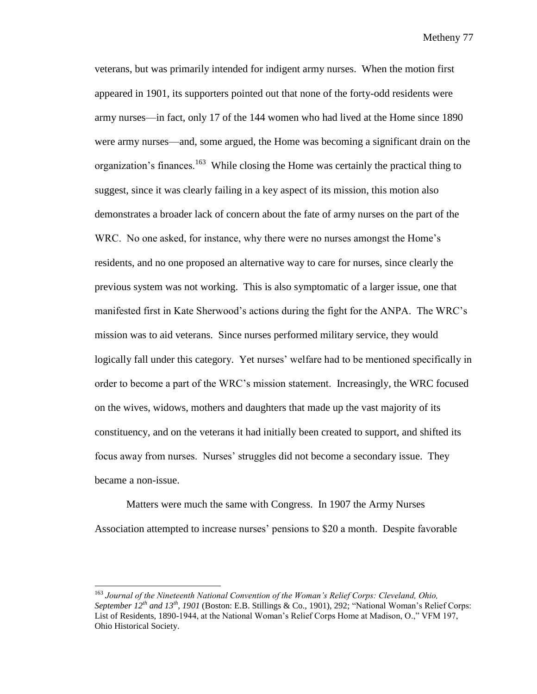veterans, but was primarily intended for indigent army nurses. When the motion first appeared in 1901, its supporters pointed out that none of the forty-odd residents were army nurses—in fact, only 17 of the 144 women who had lived at the Home since 1890 were army nurses—and, some argued, the Home was becoming a significant drain on the organization's finances.<sup>163</sup> While closing the Home was certainly the practical thing to suggest, since it was clearly failing in a key aspect of its mission, this motion also demonstrates a broader lack of concern about the fate of army nurses on the part of the WRC. No one asked, for instance, why there were no nurses amongst the Home's residents, and no one proposed an alternative way to care for nurses, since clearly the previous system was not working. This is also symptomatic of a larger issue, one that manifested first in Kate Sherwood's actions during the fight for the ANPA. The WRC's mission was to aid veterans. Since nurses performed military service, they would logically fall under this category. Yet nurses' welfare had to be mentioned specifically in order to become a part of the WRC's mission statement. Increasingly, the WRC focused on the wives, widows, mothers and daughters that made up the vast majority of its constituency, and on the veterans it had initially been created to support, and shifted its focus away from nurses. Nurses' struggles did not become a secondary issue. They became a non-issue.

Matters were much the same with Congress. In 1907 the Army Nurses Association attempted to increase nurses' pensions to \$20 a month. Despite favorable

 $\overline{\phantom{a}}$ 

<sup>163</sup> *Journal of the Nineteenth National Convention of the Woman's Relief Corps: Cleveland, Ohio, September 12th and 13th, 1901* (Boston: E.B. Stillings & Co., 1901), 292; "National Woman's Relief Corps: List of Residents, 1890-1944, at the National Woman's Relief Corps Home at Madison, O.," VFM 197, Ohio Historical Society.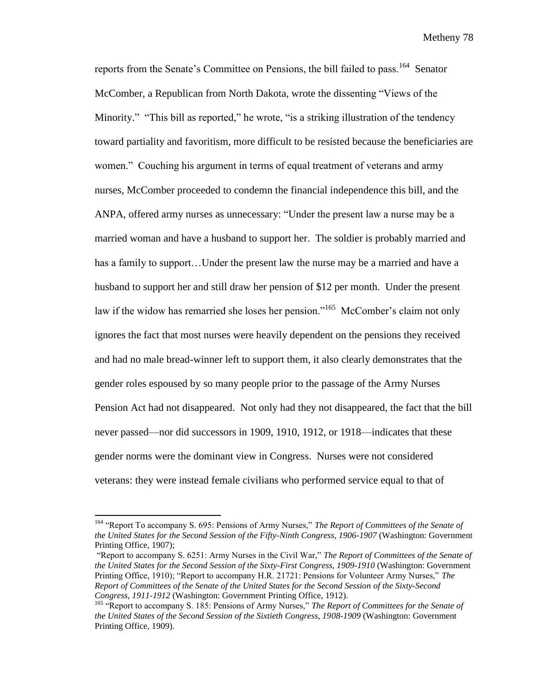reports from the Senate's Committee on Pensions, the bill failed to pass.<sup>164</sup> Senator McComber, a Republican from North Dakota, wrote the dissenting "Views of the Minority." "This bill as reported," he wrote, "is a striking illustration of the tendency toward partiality and favoritism, more difficult to be resisted because the beneficiaries are women." Couching his argument in terms of equal treatment of veterans and army nurses, McComber proceeded to condemn the financial independence this bill, and the ANPA, offered army nurses as unnecessary: "Under the present law a nurse may be a married woman and have a husband to support her. The soldier is probably married and has a family to support…Under the present law the nurse may be a married and have a husband to support her and still draw her pension of \$12 per month. Under the present law if the widow has remarried she loses her pension."<sup>165</sup> McComber's claim not only ignores the fact that most nurses were heavily dependent on the pensions they received and had no male bread-winner left to support them, it also clearly demonstrates that the gender roles espoused by so many people prior to the passage of the Army Nurses Pension Act had not disappeared. Not only had they not disappeared, the fact that the bill never passed—nor did successors in 1909, 1910, 1912, or 1918—indicates that these gender norms were the dominant view in Congress. Nurses were not considered veterans: they were instead female civilians who performed service equal to that of

 $\overline{a}$ 

<sup>164</sup> "Report To accompany S. 695: Pensions of Army Nurses," *The Report of Committees of the Senate of the United States for the Second Session of the Fifty-Ninth Congress, 1906-1907* (Washington: Government Printing Office, 1907);

<sup>&</sup>quot;Report to accompany S. 6251: Army Nurses in the Civil War," *The Report of Committees of the Senate of the United States for the Second Session of the Sixty-First Congress, 1909-1910* (Washington: Government Printing Office, 1910); "Report to accompany H.R. 21721: Pensions for Volunteer Army Nurses," *The Report of Committees of the Senate of the United States for the Second Session of the Sixty-Second Congress*, *1911-1912* (Washington: Government Printing Office, 1912).

<sup>165</sup> "Report to accompany S. 185: Pensions of Army Nurses," *The Report of Committees for the Senate of the United States of the Second Session of the Sixtieth Congress, 1908-1909* (Washington: Government Printing Office, 1909).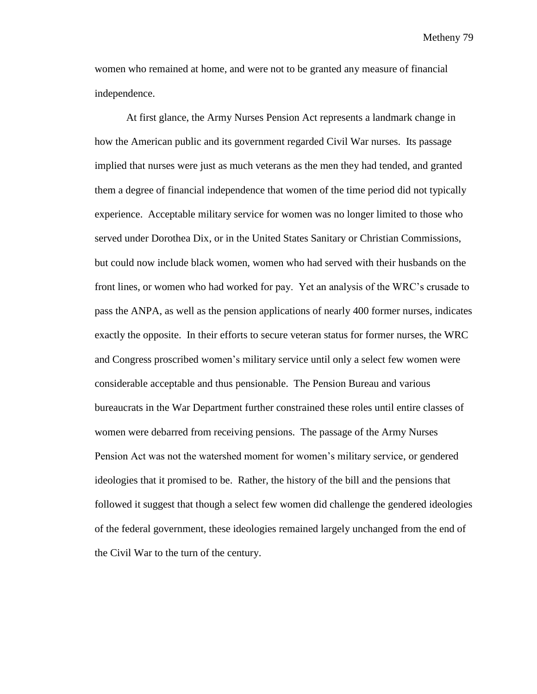women who remained at home, and were not to be granted any measure of financial independence.

At first glance, the Army Nurses Pension Act represents a landmark change in how the American public and its government regarded Civil War nurses. Its passage implied that nurses were just as much veterans as the men they had tended, and granted them a degree of financial independence that women of the time period did not typically experience. Acceptable military service for women was no longer limited to those who served under Dorothea Dix, or in the United States Sanitary or Christian Commissions, but could now include black women, women who had served with their husbands on the front lines, or women who had worked for pay. Yet an analysis of the WRC's crusade to pass the ANPA, as well as the pension applications of nearly 400 former nurses, indicates exactly the opposite. In their efforts to secure veteran status for former nurses, the WRC and Congress proscribed women's military service until only a select few women were considerable acceptable and thus pensionable. The Pension Bureau and various bureaucrats in the War Department further constrained these roles until entire classes of women were debarred from receiving pensions. The passage of the Army Nurses Pension Act was not the watershed moment for women's military service, or gendered ideologies that it promised to be. Rather, the history of the bill and the pensions that followed it suggest that though a select few women did challenge the gendered ideologies of the federal government, these ideologies remained largely unchanged from the end of the Civil War to the turn of the century.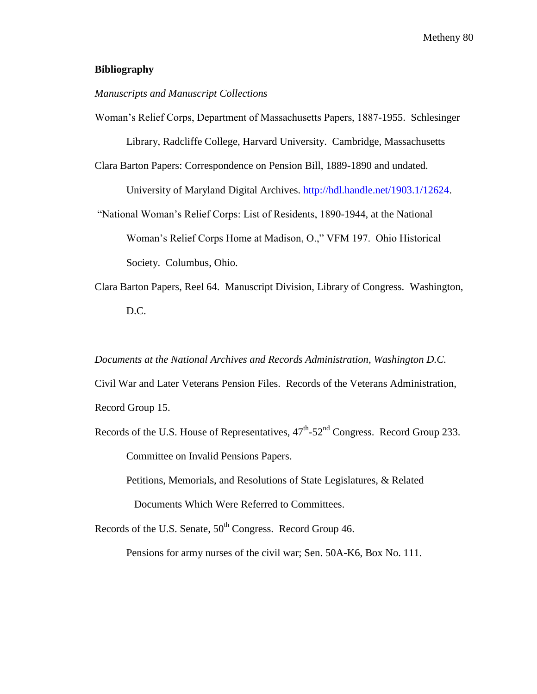# **Bibliography**

# *Manuscripts and Manuscript Collections*

Woman's Relief Corps, Department of Massachusetts Papers, 1887-1955. Schlesinger Library, Radcliffe College, Harvard University. Cambridge, Massachusetts

Clara Barton Papers: Correspondence on Pension Bill, 1889-1890 and undated.

University of Maryland Digital Archives. [http://hdl.handle.net/1903.1/12624.](http://hdl.handle.net/1903.1/12624)

"National Woman's Relief Corps: List of Residents, 1890-1944, at the National Woman's Relief Corps Home at Madison, O.," VFM 197. Ohio Historical Society. Columbus, Ohio.

Clara Barton Papers, Reel 64. Manuscript Division, Library of Congress. Washington, D.C.

*Documents at the National Archives and Records Administration, Washington D.C.*

Civil War and Later Veterans Pension Files. Records of the Veterans Administration, Record Group 15.

Records of the U.S. House of Representatives,  $47^{\text{th}}$ -52<sup>nd</sup> Congress. Record Group 233. Committee on Invalid Pensions Papers.

Petitions, Memorials, and Resolutions of State Legislatures, & Related Documents Which Were Referred to Committees.

Records of the U.S. Senate,  $50<sup>th</sup>$  Congress. Record Group 46.

Pensions for army nurses of the civil war; Sen. 50A-K6, Box No. 111.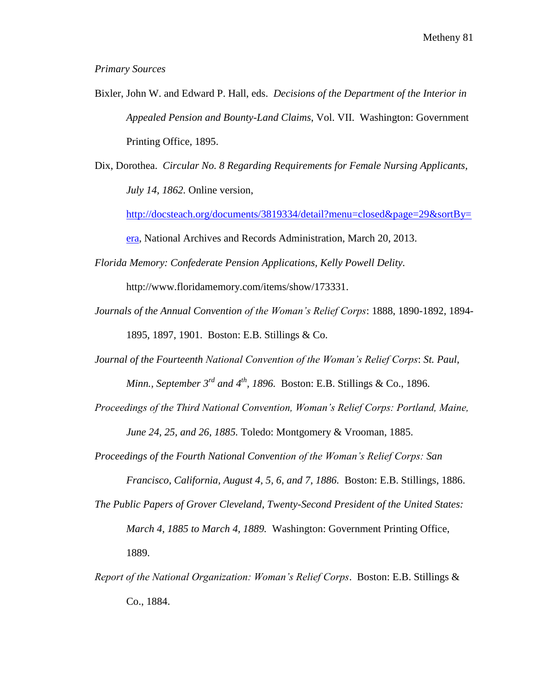### *Primary Sources*

- Bixler, John W. and Edward P. Hall, eds. *Decisions of the Department of the Interior in Appealed Pension and Bounty-Land Claims*, Vol. VII. Washington: Government Printing Office, 1895.
- Dix, Dorothea. *Circular No. 8 Regarding Requirements for Female Nursing Applicants, July 14, 1862.* Online version,

[http://docsteach.org/documents/3819334/detail?menu=closed&page=29&sortBy=](http://docsteach.org/documents/3819334/detail?menu=closed&page=29&sortBy=era)

[era,](http://docsteach.org/documents/3819334/detail?menu=closed&page=29&sortBy=era) National Archives and Records Administration, March 20, 2013.

*Florida Memory: Confederate Pension Applications, Kelly Powell Delity.* 

http://www.floridamemory.com/items/show/173331.

- *Journals of the Annual Convention of the Woman's Relief Corps*: 1888, 1890-1892, 1894- 1895, 1897, 1901. Boston: E.B. Stillings & Co.
- *Journal of the Fourteenth National Convention of the Woman's Relief Corps*: *St. Paul, Minn., September 3<sup>rd</sup> and 4<sup>th</sup>, 1896.* Boston: E.B. Stillings & Co., 1896.
- *Proceedings of the Third National Convention, Woman's Relief Corps: Portland, Maine, June 24, 25, and 26, 1885.* Toledo: Montgomery & Vrooman, 1885.

*Proceedings of the Fourth National Convention of the Woman's Relief Corps: San* 

*Francisco, California, August 4, 5, 6, and 7, 1886.* Boston: E.B. Stillings, 1886.

- *The Public Papers of Grover Cleveland, Twenty*-*Second President of the United States: March 4, 1885 to March 4, 1889.* Washington: Government Printing Office, 1889.
- *Report of the National Organization: Woman's Relief Corps*. Boston: E.B. Stillings & Co., 1884.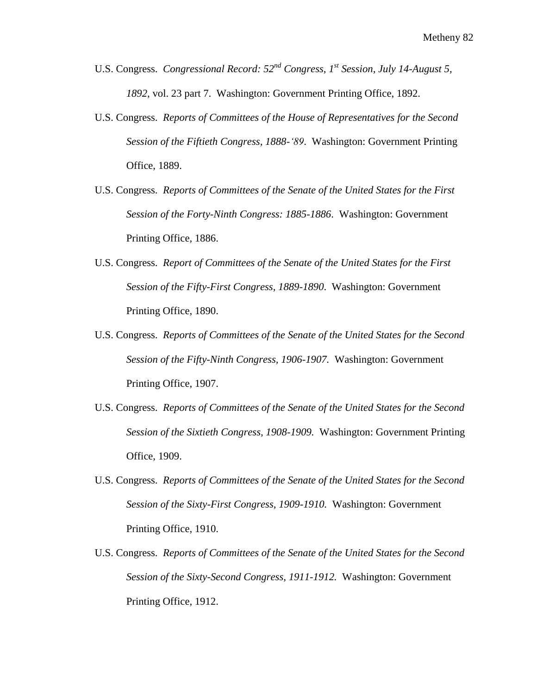- U.S. Congress. *Congressional Record: 52nd Congress, 1st Session, July 14-August 5, 1892*, vol. 23 part 7. Washington: Government Printing Office, 1892.
- U.S. Congress. *Reports of Committees of the House of Representatives for the Second Session of the Fiftieth Congress, 1888-'89*. Washington: Government Printing Office, 1889.
- U.S. Congress. *Reports of Committees of the Senate of the United States for the First Session of the Forty-Ninth Congress: 1885-1886*. Washington: Government Printing Office, 1886.
- U.S. Congress. *Report of Committees of the Senate of the United States for the First Session of the Fifty-First Congress, 1889-1890*. Washington: Government Printing Office, 1890.
- U.S. Congress. *Reports of Committees of the Senate of the United States for the Second Session of the Fifty-Ninth Congress, 1906-1907.* Washington: Government Printing Office, 1907.
- U.S. Congress. *Reports of Committees of the Senate of the United States for the Second Session of the Sixtieth Congress, 1908-1909.* Washington: Government Printing Office, 1909.
- U.S. Congress. *Reports of Committees of the Senate of the United States for the Second Session of the Sixty-First Congress, 1909-1910.* Washington: Government Printing Office, 1910.
- U.S. Congress. *Reports of Committees of the Senate of the United States for the Second Session of the Sixty-Second Congress*, *1911-1912.* Washington: Government Printing Office, 1912.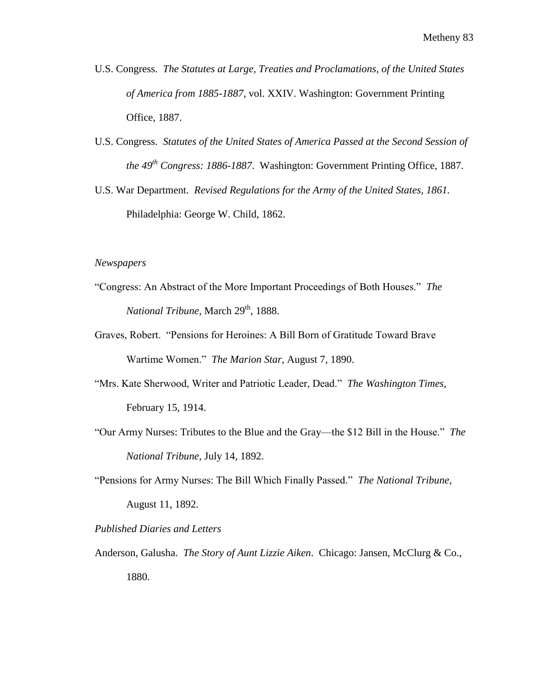- U.S. Congress. *The Statutes at Large, Treaties and Proclamations, of the United States of America from 1885-1887*, vol. XXIV. Washington: Government Printing Office, 1887.
- U.S. Congress. *Statutes of the United States of America Passed at the Second Session of the 49th Congress: 1886-1887*. Washington: Government Printing Office, 1887.
- U.S. War Department. *Revised Regulations for the Army of the United States, 1861.*  Philadelphia: George W. Child, 1862.

# *Newspapers*

- "Congress: An Abstract of the More Important Proceedings of Both Houses." *The National Tribune*, March 29<sup>th</sup>, 1888.
- Graves, Robert. "Pensions for Heroines: A Bill Born of Gratitude Toward Brave Wartime Women." *The Marion Star,* August 7, 1890.
- "Mrs. Kate Sherwood, Writer and Patriotic Leader, Dead." *The Washington Times*, February 15, 1914.
- "Our Army Nurses: Tributes to the Blue and the Gray—the \$12 Bill in the House." *The National Tribune*, July 14, 1892.
- "Pensions for Army Nurses: The Bill Which Finally Passed." *The National Tribune*, August 11, 1892.
- *Published Diaries and Letters*
- Anderson, Galusha. *The Story of Aunt Lizzie Aiken*. Chicago: Jansen, McClurg & Co., 1880.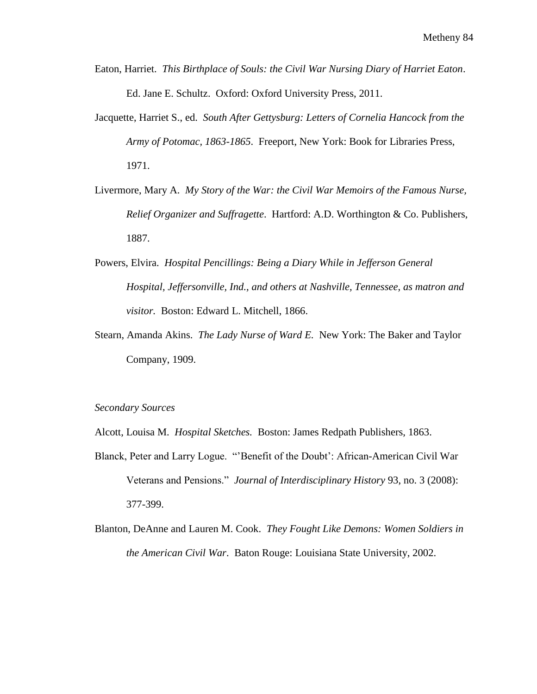- Eaton, Harriet. *This Birthplace of Souls: the Civil War Nursing Diary of Harriet Eaton*. Ed. Jane E. Schultz. Oxford: Oxford University Press, 2011.
- Jacquette, Harriet S., ed. *South After Gettysburg: Letters of Cornelia Hancock from the Army of Potomac, 1863-1865*. Freeport, New York: Book for Libraries Press, 1971.
- Livermore, Mary A. *My Story of the War: the Civil War Memoirs of the Famous Nurse, Relief Organizer and Suffragette*. Hartford: A.D. Worthington & Co. Publishers, 1887.
- Powers, Elvira. *Hospital Pencillings: Being a Diary While in Jefferson General Hospital, Jeffersonville, Ind., and others at Nashville, Tennessee, as matron and visitor.* Boston: Edward L. Mitchell, 1866.
- Stearn, Amanda Akins. *The Lady Nurse of Ward E.* New York: The Baker and Taylor Company, 1909.

### *Secondary Sources*

Alcott, Louisa M. *Hospital Sketches.* Boston: James Redpath Publishers, 1863.

- Blanck, Peter and Larry Logue. "'Benefit of the Doubt': African-American Civil War Veterans and Pensions." *Journal of Interdisciplinary History* 93, no. 3 (2008): 377-399.
- Blanton, DeAnne and Lauren M. Cook. *They Fought Like Demons: Women Soldiers in the American Civil War*. Baton Rouge: Louisiana State University, 2002.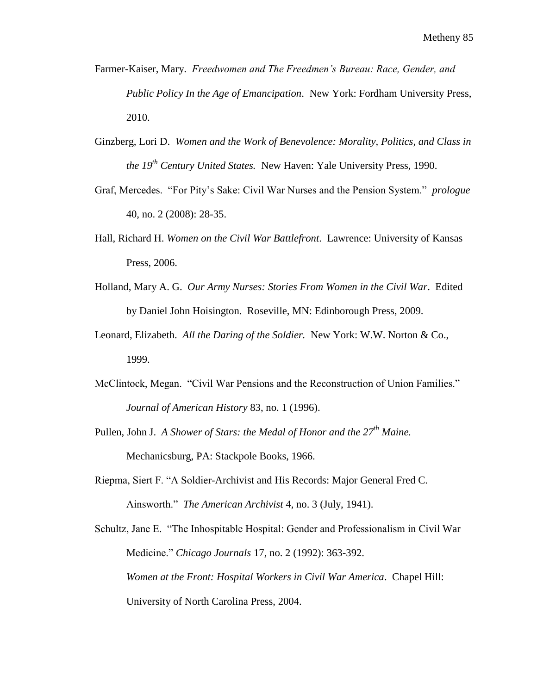- Farmer-Kaiser, Mary. *Freedwomen and The Freedmen's Bureau: Race, Gender, and Public Policy In the Age of Emancipation*. New York: Fordham University Press, 2010.
- Ginzberg, Lori D. *Women and the Work of Benevolence: Morality, Politics, and Class in the 19th Century United States.* New Haven: Yale University Press, 1990.
- Graf, Mercedes. "For Pity's Sake: Civil War Nurses and the Pension System." *prologue* 40, no. 2 (2008): 28-35.
- Hall, Richard H. *Women on the Civil War Battlefront*. Lawrence: University of Kansas Press, 2006.
- Holland, Mary A. G. *Our Army Nurses: Stories From Women in the Civil War*. Edited by Daniel John Hoisington. Roseville, MN: Edinborough Press, 2009.
- Leonard, Elizabeth. *All the Daring of the Soldier.* New York: W.W. Norton & Co., 1999.
- McClintock, Megan. "Civil War Pensions and the Reconstruction of Union Families." *Journal of American History* 83, no. 1 (1996).
- Pullen, John J. *A Shower of Stars: the Medal of Honor and the 27th Maine.*  Mechanicsburg, PA: Stackpole Books, 1966.
- Riepma, Siert F. "A Soldier-Archivist and His Records: Major General Fred C. Ainsworth." *The American Archivist* 4, no. 3 (July, 1941).

Schultz, Jane E. "The Inhospitable Hospital: Gender and Professionalism in Civil War Medicine." *Chicago Journals* 17, no. 2 (1992): 363-392. *Women at the Front: Hospital Workers in Civil War America*. Chapel Hill: University of North Carolina Press, 2004.